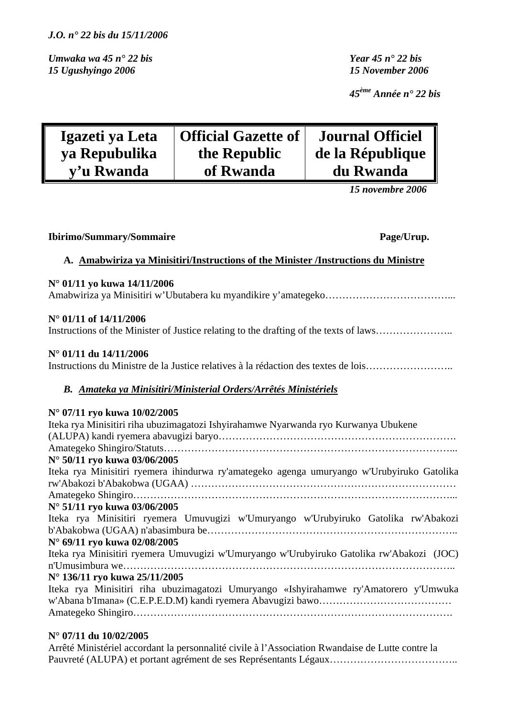*Umwaka wa 45 n° 22 bis Year 45 n° 22 bis 15 Ugushyingo 2006 15 November 2006* 

*45ème Année n° 22 bis* 

| Igazeti ya Leta | <b>Official Gazette of</b> | <b>Journal Officiel</b> |
|-----------------|----------------------------|-------------------------|
| ya Repubulika   | the Republic               | de la République        |
| y'u Rwanda      | of Rwanda                  | du Rwanda               |

 *15 novembre 2006* 

| <b>Ibirimo/Summary/Sommaire</b>                                                                                                                                                                                                                                                                                                                                                                                                                                                                                                                                                                                                 | Page/Urup. |
|---------------------------------------------------------------------------------------------------------------------------------------------------------------------------------------------------------------------------------------------------------------------------------------------------------------------------------------------------------------------------------------------------------------------------------------------------------------------------------------------------------------------------------------------------------------------------------------------------------------------------------|------------|
| A. Amabwiriza ya Minisitiri/Instructions of the Minister /Instructions du Ministre                                                                                                                                                                                                                                                                                                                                                                                                                                                                                                                                              |            |
| N° 01/11 yo kuwa 14/11/2006                                                                                                                                                                                                                                                                                                                                                                                                                                                                                                                                                                                                     |            |
| N° 01/11 of 14/11/2006<br>Instructions of the Minister of Justice relating to the drafting of the texts of laws                                                                                                                                                                                                                                                                                                                                                                                                                                                                                                                 |            |
| N° 01/11 du 14/11/2006<br>Instructions du Ministre de la Justice relatives à la rédaction des textes de lois                                                                                                                                                                                                                                                                                                                                                                                                                                                                                                                    |            |
| B. Amateka ya Minisitiri/Ministerial Orders/Arrêtés Ministériels                                                                                                                                                                                                                                                                                                                                                                                                                                                                                                                                                                |            |
| N° 07/11 ryo kuwa 10/02/2005<br>Iteka rya Minisitiri riha ubuzimagatozi Ishyirahamwe Nyarwanda ryo Kurwanya Ubukene<br>N° 50/11 ryo kuwa 03/06/2005<br>Iteka rya Minisitiri ryemera ihindurwa ry'amategeko agenga umuryango w'Urubyiruko Gatolika<br>N° 51/11 ryo kuwa 03/06/2005<br>Iteka rya Minisitiri ryemera Umuvugizi w'Umuryango w'Urubyiruko Gatolika rw'Abakozi<br>N° 69/11 ryo kuwa 02/08/2005<br>Iteka rya Minisitiri ryemera Umuvugizi w'Umuryango w'Urubyiruko Gatolika rw'Abakozi (JOC)<br>N° 136/11 ryo kuwa 25/11/2005<br>Iteka rya Minisitiri riha ubuzimagatozi Umuryango «Ishyirahamwe ry'Amatorero y'Umwuka |            |

## **N° 07/11 du 10/02/2005**

Arrêté Ministériel accordant la personnalité civile à l'Association Rwandaise de Lutte contre la Pauvreté (ALUPA) et portant agrément de ses Représentants Légaux…………………………………………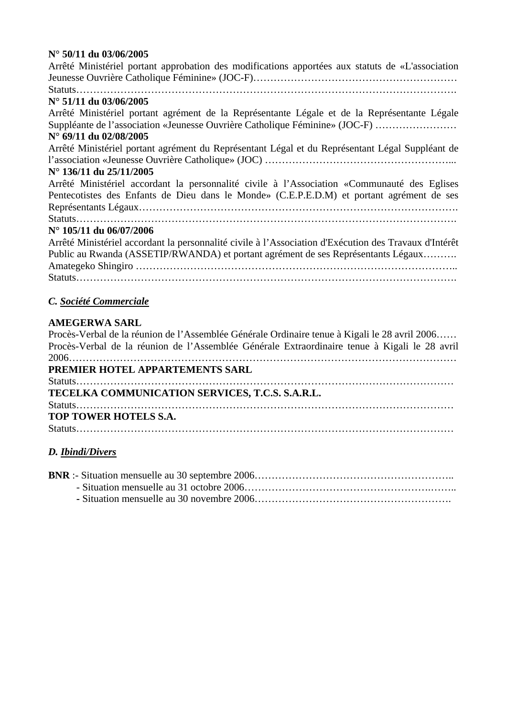# **N° 50/11 du 03/06/2005**

| N° 50/11 du 03/06/2005                                                                                |
|-------------------------------------------------------------------------------------------------------|
| Arrêté Ministériel portant approbation des modifications apportées aux statuts de «L'association      |
|                                                                                                       |
|                                                                                                       |
| N° 51/11 du 03/06/2005                                                                                |
| Arrêté Ministériel portant agrément de la Représentante Légale et de la Représentante Légale          |
| Suppléante de l'association «Jeunesse Ouvrière Catholique Féminine» (JOC-F)                           |
| N° 69/11 du 02/08/2005                                                                                |
| Arrêté Ministériel portant agrément du Représentant Légal et du Représentant Légal Suppléant de       |
|                                                                                                       |
| N° 136/11 du 25/11/2005                                                                               |
| Arrêté Ministériel accordant la personnalité civile à l'Association «Communauté des Eglises           |
| Pentecotistes des Enfants de Dieu dans le Monde» (C.E.P.E.D.M) et portant agrément de ses             |
|                                                                                                       |
|                                                                                                       |
| N° 105/11 du 06/07/2006                                                                               |
| Arrêté Ministériel accordant la personnalité civile à l'Association d'Exécution des Travaux d'Intérêt |
| Public au Rwanda (ASSETIP/RWANDA) et portant agrément de ses Représentants Légaux                     |
|                                                                                                       |
|                                                                                                       |
| C. Société Commerciale                                                                                |
| <b>AMEGERWA SARL</b>                                                                                  |
| Procès-Verbal de la réunion de l'Assemblée Générale Ordinaire tenue à Kigali le 28 avril 2006         |
| Procès-Verbal de la réunion de l'Assemblée Générale Extraordinaire tenue à Kigali le 28 avril         |
|                                                                                                       |
| PREMIER HOTEL APPARTEMENTS SARL                                                                       |
|                                                                                                       |
| TECELKA COMMUNICATION SERVICES, T.C.S. S.A.R.L.                                                       |
|                                                                                                       |
| TOP TOWER HOTELS S.A.                                                                                 |

Statuts…………………………………………………………………………………………………

# *D. Ibindi/Divers*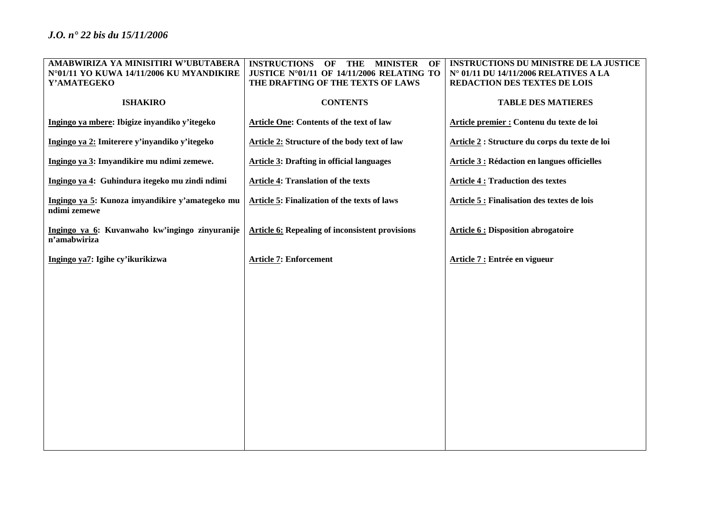| AMABWIRIZA YA MINISITIRI W'UBUTABERA                            | <b>INSTRUCTIONS</b><br><b>MINISTER</b><br>OF<br>OF<br>THE | INSTRUCTIONS DU MINISTRE DE LA JUSTICE              |
|-----------------------------------------------------------------|-----------------------------------------------------------|-----------------------------------------------------|
| N°01/11 YO KUWA 14/11/2006 KU MYANDIKIRE                        | JUSTICE N°01/11 OF 14/11/2006 RELATING TO                 | N° 01/11 DU 14/11/2006 RELATIVES A LA               |
| Y'AMATEGEKO                                                     | THE DRAFTING OF THE TEXTS OF LAWS                         | REDACTION DES TEXTES DE LOIS                        |
| <b>ISHAKIRO</b>                                                 | <b>CONTENTS</b>                                           | <b>TABLE DES MATIERES</b>                           |
| Ingingo ya mbere: Ibigize inyandiko y'itegeko                   | Article One: Contents of the text of law                  | Article premier : Contenu du texte de loi           |
| Ingingo ya 2: Imiterere y'inyandiko y'itegeko                   | <b>Article 2: Structure of the body text of law</b>       | Article 2 : Structure du corps du texte de loi      |
| Ingingo ya 3: Imyandikire mu ndimi zemewe.                      | <b>Article 3: Drafting in official languages</b>          | <b>Article 3 : Rédaction en langues officielles</b> |
| Ingingo ya 4: Guhindura itegeko mu zindi ndimi                  | <b>Article 4: Translation of the texts</b>                | <b>Article 4: Traduction des textes</b>             |
| Ingingo ya 5: Kunoza imyandikire y'amategeko mu<br>ndimi zemewe | <b>Article 5: Finalization of the texts of laws</b>       | Article 5 : Finalisation des textes de lois         |
| Ingingo ya 6: Kuvanwaho kw'ingingo zinyuranije<br>n'amabwiriza  | <b>Article 6: Repealing of inconsistent provisions</b>    | <b>Article 6: Disposition abrogatoire</b>           |
| Ingingo ya7: Igihe cy'ikurikizwa                                | <b>Article 7: Enforcement</b>                             | Article 7 : Entrée en vigueur                       |
|                                                                 |                                                           |                                                     |
|                                                                 |                                                           |                                                     |
|                                                                 |                                                           |                                                     |
|                                                                 |                                                           |                                                     |
|                                                                 |                                                           |                                                     |
|                                                                 |                                                           |                                                     |
|                                                                 |                                                           |                                                     |
|                                                                 |                                                           |                                                     |
|                                                                 |                                                           |                                                     |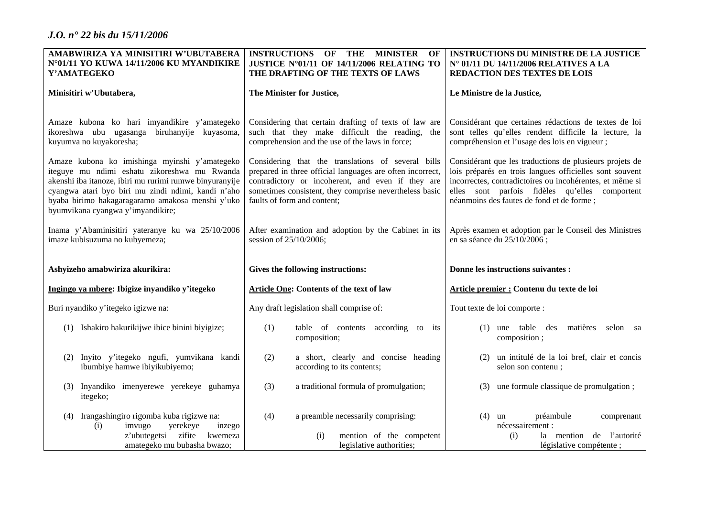| AMABWIRIZA YA MINISITIRI W'UBUTABERA                                                                                                                                                                                                                                                                    | <b>INSTRUCTIONS</b><br>OF<br>THE<br><b>MINISTER</b><br>OF                                                                                                                                                                                                     | <b>INSTRUCTIONS DU MINISTRE DE LA JUSTICE</b>                                                                                                                                                                                                                                 |  |
|---------------------------------------------------------------------------------------------------------------------------------------------------------------------------------------------------------------------------------------------------------------------------------------------------------|---------------------------------------------------------------------------------------------------------------------------------------------------------------------------------------------------------------------------------------------------------------|-------------------------------------------------------------------------------------------------------------------------------------------------------------------------------------------------------------------------------------------------------------------------------|--|
| N°01/11 YO KUWA 14/11/2006 KU MYANDIKIRE                                                                                                                                                                                                                                                                | JUSTICE N°01/11 OF 14/11/2006 RELATING TO                                                                                                                                                                                                                     | N° 01/11 DU 14/11/2006 RELATIVES A LA                                                                                                                                                                                                                                         |  |
| Y'AMATEGEKO                                                                                                                                                                                                                                                                                             | THE DRAFTING OF THE TEXTS OF LAWS                                                                                                                                                                                                                             | <b>REDACTION DES TEXTES DE LOIS</b>                                                                                                                                                                                                                                           |  |
| Minisitiri w'Ubutabera,                                                                                                                                                                                                                                                                                 | The Minister for Justice,                                                                                                                                                                                                                                     | Le Ministre de la Justice,                                                                                                                                                                                                                                                    |  |
| Amaze kubona ko hari imyandikire y'amategeko<br>ikoreshwa ubu ugasanga biruhanyije kuyasoma,<br>kuyumva no kuyakoresha;                                                                                                                                                                                 | Considering that certain drafting of texts of law are<br>such that they make difficult the reading, the<br>comprehension and the use of the laws in force;                                                                                                    | Considérant que certaines rédactions de textes de loi<br>sont telles qu'elles rendent difficile la lecture, la<br>compréhension et l'usage des lois en vigueur;                                                                                                               |  |
| Amaze kubona ko imishinga myinshi y'amategeko<br>iteguye mu ndimi eshatu zikoreshwa mu Rwanda<br>akenshi iba itanoze, ibiri mu rurimi rumwe binyuranyije<br>cyangwa atari byo biri mu zindi ndimi, kandi n'aho<br>byaba birimo hakagaragaramo amakosa menshi y'uko<br>byumvikana cyangwa y'imyandikire; | Considering that the translations of several bills<br>prepared in three official languages are often incorrect,<br>contradictory or incoherent, and even if they are<br>sometimes consistent, they comprise nevertheless basic<br>faults of form and content; | Considérant que les traductions de plusieurs projets de<br>lois préparés en trois langues officielles sont souvent<br>incorrectes, contradictoires ou incohérentes, et même si<br>elles sont parfois fidèles qu'elles comportent<br>néanmoins des fautes de fond et de forme; |  |
| Inama y'Abaminisitiri yateranye ku wa 25/10/2006<br>imaze kubisuzuma no kubyemeza;                                                                                                                                                                                                                      | After examination and adoption by the Cabinet in its<br>session of 25/10/2006;                                                                                                                                                                                | Après examen et adoption par le Conseil des Ministres<br>en sa séance du 25/10/2006;                                                                                                                                                                                          |  |
| Ashyizeho amabwiriza akurikira:                                                                                                                                                                                                                                                                         | Gives the following instructions:                                                                                                                                                                                                                             | Donne les instructions suivantes :                                                                                                                                                                                                                                            |  |
| Ingingo ya mbere: Ibigize inyandiko y'itegeko                                                                                                                                                                                                                                                           | <b>Article One: Contents of the text of law</b>                                                                                                                                                                                                               | Article premier : Contenu du texte de loi                                                                                                                                                                                                                                     |  |
| Buri nyandiko y'itegeko igizwe na:                                                                                                                                                                                                                                                                      | Any draft legislation shall comprise of:                                                                                                                                                                                                                      | Tout texte de loi comporte :                                                                                                                                                                                                                                                  |  |
| (1) Ishakiro hakurikijwe ibice binini biyigize;                                                                                                                                                                                                                                                         | table of contents according to its<br>(1)<br>composition;                                                                                                                                                                                                     | $(1)$ une table des<br>matières<br>selon sa<br>composition;                                                                                                                                                                                                                   |  |
| Inyito y'itegeko ngufi, yumvikana kandi<br>(2)<br>ibumbiye hamwe ibiyikubiyemo;                                                                                                                                                                                                                         | a short, clearly and concise heading<br>(2)<br>according to its contents;                                                                                                                                                                                     | un intitulé de la loi bref, clair et concis<br>(2)<br>selon son contenu;                                                                                                                                                                                                      |  |
| Inyandiko imenyerewe yerekeye guhamya<br>(3)<br>itegeko;                                                                                                                                                                                                                                                | (3)<br>a traditional formula of promulgation;                                                                                                                                                                                                                 | (3) une formule classique de promulgation;                                                                                                                                                                                                                                    |  |
| Irangashingiro rigomba kuba rigizwe na:<br>(4)<br>imvugo<br>yerekeye<br>inzego<br>(i)<br>z'ubutegetsi zifite<br>kwemeza<br>amategeko mu bubasha bwazo;                                                                                                                                                  | (4)<br>a preamble necessarily comprising:<br>mention of the competent<br>(i)<br>legislative authorities;                                                                                                                                                      | préambule<br>$(4)$ un<br>comprenant<br>nécessairement :<br>la mention de l'autorité<br>(i)<br>législative compétente ;                                                                                                                                                        |  |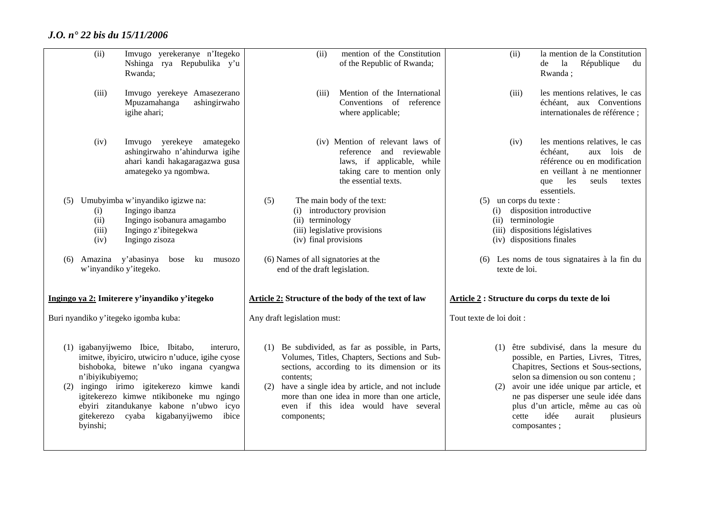|                                                                                                                                                                                    | n'ibiyikubiyemo;<br>byinshi; | (1) igabanyijwemo Ibice, Ibitabo,<br>interuro,<br>imitwe, ibyiciro, utwiciro n'uduce, igihe cyose<br>bishoboka, bitewe n'uko ingana cyangwa<br>(2) ingingo irimo igitekerezo kimwe kandi<br>igitekerezo kimwe ntikiboneke mu ngingo<br>ebyiri zitandukanye kabone n'ubwo icyo<br>gitekerezo cyaba kigabanyijwemo<br>ibice | contents;<br>components;            | (1) Be subdivided, as far as possible, in Parts,<br>Volumes, Titles, Chapters, Sections and Sub-<br>sections, according to its dimension or its<br>(2) have a single idea by article, and not include<br>more than one idea in more than one article,<br>even if this idea would have several | (2)                              | cette<br>composantes; | (1) être subdivisé, dans la mesure du<br>possible, en Parties, Livres, Titres,<br>Chapitres, Sections et Sous-sections,<br>selon sa dimension ou son contenu;<br>avoir une idée unique par article, et<br>ne pas disperser une seule idée dans<br>plus d'un article, même au cas où<br>idée<br>aurait<br>plusieurs |
|------------------------------------------------------------------------------------------------------------------------------------------------------------------------------------|------------------------------|---------------------------------------------------------------------------------------------------------------------------------------------------------------------------------------------------------------------------------------------------------------------------------------------------------------------------|-------------------------------------|-----------------------------------------------------------------------------------------------------------------------------------------------------------------------------------------------------------------------------------------------------------------------------------------------|----------------------------------|-----------------------|--------------------------------------------------------------------------------------------------------------------------------------------------------------------------------------------------------------------------------------------------------------------------------------------------------------------|
| Ingingo ya 2: Imiterere y'inyandiko y'itegeko<br><b>Article 2: Structure of the body of the text of law</b><br>Buri nyandiko y'itegeko igomba kuba:<br>Any draft legislation must: |                              |                                                                                                                                                                                                                                                                                                                           | Tout texte de loi doit :            |                                                                                                                                                                                                                                                                                               |                                  |                       |                                                                                                                                                                                                                                                                                                                    |
|                                                                                                                                                                                    |                              | w'inyandiko y'itegeko.                                                                                                                                                                                                                                                                                                    | end of the draft legislation.       |                                                                                                                                                                                                                                                                                               |                                  |                       | Article 2 : Structure du corps du texte de loi                                                                                                                                                                                                                                                                     |
| (6)                                                                                                                                                                                |                              | Amazina y'abasinya<br>bose<br>ku musozo                                                                                                                                                                                                                                                                                   | (6) Names of all signatories at the |                                                                                                                                                                                                                                                                                               |                                  | texte de loi.         | (6) Les noms de tous signataires à la fin du                                                                                                                                                                                                                                                                       |
|                                                                                                                                                                                    | (iii)<br>(iv)                | Ingingo z'ibitegekwa<br>Ingingo zisoza                                                                                                                                                                                                                                                                                    | (iv) final provisions               | (iii) legislative provisions                                                                                                                                                                                                                                                                  |                                  |                       | (iii) dispositions législatives<br>(iv) dispositions finales                                                                                                                                                                                                                                                       |
| (5)                                                                                                                                                                                | (i)<br>(ii)                  | Umubyimba w'inyandiko igizwe na:<br>Ingingo ibanza<br>Ingingo isobanura amagambo                                                                                                                                                                                                                                          | (5)<br>(ii) terminology             | The main body of the text:<br>(i) introductory provision                                                                                                                                                                                                                                      | $(5)$ un corps du texte :<br>(i) | (ii) terminologie     | essentiels.<br>disposition introductive                                                                                                                                                                                                                                                                            |
|                                                                                                                                                                                    | (iv)                         | Imvugo yerekeye amategeko<br>ashingirwaho n'ahindurwa igihe<br>ahari kandi hakagaragazwa gusa<br>amategeko ya ngombwa.                                                                                                                                                                                                    |                                     | (iv) Mention of relevant laws of<br>and reviewable<br>reference<br>laws, if applicable, while<br>taking care to mention only<br>the essential texts.                                                                                                                                          |                                  | (iv)                  | les mentions relatives, le cas<br>échéant.<br>aux lois de<br>référence ou en modification<br>en veillant à ne mentionner<br>seuls<br>les<br>que<br>textes                                                                                                                                                          |
|                                                                                                                                                                                    | (iii)                        | Imvugo yerekeye Amasezerano<br>Mpuzamahanga<br>ashingirwaho<br>igihe ahari;                                                                                                                                                                                                                                               | (iii)                               | Mention of the International<br>Conventions of reference<br>where applicable;                                                                                                                                                                                                                 |                                  | (iii)                 | les mentions relatives, le cas<br>échéant, aux Conventions<br>internationales de référence;                                                                                                                                                                                                                        |
|                                                                                                                                                                                    | (ii)                         | Imvugo yerekeranye n'Itegeko<br>Nshinga rya Repubulika y'u<br>Rwanda;                                                                                                                                                                                                                                                     | (ii)                                | mention of the Constitution<br>of the Republic of Rwanda;                                                                                                                                                                                                                                     |                                  | (ii)                  | la mention de la Constitution<br>la<br>République<br>de<br>du<br>Rwanda;                                                                                                                                                                                                                                           |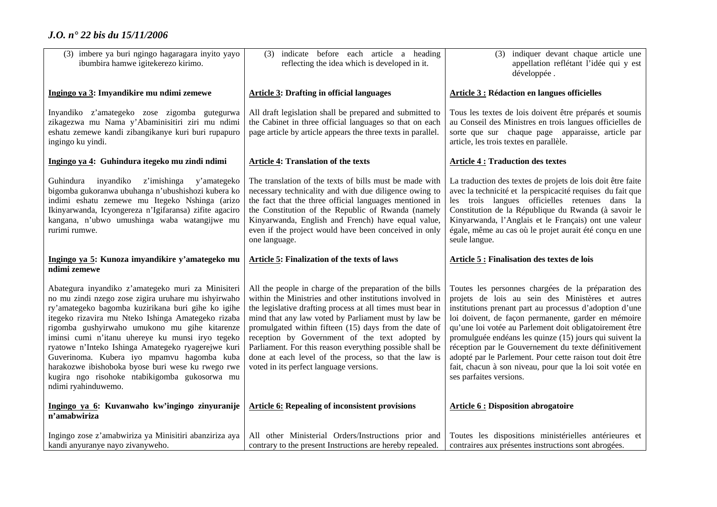| (3) imbere ya buri ngingo hagaragara inyito yayo<br>ibumbira hamwe igitekerezo kirimo.                                                                                                                                                                                                  | (3) indicate before each article a heading<br>reflecting the idea which is developed in it.                                                                                                                                                                                                                                                                        | (3) indiquer devant chaque article une<br>appellation reflétant l'idée qui y est<br>développée.                                                                                                                                                                                                                                                                          |
|-----------------------------------------------------------------------------------------------------------------------------------------------------------------------------------------------------------------------------------------------------------------------------------------|--------------------------------------------------------------------------------------------------------------------------------------------------------------------------------------------------------------------------------------------------------------------------------------------------------------------------------------------------------------------|--------------------------------------------------------------------------------------------------------------------------------------------------------------------------------------------------------------------------------------------------------------------------------------------------------------------------------------------------------------------------|
| Ingingo ya 3: Imyandikire mu ndimi zemewe                                                                                                                                                                                                                                               | <b>Article 3: Drafting in official languages</b>                                                                                                                                                                                                                                                                                                                   | <b>Article 3 : Rédaction en langues officielles</b>                                                                                                                                                                                                                                                                                                                      |
| Inyandiko z'amategeko zose zigomba gutegurwa<br>zikagezwa mu Nama y'Abaminisitiri ziri mu ndimi<br>eshatu zemewe kandi zibangikanye kuri buri rupapuro<br>ingingo ku yindi.                                                                                                             | All draft legislation shall be prepared and submitted to<br>the Cabinet in three official languages so that on each<br>page article by article appears the three texts in parallel.                                                                                                                                                                                | Tous les textes de lois doivent être préparés et soumis<br>au Conseil des Ministres en trois langues officielles de<br>sorte que sur chaque page apparaisse, article par<br>article, les trois textes en parallèle.                                                                                                                                                      |
| Ingingo ya 4: Guhindura itegeko mu zindi ndimi                                                                                                                                                                                                                                          | <b>Article 4: Translation of the texts</b>                                                                                                                                                                                                                                                                                                                         | <b>Article 4: Traduction des textes</b>                                                                                                                                                                                                                                                                                                                                  |
| inyandiko<br>Guhindura<br>z'imishinga<br>y'amategeko<br>bigomba gukoranwa ubuhanga n'ubushishozi kubera ko<br>indimi eshatu zemewe mu Itegeko Nshinga (arizo<br>Ikinyarwanda, Icyongereza n'Igifaransa) zifite agaciro<br>kangana, n'ubwo umushinga waba watangijwe mu<br>rurimi rumwe. | The translation of the texts of bills must be made with<br>necessary technicality and with due diligence owing to<br>the fact that the three official languages mentioned in<br>the Constitution of the Republic of Rwanda (namely<br>Kinyarwanda, English and French) have equal value,<br>even if the project would have been conceived in only<br>one language. | La traduction des textes de projets de lois doit être faite<br>avec la technicité et la perspicacité requises du fait que<br>les trois langues officielles retenues dans la<br>Constitution de la République du Rwanda (à savoir le<br>Kinyarwanda, l'Anglais et le Français) ont une valeur<br>égale, même au cas où le projet aurait été conçu en une<br>seule langue. |
| Ingingo ya 5: Kunoza imyandikire y'amategeko mu<br>ndimi zemewe                                                                                                                                                                                                                         | <b>Article 5: Finalization of the texts of laws</b>                                                                                                                                                                                                                                                                                                                | <b>Article 5: Finalisation des textes de lois</b>                                                                                                                                                                                                                                                                                                                        |
| Abategura inyandiko z'amategeko muri za Minisiteri<br>no mu zindi nzego zose zigira uruhare mu ishyirwaho<br>ry'amategeko bagomba kuzirikana buri gihe ko igihe<br>itegeko rizavira mu Nteko Ishinga Amategeko rizaba<br>rigomba gushyirwaho umukono mu gihe kitarenze                  | All the people in charge of the preparation of the bills<br>within the Ministries and other institutions involved in<br>the legislative drafting process at all times must bear in<br>mind that any law voted by Parliament must by law be<br>promulgated within fifteen (15) days from the date of                                                                | Toutes les personnes chargées de la préparation des<br>projets de lois au sein des Ministères et autres<br>institutions prenant part au processus d'adoption d'une<br>loi doivent, de façon permanente, garder en mémoire<br>qu'une loi votée au Parlement doit obligatoirement être                                                                                     |
| iminsi cumi n'itanu uhereye ku munsi iryo tegeko<br>ryatowe n'Inteko Ishinga Amategeko ryagerejwe kuri<br>Guverinoma. Kubera iyo mpamvu hagomba kuba<br>harakozwe ibishoboka byose buri wese ku rwego rwe<br>kugira ngo risohoke ntabikigomba gukosorwa mu<br>ndimi ryahinduwemo.       | reception by Government of the text adopted by<br>Parliament. For this reason everything possible shall be<br>done at each level of the process, so that the law is<br>voted in its perfect language versions.                                                                                                                                                     | promulguée endéans les quinze (15) jours qui suivent la<br>réception par le Gouvernement du texte définitivement<br>adopté par le Parlement. Pour cette raison tout doit être<br>fait, chacun à son niveau, pour que la loi soit votée en<br>ses parfaites versions.                                                                                                     |
| Ingingo ya 6: Kuvanwaho kw'ingingo zinyuranije<br>n'amabwiriza                                                                                                                                                                                                                          | <b>Article 6: Repealing of inconsistent provisions</b>                                                                                                                                                                                                                                                                                                             | <b>Article 6: Disposition abrogatoire</b>                                                                                                                                                                                                                                                                                                                                |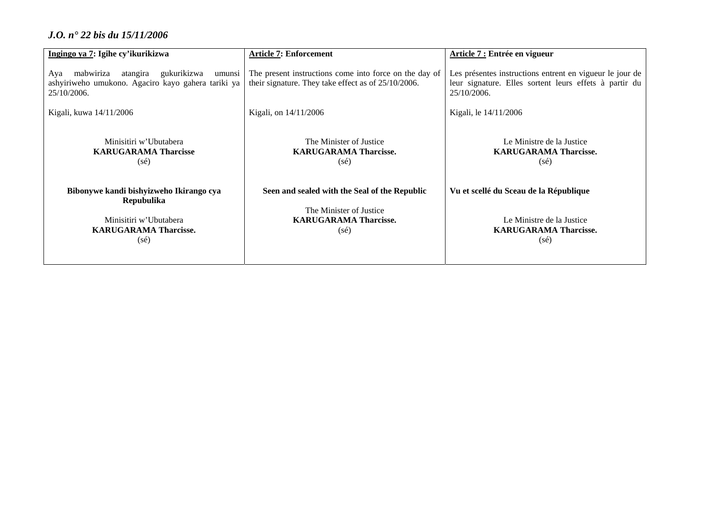| Ingingo ya 7: Igihe cy'ikurikizwa                                                                                                        | <b>Article 7: Enforcement</b>                                                                                              | Article 7 : Entrée en vigueur                                                                                                     |
|------------------------------------------------------------------------------------------------------------------------------------------|----------------------------------------------------------------------------------------------------------------------------|-----------------------------------------------------------------------------------------------------------------------------------|
| mabwiriza<br>atangira<br>gukurikizwa<br>Aya<br>umunsi<br>ashyiriweho umukono. Agaciro kayo gahera tariki ya<br>25/10/2006.               | The present instructions come into force on the day of<br>their signature. They take effect as of 25/10/2006.              | Les présentes instructions entrent en vigueur le jour de<br>leur signature. Elles sortent leurs effets à partir du<br>25/10/2006. |
| Kigali, kuwa 14/11/2006                                                                                                                  | Kigali, on 14/11/2006                                                                                                      | Kigali, le 14/11/2006                                                                                                             |
| Minisitiri w'Ubutabera<br><b>KARUGARAMA Tharcisse</b><br>$(s\acute{e})$                                                                  | The Minister of Justice<br><b>KARUGARAMA Tharcisse.</b><br>$(s\acute{e})$                                                  | Le Ministre de la Justice<br><b>KARUGARAMA Tharcisse.</b><br>$(s\acute{e})$                                                       |
| Bibonywe kandi bishyizweho Ikirango cya<br><b>Repubulika</b><br>Minisitiri w'Ubutabera<br><b>KARUGARAMA Tharcisse.</b><br>$(s\acute{e})$ | Seen and sealed with the Seal of the Republic<br>The Minister of Justice<br><b>KARUGARAMA Tharcisse.</b><br>$(s\acute{e})$ | Vu et scellé du Sceau de la République<br>Le Ministre de la Justice<br><b>KARUGARAMA Tharcisse.</b><br>$(s\acute{e})$             |
|                                                                                                                                          |                                                                                                                            |                                                                                                                                   |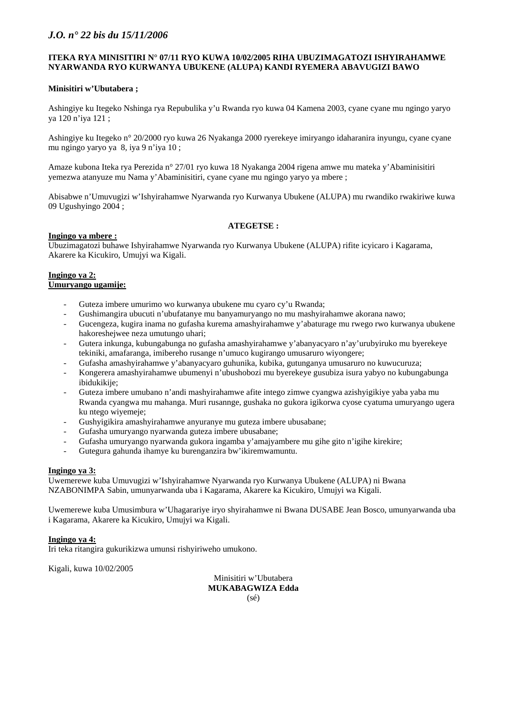#### **ITEKA RYA MINISITIRI N° 07/11 RYO KUWA 10/02/2005 RIHA UBUZIMAGATOZI ISHYIRAHAMWE NYARWANDA RYO KURWANYA UBUKENE (ALUPA) KANDI RYEMERA ABAVUGIZI BAWO**

### **Minisitiri w'Ubutabera ;**

Ashingiye ku Itegeko Nshinga rya Repubulika y'u Rwanda ryo kuwa 04 Kamena 2003, cyane cyane mu ngingo yaryo ya 120 n'iya 121 ;

Ashingiye ku Itegeko n° 20/2000 ryo kuwa 26 Nyakanga 2000 ryerekeye imiryango idaharanira inyungu, cyane cyane mu ngingo yaryo ya 8, iya 9 n'iya 10 ;

Amaze kubona Iteka rya Perezida n° 27/01 ryo kuwa 18 Nyakanga 2004 rigena amwe mu mateka y'Abaminisitiri yemezwa atanyuze mu Nama y'Abaminisitiri, cyane cyane mu ngingo yaryo ya mbere ;

Abisabwe n'Umuvugizi w'Ishyirahamwe Nyarwanda ryo Kurwanya Ubukene (ALUPA) mu rwandiko rwakiriwe kuwa 09 Ugushyingo 2004 ;

### **ATEGETSE :**

### **Ingingo ya mbere :**

Ubuzimagatozi buhawe Ishyirahamwe Nyarwanda ryo Kurwanya Ubukene (ALUPA) rifite icyicaro i Kagarama, Akarere ka Kicukiro, Umujyi wa Kigali.

#### **Ingingo ya 2: Umuryango ugamije:**

- Guteza imbere umurimo wo kurwanya ubukene mu cyaro cy'u Rwanda;
- Gushimangira ubucuti n'ubufatanye mu banyamuryango no mu mashyirahamwe akorana nawo;
- Gucengeza, kugira inama no gufasha kurema amashyirahamwe y'abaturage mu rwego rwo kurwanya ubukene hakoreshejwee neza umutungo uhari;
- Gutera inkunga, kubungabunga no gufasha amashyirahamwe y'abanyacyaro n'ay'urubyiruko mu byerekeye tekiniki, amafaranga, imibereho rusange n'umuco kugirango umusaruro wiyongere;
- Gufasha amashyirahamwe y'abanyacyaro guhunika, kubika, gutunganya umusaruro no kuwucuruza;
- Kongerera amashyirahamwe ubumenyi n'ubushobozi mu byerekeye gusubiza isura yabyo no kubungabunga ibidukikije:
- Guteza imbere umubano n'andi mashyirahamwe afite intego zimwe cyangwa azishyigikiye yaba yaba mu Rwanda cyangwa mu mahanga. Muri rusannge, gushaka no gukora igikorwa cyose cyatuma umuryango ugera ku ntego wiyemeje;
- Gushyigikira amashyirahamwe anyuranye mu guteza imbere ubusabane;
- Gufasha umuryango nyarwanda guteza imbere ubusabane;
- Gufasha umuryango nyarwanda gukora ingamba y'amajyambere mu gihe gito n'igihe kirekire;
- Gutegura gahunda ihamye ku burenganzira bw'ikiremwamuntu.

#### **Ingingo ya 3:**

Uwemerewe kuba Umuvugizi w'Ishyirahamwe Nyarwanda ryo Kurwanya Ubukene (ALUPA) ni Bwana NZABONIMPA Sabin, umunyarwanda uba i Kagarama, Akarere ka Kicukiro, Umujyi wa Kigali.

Uwemerewe kuba Umusimbura w'Uhagarariye iryo shyirahamwe ni Bwana DUSABE Jean Bosco, umunyarwanda uba i Kagarama, Akarere ka Kicukiro, Umujyi wa Kigali.

#### **Ingingo ya 4:**

Iri teka ritangira gukurikizwa umunsi rishyiriweho umukono.

Kigali, kuwa 10/02/2005

Minisitiri w'Ubutabera **MUKABAGWIZA Edda**  (sé)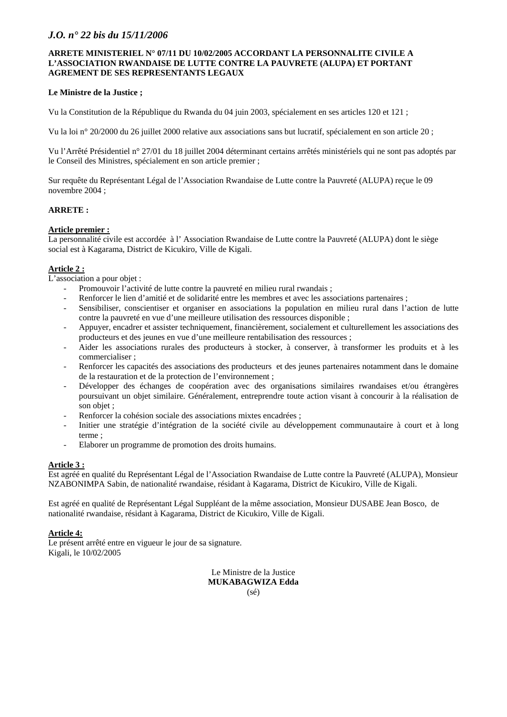### **ARRETE MINISTERIEL N° 07/11 DU 10/02/2005 ACCORDANT LA PERSONNALITE CIVILE A L'ASSOCIATION RWANDAISE DE LUTTE CONTRE LA PAUVRETE (ALUPA) ET PORTANT AGREMENT DE SES REPRESENTANTS LEGAUX**

### **Le Ministre de la Justice ;**

Vu la Constitution de la République du Rwanda du 04 juin 2003, spécialement en ses articles 120 et 121 ;

Vu la loi n° 20/2000 du 26 juillet 2000 relative aux associations sans but lucratif, spécialement en son article 20 ;

Vu l'Arrêté Présidentiel n° 27/01 du 18 juillet 2004 déterminant certains arrêtés ministériels qui ne sont pas adoptés par le Conseil des Ministres, spécialement en son article premier ;

Sur requête du Représentant Légal de l'Association Rwandaise de Lutte contre la Pauvreté (ALUPA) reçue le 09 novembre 2004 ;

## **ARRETE :**

### **Article premier :**

La personnalité civile est accordée à l' Association Rwandaise de Lutte contre la Pauvreté (ALUPA) dont le siège social est à Kagarama, District de Kicukiro, Ville de Kigali.

## **Article 2 :**

L'association a pour objet :

- Promouvoir l'activité de lutte contre la pauvreté en milieu rural rwandais ;
- Renforcer le lien d'amitié et de solidarité entre les membres et avec les associations partenaires ;
- Sensibiliser, conscientiser et organiser en associations la population en milieu rural dans l'action de lutte contre la pauvreté en vue d'une meilleure utilisation des ressources disponible ;
- Appuyer, encadrer et assister techniquement, financièrement, socialement et culturellement les associations des producteurs et des jeunes en vue d'une meilleure rentabilisation des ressources ;
- Aider les associations rurales des producteurs à stocker, à conserver, à transformer les produits et à les commercialiser ;
- Renforcer les capacités des associations des producteurs et des jeunes partenaires notamment dans le domaine de la restauration et de la protection de l'environnement ;
- Développer des échanges de coopération avec des organisations similaires rwandaises et/ou étrangères poursuivant un objet similaire. Généralement, entreprendre toute action visant à concourir à la réalisation de son objet ;
- Renforcer la cohésion sociale des associations mixtes encadrées :
- Initier une stratégie d'intégration de la société civile au développement communautaire à court et à long terme ;
- Elaborer un programme de promotion des droits humains.

## **Article 3 :**

Est agréé en qualité du Représentant Légal de l'Association Rwandaise de Lutte contre la Pauvreté (ALUPA), Monsieur NZABONIMPA Sabin, de nationalité rwandaise, résidant à Kagarama, District de Kicukiro, Ville de Kigali.

Est agréé en qualité de Représentant Légal Suppléant de la même association, Monsieur DUSABE Jean Bosco, de nationalité rwandaise, résidant à Kagarama, District de Kicukiro, Ville de Kigali.

#### **Article 4:**

Le présent arrêté entre en vigueur le jour de sa signature. Kigali, le 10/02/2005

> Le Ministre de la Justice **MUKABAGWIZA Edda**  (sé)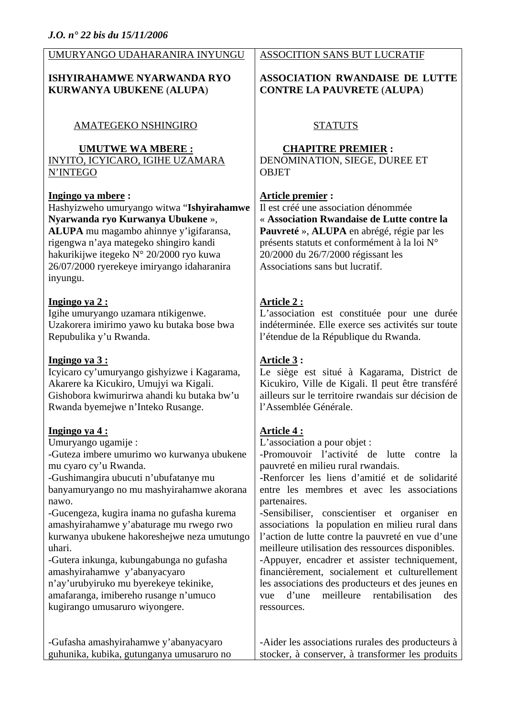| UMURYANGO UDAHARANIRA INYUNGU                                                                                                                                                                                                                                                                                                                                                                                                                                                                                                                                       | ASSOCITION SANS BUT LUCRATIF                                                                                                                                                                                                                                                                                                                                                                                                                                                                                                                                                                                                                                                                                    |
|---------------------------------------------------------------------------------------------------------------------------------------------------------------------------------------------------------------------------------------------------------------------------------------------------------------------------------------------------------------------------------------------------------------------------------------------------------------------------------------------------------------------------------------------------------------------|-----------------------------------------------------------------------------------------------------------------------------------------------------------------------------------------------------------------------------------------------------------------------------------------------------------------------------------------------------------------------------------------------------------------------------------------------------------------------------------------------------------------------------------------------------------------------------------------------------------------------------------------------------------------------------------------------------------------|
| <b>ISHYIRAHAMWE NYARWANDA RYO</b>                                                                                                                                                                                                                                                                                                                                                                                                                                                                                                                                   | <b>ASSOCIATION RWANDAISE DE LUTTE</b>                                                                                                                                                                                                                                                                                                                                                                                                                                                                                                                                                                                                                                                                           |
| <b>KURWANYA UBUKENE (ALUPA)</b>                                                                                                                                                                                                                                                                                                                                                                                                                                                                                                                                     | <b>CONTRE LA PAUVRETE (ALUPA)</b>                                                                                                                                                                                                                                                                                                                                                                                                                                                                                                                                                                                                                                                                               |
| AMATEGEKO NSHINGIRO                                                                                                                                                                                                                                                                                                                                                                                                                                                                                                                                                 | <b>STATUTS</b>                                                                                                                                                                                                                                                                                                                                                                                                                                                                                                                                                                                                                                                                                                  |
| <b>UMUTWE WA MBERE:</b>                                                                                                                                                                                                                                                                                                                                                                                                                                                                                                                                             | <b>CHAPITRE PREMIER:</b>                                                                                                                                                                                                                                                                                                                                                                                                                                                                                                                                                                                                                                                                                        |
| INYITO, ICYICARO, IGIHE UZAMARA                                                                                                                                                                                                                                                                                                                                                                                                                                                                                                                                     | DENOMINATION, SIEGE, DUREE ET                                                                                                                                                                                                                                                                                                                                                                                                                                                                                                                                                                                                                                                                                   |
| N'INTEGO                                                                                                                                                                                                                                                                                                                                                                                                                                                                                                                                                            | <b>OBJET</b>                                                                                                                                                                                                                                                                                                                                                                                                                                                                                                                                                                                                                                                                                                    |
| Ingingo ya mbere:<br>Hashyizweho umuryango witwa "Ishyirahamwe<br>Nyarwanda ryo Kurwanya Ubukene »,<br>ALUPA mu magambo ahinnye y'igifaransa,<br>rigengwa n'aya mategeko shingiro kandi<br>hakurikijwe itegeko N° 20/2000 ryo kuwa<br>26/07/2000 ryerekeye imiryango idaharanira<br>inyungu.                                                                                                                                                                                                                                                                        | Article premier:<br>Il est créé une association dénommée<br>« Association Rwandaise de Lutte contre la<br>Pauvreté », ALUPA en abrégé, régie par les<br>présents statuts et conformément à la loi N°<br>20/2000 du 26/7/2000 régissant les<br>Associations sans but lucratif.                                                                                                                                                                                                                                                                                                                                                                                                                                   |
| Ingingo ya 2:                                                                                                                                                                                                                                                                                                                                                                                                                                                                                                                                                       | <b>Article 2:</b>                                                                                                                                                                                                                                                                                                                                                                                                                                                                                                                                                                                                                                                                                               |
| Igihe umuryango uzamara ntikigenwe.                                                                                                                                                                                                                                                                                                                                                                                                                                                                                                                                 | L'association est constituée pour une durée                                                                                                                                                                                                                                                                                                                                                                                                                                                                                                                                                                                                                                                                     |
| Uzakorera imirimo yawo ku butaka bose bwa                                                                                                                                                                                                                                                                                                                                                                                                                                                                                                                           | indéterminée. Elle exerce ses activités sur toute                                                                                                                                                                                                                                                                                                                                                                                                                                                                                                                                                                                                                                                               |
| Repubulika y'u Rwanda.                                                                                                                                                                                                                                                                                                                                                                                                                                                                                                                                              | l'étendue de la République du Rwanda.                                                                                                                                                                                                                                                                                                                                                                                                                                                                                                                                                                                                                                                                           |
| Ingingo ya 3:                                                                                                                                                                                                                                                                                                                                                                                                                                                                                                                                                       | Article 3 :                                                                                                                                                                                                                                                                                                                                                                                                                                                                                                                                                                                                                                                                                                     |
| Icyicaro cy'umuryango gishyizwe i Kagarama,                                                                                                                                                                                                                                                                                                                                                                                                                                                                                                                         | Le siège est situé à Kagarama, District de                                                                                                                                                                                                                                                                                                                                                                                                                                                                                                                                                                                                                                                                      |
| Akarere ka Kicukiro, Umujyi wa Kigali.                                                                                                                                                                                                                                                                                                                                                                                                                                                                                                                              | Kicukiro, Ville de Kigali. Il peut être transféré                                                                                                                                                                                                                                                                                                                                                                                                                                                                                                                                                                                                                                                               |
| Gishobora kwimurirwa ahandi ku butaka bw'u                                                                                                                                                                                                                                                                                                                                                                                                                                                                                                                          | ailleurs sur le territoire rwandais sur décision de                                                                                                                                                                                                                                                                                                                                                                                                                                                                                                                                                                                                                                                             |
| Rwanda byemejwe n'Inteko Rusange.                                                                                                                                                                                                                                                                                                                                                                                                                                                                                                                                   | l'Assemblée Générale.                                                                                                                                                                                                                                                                                                                                                                                                                                                                                                                                                                                                                                                                                           |
| <u>Ingingo ya 4:</u><br>Umuryango ugamije:<br>-Guteza imbere umurimo wo kurwanya ubukene<br>mu cyaro cy'u Rwanda.<br>-Gushimangira ubucuti n'ubufatanye mu<br>banyamuryango no mu mashyirahamwe akorana<br>nawo.<br>-Gucengeza, kugira inama no gufasha kurema<br>amashyirahamwe y'abaturage mu rwego rwo<br>kurwanya ubukene hakoreshejwe neza umutungo<br>uhari.<br>-Gutera inkunga, kubungabunga no gufasha<br>amashyirahamwe y'abanyacyaro<br>n'ay'urubyiruko mu byerekeye tekinike,<br>amafaranga, imibereho rusange n'umuco<br>kugirango umusaruro wiyongere. | <u>Article 4 :</u><br>L'association a pour objet :<br>-Promouvoir l'activité de<br>lutte<br>contre<br><b>la</b><br>pauvreté en milieu rural rwandais.<br>-Renforcer les liens d'amitié et de solidarité<br>entre les membres et avec les associations<br>partenaires.<br>-Sensibiliser, conscientiser et organiser en<br>associations la population en milieu rural dans<br>l'action de lutte contre la pauvreté en vue d'une<br>meilleure utilisation des ressources disponibles.<br>-Appuyer, encadrer et assister techniquement,<br>financièrement, socialement et culturellement<br>les associations des producteurs et des jeunes en<br>meilleure<br>rentabilisation<br>d'une<br>des<br>vue<br>ressources. |
| -Gufasha amashyirahamwe y'abanyacyaro                                                                                                                                                                                                                                                                                                                                                                                                                                                                                                                               | -Aider les associations rurales des producteurs à                                                                                                                                                                                                                                                                                                                                                                                                                                                                                                                                                                                                                                                               |
| guhunika, kubika, gutunganya umusaruro no                                                                                                                                                                                                                                                                                                                                                                                                                                                                                                                           | stocker, à conserver, à transformer les produits                                                                                                                                                                                                                                                                                                                                                                                                                                                                                                                                                                                                                                                                |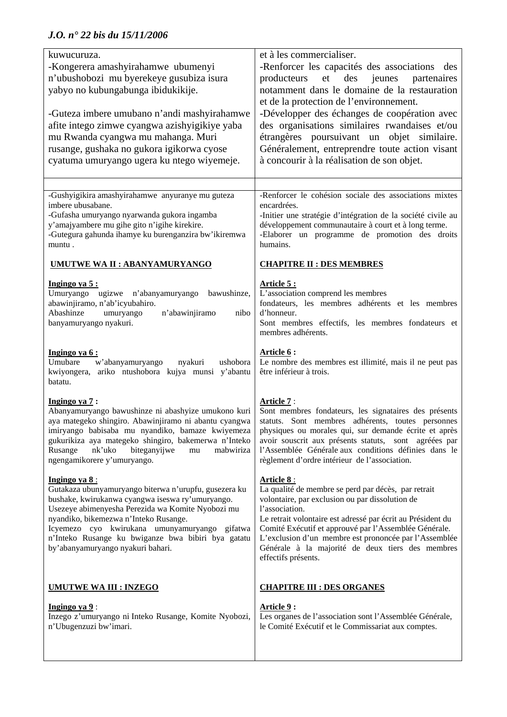| kuwucuruza.<br>-Kongerera amashyirahamwe ubumenyi<br>n'ubushobozi mu byerekeye gusubiza isura<br>yabyo no kubungabunga ibidukikije.<br>-Guteza imbere umubano n'andi mashyirahamwe<br>afite intego zimwe cyangwa azishyigikiye yaba<br>mu Rwanda cyangwa mu mahanga. Muri<br>rusange, gushaka no gukora igikorwa cyose<br>cyatuma umuryango ugera ku ntego wiyemeje.    | et à les commercialiser.<br>-Renforcer les capacités des associations des<br>et<br>des<br>producteurs<br>jeunes<br>partenaires<br>notamment dans le domaine de la restauration<br>et de la protection de l'environnement.<br>-Développer des échanges de coopération avec<br>des organisations similaires rwandaises et/ou<br>étrangères poursuivant un objet similaire.<br>Généralement, entreprendre toute action visant<br>à concourir à la réalisation de son objet. |
|-------------------------------------------------------------------------------------------------------------------------------------------------------------------------------------------------------------------------------------------------------------------------------------------------------------------------------------------------------------------------|--------------------------------------------------------------------------------------------------------------------------------------------------------------------------------------------------------------------------------------------------------------------------------------------------------------------------------------------------------------------------------------------------------------------------------------------------------------------------|
| -Gushyigikira amashyirahamwe anyuranye mu guteza                                                                                                                                                                                                                                                                                                                        | -Renforcer le cohésion sociale des associations mixtes                                                                                                                                                                                                                                                                                                                                                                                                                   |
| imbere ubusabane.<br>-Gufasha umuryango nyarwanda gukora ingamba<br>y'amajyambere mu gihe gito n'igihe kirekire.<br>-Gutegura gahunda ihamye ku burenganzira bw'ikiremwa<br>muntu.                                                                                                                                                                                      | encardrées.<br>-Initier une stratégie d'intégration de la société civile au<br>développement communautaire à court et à long terme.<br>-Elaborer un programme de promotion des droits<br>humains.                                                                                                                                                                                                                                                                        |
| <b>UMUTWE WA II: ABANYAMURYANGO</b>                                                                                                                                                                                                                                                                                                                                     | <b>CHAPITRE II : DES MEMBRES</b>                                                                                                                                                                                                                                                                                                                                                                                                                                         |
| Ingingo ya 5:<br>Umuryango ugizwe n'abanyamuryango bawushinze,<br>abawinjiramo, n'ab'icyubahiro.<br>Abashinze<br>n'abawinjiramo<br>umuryango<br>nibo<br>banyamuryango nyakuri.                                                                                                                                                                                          | <u>Article 5 :</u><br>L'association comprend les membres<br>fondateurs, les membres adhérents et les membres<br>d'honneur.<br>Sont membres effectifs, les membres fondateurs et<br>membres adhérents.                                                                                                                                                                                                                                                                    |
| Ingingo ya 6:<br>Umubare<br>w'abanyamuryango nyakuri<br>ushobora<br>kwiyongera, ariko ntushobora kujya munsi y'abantu<br>batatu.                                                                                                                                                                                                                                        | Article 6 :<br>Le nombre des membres est illimité, mais il ne peut pas<br>être inférieur à trois.                                                                                                                                                                                                                                                                                                                                                                        |
| Ingingo ya 7:<br>Abanyamuryango bawushinze ni abashyize umukono kuri<br>aya mategeko shingiro. Abawinjiramo ni abantu cyangwa<br>imiryango babisaba mu nyandiko, bamaze kwiyemeza<br>gukurikiza aya mategeko shingiro, bakemerwa n'Inteko<br>nk'uko<br>biteganyijwe<br>Rusange<br>mabwiriza<br>mu<br>ngengamikorere y'umuryango.                                        | <b>Article 7:</b><br>Sont membres fondateurs, les signataires des présents<br>statuts. Sont membres adhérents, toutes personnes<br>physiques ou morales qui, sur demande écrite et après<br>avoir souscrit aux présents statuts, sont agréées par<br>l'Assemblée Générale aux conditions définies dans le<br>règlement d'ordre intérieur de l'association.                                                                                                               |
| Ingingo ya 8:<br>Gutakaza ubunyamuryango biterwa n'urupfu, gusezera ku<br>bushake, kwirukanwa cyangwa iseswa ry'umuryango.<br>Usezeye abimenyesha Perezida wa Komite Nyobozi mu<br>nyandiko, bikemezwa n'Inteko Rusange.<br>Icyemezo cyo kwirukana umunyamuryango<br>gifatwa<br>n'Inteko Rusange ku bwiganze bwa bibiri bya gatatu<br>by'abanyamuryango nyakuri bahari. | <u>Article 8 :</u><br>La qualité de membre se perd par décès, par retrait<br>volontaire, par exclusion ou par dissolution de<br>l'association.<br>Le retrait volontaire est adressé par écrit au Président du<br>Comité Exécutif et approuvé par l'Assemblée Générale.<br>L'exclusion d'un membre est prononcée par l'Assemblée<br>Générale à la majorité de deux tiers des membres<br>effectifs présents.                                                               |
| <b>UMUTWE WA III : INZEGO</b>                                                                                                                                                                                                                                                                                                                                           | <b>CHAPITRE III : DES ORGANES</b>                                                                                                                                                                                                                                                                                                                                                                                                                                        |
| Ingingo ya $9$ :<br>Inzego z'umuryango ni Inteko Rusange, Komite Nyobozi,<br>n'Ubugenzuzi bw'imari.                                                                                                                                                                                                                                                                     | Article 9 :<br>Les organes de l'association sont l'Assemblée Générale,<br>le Comité Exécutif et le Commissariat aux comptes.                                                                                                                                                                                                                                                                                                                                             |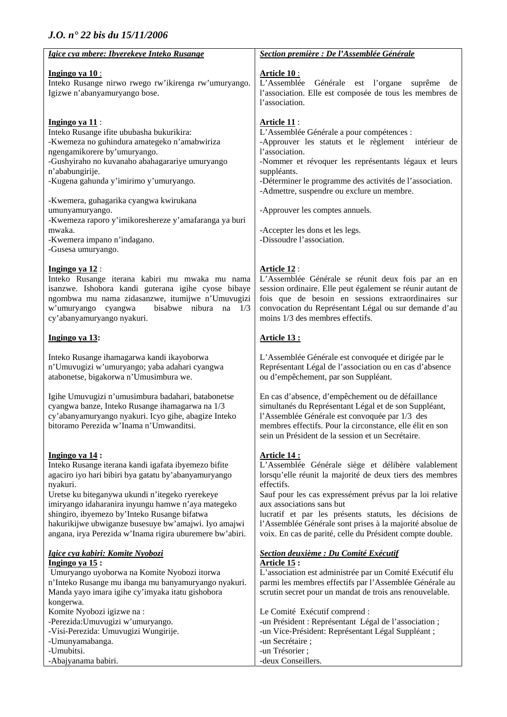| Igice cya mbere: Ibyerekeye Inteko Rusange                                                                                                                                                                                                                                                                                                                                                                                                              | Section première : De l'Assemblée Générale                                                                                                                                                                                                                                                                                                                                                                                         |
|---------------------------------------------------------------------------------------------------------------------------------------------------------------------------------------------------------------------------------------------------------------------------------------------------------------------------------------------------------------------------------------------------------------------------------------------------------|------------------------------------------------------------------------------------------------------------------------------------------------------------------------------------------------------------------------------------------------------------------------------------------------------------------------------------------------------------------------------------------------------------------------------------|
| <b>Ingingo ya 10:</b><br>Inteko Rusange nirwo rwego rw'ikirenga rw'umuryango.<br>Igizwe n'abanyamuryango bose.                                                                                                                                                                                                                                                                                                                                          | <u> Article 10 :</u><br>L'Assemblée<br>Générale est l'organe suprême<br>de<br>l'association. Elle est composée de tous les membres de<br>l'association.                                                                                                                                                                                                                                                                            |
| <b>Ingingo ya 11:</b><br>Inteko Rusange ifite ububasha bukurikira:<br>-Kwemeza no guhindura amategeko n'amabwiriza<br>ngengamikorere by'umuryango.<br>-Gushyiraho no kuvanaho abahagarariye umuryango<br>n'ababungirije.<br>-Kugena gahunda y'imirimo y'umuryango.<br>-Kwemera, guhagarika cyangwa kwirukana<br>umunyamuryango.<br>-Kwemeza raporo y'imikoreshereze y'amafaranga ya buri<br>mwaka.<br>-Kwemera impano n'indagano.<br>-Gusesa umuryango. | <u>  Article 11</u><br>L'Assemblée Générale a pour compétences :<br>-Approuver les statuts et le règlement intérieur de<br>l'association.<br>-Nommer et révoquer les représentants légaux et leurs<br>suppléants.<br>-Déterminer le programme des activités de l'association.<br>-Admettre, suspendre ou exclure un membre.<br>-Approuver les comptes annuels.<br>-Accepter les dons et les legs.<br>-Dissoudre l'association.     |
| Ingingo ya 12:<br>Inteko Rusange iterana kabiri mu mwaka mu nama<br>isanzwe. Ishobora kandi guterana igihe cyose bibaye<br>ngombwa mu nama zidasanzwe, itumijwe n'Umuvugizi<br>w'umuryango cyangwa<br>bisabwe nibura<br>$na \quad 1/3$<br>cy'abanyamuryango nyakuri.                                                                                                                                                                                    | <u>Article 12</u> :<br>L'Assemblée Générale se réunit deux fois par an en<br>session ordinaire. Elle peut également se réunir autant de<br>fois que de besoin en sessions extraordinaires sur<br>convocation du Représentant Légal ou sur demande d'au<br>moins 1/3 des membres effectifs.                                                                                                                                         |
| Ingingo ya 13:                                                                                                                                                                                                                                                                                                                                                                                                                                          | <u>Article 13 :</u>                                                                                                                                                                                                                                                                                                                                                                                                                |
| Inteko Rusange ihamagarwa kandi ikayoborwa<br>n'Umuvugizi w'umuryango; yaba adahari cyangwa<br>atabonetse, bigakorwa n'Umusimbura we.                                                                                                                                                                                                                                                                                                                   | L'Assemblée Générale est convoquée et dirigée par le<br>Représentant Légal de l'association ou en cas d'absence<br>ou d'empêchement, par son Suppléant.                                                                                                                                                                                                                                                                            |
| Igihe Umuvugizi n'umusimbura badahari, batabonetse<br>cyangwa banze, Inteko Rusange ihamagarwa na 1/3<br>cy'abanyamuryango nyakuri. Icyo gihe, abagize Inteko<br>bitoramo Perezida w'Inama n'Umwanditsi.                                                                                                                                                                                                                                                | En cas d'absence, d'empêchement ou de défaillance<br>simultanés du Représentant Légal et de son Suppléant,<br>l'Assemblée Générale est convoquée par 1/3 des<br>membres effectifs. Pour la circonstance, elle élit en son<br>sein un Président de la session et un Secrétaire.                                                                                                                                                     |
| Ingingo ya 14:<br>Inteko Rusange iterana kandi igafata ibyemezo bifite<br>agaciro iyo hari bibiri bya gatatu by'abanyamuryango<br>nyakuri.<br>Uretse ku biteganywa ukundi n'itegeko ryerekeye<br>imiryango idaharanira inyungu hamwe n'aya mategeko<br>shingiro, ibyemezo by'Inteko Rusange bifatwa<br>hakurikijwe ubwiganze busesuye bw'amajwi. Iyo amajwi<br>angana, irya Perezida w'Inama rigira uburemere bw'abiri.                                 | <u> Article 14 :</u><br>L'Assemblée Générale siège et délibère valablement<br>lorsqu'elle réunit la majorité de deux tiers des membres<br>effectifs.<br>Sauf pour les cas expressément prévus par la loi relative<br>aux associations sans but<br>lucratif et par les présents statuts, les décisions de<br>l'Assemblée Générale sont prises à la majorité absolue de<br>voix. En cas de parité, celle du Président compte double. |
| <u>Igice cya kabiri: Komite Nyobozi</u><br>Ingingo ya 15:<br>Umuryango uyoborwa na Komite Nyobozi itorwa<br>n'Inteko Rusange mu ibanga mu banyamuryango nyakuri.<br>Manda yayo imara igihe cy'imyaka itatu gishobora<br>kongerwa.<br>Komite Nyobozi igizwe na:<br>-Perezida: Umuvugizi w'umuryango.                                                                                                                                                     | <b>Section deuxième : Du Comité Exécutif</b><br>Article 15 :<br>L'association est administrée par un Comité Exécutif élu<br>parmi les membres effectifs par l'Assemblée Générale au<br>scrutin secret pour un mandat de trois ans renouvelable.<br>Le Comité Exécutif comprend :<br>-un Président : Représentant Légal de l'association ;                                                                                          |
| -Visi-Perezida: Umuvugizi Wungirije.<br>-Umunyamabanga.<br>-Umubitsi.<br>-Abajyanama babiri.                                                                                                                                                                                                                                                                                                                                                            | -un Vice-Président: Représentant Légal Suppléant ;<br>-un Secrétaire;<br>-un Trésorier;<br>-deux Conseillers.                                                                                                                                                                                                                                                                                                                      |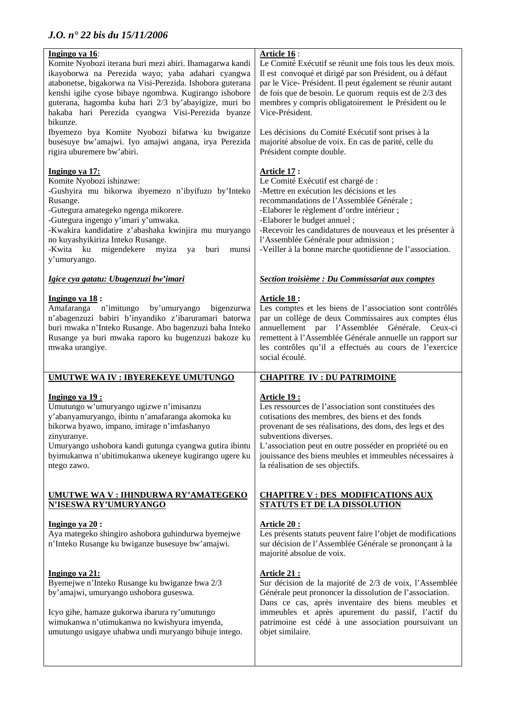| Ingingo ya 16:<br>Komite Nyobozi iterana buri mezi abiri. Ihamagarwa kandi<br>ikayoborwa na Perezida wayo; yaba adahari cyangwa<br>atabonetse, bigakorwa na Visi-Perezida. Ishobora guterana<br>kenshi igihe cyose bibaye ngombwa. Kugirango ishobore<br>guterana, hagomba kuba hari 2/3 by'abayigize, muri bo<br>hakaba hari Perezida cyangwa Visi-Perezida byanze<br>bikunze. | Article 16:<br>Le Comité Exécutif se réunit une fois tous les deux mois.<br>Il est convoqué et dirigé par son Président, ou à défaut<br>par le Vice-Président. Il peut également se réunir autant<br>de fois que de besoin. Le quorum requis est de 2/3 des<br>membres y compris obligatoirement le Président ou le<br>Vice-Président.                                                           |
|---------------------------------------------------------------------------------------------------------------------------------------------------------------------------------------------------------------------------------------------------------------------------------------------------------------------------------------------------------------------------------|--------------------------------------------------------------------------------------------------------------------------------------------------------------------------------------------------------------------------------------------------------------------------------------------------------------------------------------------------------------------------------------------------|
| Ibyemezo bya Komite Nyobozi bifatwa ku bwiganze<br>busesuye bw'amajwi. Iyo amajwi angana, irya Perezida<br>rigira uburemere bw'abiri.                                                                                                                                                                                                                                           | Les décisions du Comité Exécutif sont prises à la<br>majorité absolue de voix. En cas de parité, celle du<br>Président compte double.                                                                                                                                                                                                                                                            |
| Ingingo ya 17:<br>Komite Nyobozi ishinzwe:<br>-Gushyira mu bikorwa ibyemezo n'ibyifuzo by'Inteko<br>Rusange.<br>-Gutegura amategeko ngenga mikorere.<br>-Gutegura ingengo y'imari y'umwaka.<br>-Kwakira kandidatire z'abashaka kwinjira mu muryango<br>no kuyashyikiriza Inteko Rusange.<br>migendekere<br>-Kwita ku<br>myiza<br>ya<br>buri<br>munsi<br>y'umuryango.            | <b>Article 17:</b><br>Le Comité Exécutif est chargé de :<br>-Mettre en exécution les décisions et les<br>recommandations de l'Assemblée Générale;<br>-Elaborer le règlement d'ordre intérieur ;<br>-Elaborer le budget annuel;<br>-Recevoir les candidatures de nouveaux et les présenter à<br>l'Assemblée Générale pour admission ;<br>-Veiller à la bonne marche quotidienne de l'association. |
| Igice cya gatatu: Ubugenzuzi bw'imari                                                                                                                                                                                                                                                                                                                                           | Section troisième : Du Commissariat aux comptes                                                                                                                                                                                                                                                                                                                                                  |
| Ingingo ya 18:<br>Amafaranga n'imitungo<br>by'umuryango<br>bigenzurwa<br>n'abagenzuzi babiri b'inyandiko z'ibaruramari batorwa<br>buri mwaka n'Inteko Rusange. Abo bagenzuzi baha Inteko<br>Rusange ya buri mwaka raporo ku bugenzuzi bakoze ku<br>mwaka urangiye.                                                                                                              | <u>Article 18:</u><br>Les comptes et les biens de l'association sont contrôlés<br>par un collège de deux Commissaires aux comptes élus<br>annuellement par l'Assemblée Générale. Ceux-ci<br>remettent à l'Assemblée Générale annuelle un rapport sur<br>les contrôles qu'il a effectués au cours de l'exercice<br>social écoulé.                                                                 |
| UMUTWE WA IV : IBYEREKEYE UMUTUNGO                                                                                                                                                                                                                                                                                                                                              | <b>CHAPITRE IV: DU PATRIMOINE</b>                                                                                                                                                                                                                                                                                                                                                                |
| Ingingo ya 19:<br>Umutungo w'umuryango ugizwe n'imisanzu<br>y'abanyamuryango, ibintu n'amafaranga akomoka ku<br>bikorwa byawo, impano, imirage n'imfashanyo<br>zinyuranye.<br>Umuryango ushobora kandi gutunga cyangwa gutira ibintu<br>byimukanwa n'ubitimukanwa ukeneye kugirango ugere ku<br>ntego zawo.                                                                     | Article 19 :<br>Les ressources de l'association sont constituées des<br>cotisations des membres, des biens et des fonds<br>provenant de ses réalisations, des dons, des legs et des<br>subventions diverses.<br>L'association peut en outre posséder en propriété ou en<br>jouissance des biens meubles et immeubles nécessaires à<br>la réalisation de ses objectifs.                           |
| UMUTWE WA V : IHINDURWA RY'AMATEGEKO<br><b>N'ISESWA RY'UMURYANGO</b>                                                                                                                                                                                                                                                                                                            | <b>CHAPITRE V : DES MODIFICATIONS AUX</b><br><b>STATUTS ET DE LA DISSOLUTION</b>                                                                                                                                                                                                                                                                                                                 |
| Ingingo ya $20$ :<br>Aya mategeko shingiro ashobora guhindurwa byemejwe<br>n'Inteko Rusange ku bwiganze busesuye bw'amajwi.                                                                                                                                                                                                                                                     | <u>Article 20:</u><br>Les présents statuts peuvent faire l'objet de modifications<br>sur décision de l'Assemblée Générale se prononçant à la<br>majorité absolue de voix.                                                                                                                                                                                                                        |
| Ingingo ya 21:<br>Byemejwe n'Inteko Rusange ku bwiganze bwa 2/3<br>by'amajwi, umuryango ushobora guseswa.<br>Icyo gihe, hamaze gukorwa ibarura ry'umutungo<br>wimukanwa n'utimukanwa no kwishyura imyenda,<br>umutungo usigaye uhabwa undi muryango bihuje intego.                                                                                                              | <u>Article 21 :</u><br>Sur décision de la majorité de 2/3 de voix, l'Assemblée<br>Générale peut prononcer la dissolution de l'association.<br>Dans ce cas, après inventaire des biens meubles et<br>immeubles et après apurement du passif, l'actif du<br>patrimoine est cédé à une association poursuivant un<br>objet similaire.                                                               |
|                                                                                                                                                                                                                                                                                                                                                                                 |                                                                                                                                                                                                                                                                                                                                                                                                  |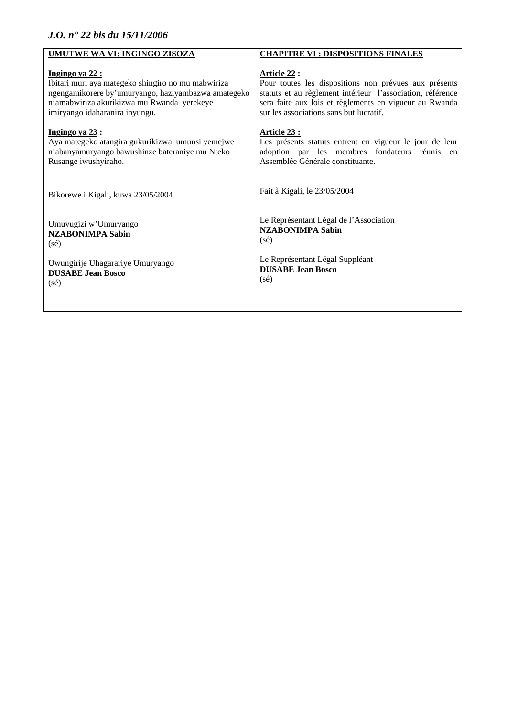| UMUTWE WA VI: INGINGO ZISOZA                        | <b>CHAPITRE VI : DISPOSITIONS FINALES</b>                  |
|-----------------------------------------------------|------------------------------------------------------------|
| Ingingo ya 22 :                                     | Article 22 :                                               |
| Ibitari muri aya mategeko shingiro no mu mabwiriza  | Pour toutes les dispositions non prévues aux présents      |
| ngengamikorere by'umuryango, haziyambazwa amategeko | statuts et au règlement intérieur l'association, référence |
| n'amabwiriza akurikizwa mu Rwanda yerekeye          | sera faite aux lois et règlements en vigueur au Rwanda     |
| imiryango idaharanira inyungu.                      | sur les associations sans but lucratif.                    |
| Ingingo ya $23$ :                                   | <u>Article 23 :</u>                                        |
| Aya mategeko atangira gukurikizwa umunsi yemejwe    | Les présents statuts entrent en vigueur le jour de leur    |
| n'abanyamuryango bawushinze bateraniye mu Nteko     | adoption par les membres fondateurs réunis en              |
| Rusange iwushyiraho.                                | Assemblée Générale constituante.                           |
| Bikorewe i Kigali, kuwa 23/05/2004                  | Fait à Kigali, le 23/05/2004                               |
| Umuvugizi w'Umuryango                               | Le Représentant Légal de l'Association                     |
| <b>NZABONIMPA Sabin</b>                             | <b>NZABONIMPA Sabin</b>                                    |
| $(s\acute{e})$                                      | $(s\acute{e})$                                             |
| Uwungirije Uhagarariye Umuryango                    | Le Représentant Légal Suppléant                            |
| <b>DUSABE Jean Bosco</b>                            | <b>DUSABE Jean Bosco</b>                                   |
| $(s\acute{e})$                                      | $(s\acute{e})$                                             |
|                                                     |                                                            |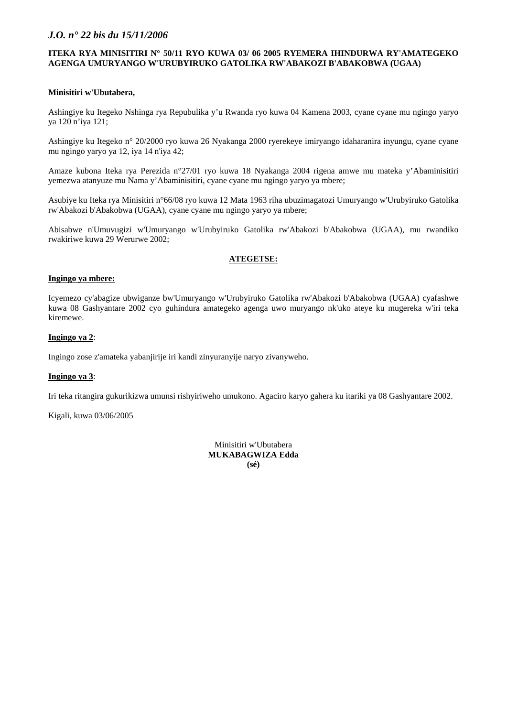#### **ITEKA RYA MINISITIRI N° 50/11 RYO KUWA 03/ 06 2005 RYEMERA IHINDURWA RY'AMATEGEKO AGENGA UMURYANGO W'URUBYIRUKO GATOLIKA RW'ABAKOZI B'ABAKOBWA (UGAA)**

#### **Minisitiri w'Ubutabera,**

Ashingiye ku Itegeko Nshinga rya Repubulika y'u Rwanda ryo kuwa 04 Kamena 2003, cyane cyane mu ngingo yaryo ya 120 n'iya 121;

Ashingiye ku Itegeko n° 20/2000 ryo kuwa 26 Nyakanga 2000 ryerekeye imiryango idaharanira inyungu, cyane cyane mu ngingo yaryo ya 12, iya 14 n'iya 42;

Amaze kubona Iteka rya Perezida n°27/01 ryo kuwa 18 Nyakanga 2004 rigena amwe mu mateka y'Abaminisitiri yemezwa atanyuze mu Nama y'Abaminisitiri, cyane cyane mu ngingo yaryo ya mbere;

Asubiye ku Iteka rya Minisitiri n°66/08 ryo kuwa 12 Mata 1963 riha ubuzimagatozi Umuryango w'Urubyiruko Gatolika rw'Abakozi b'Abakobwa (UGAA), cyane cyane mu ngingo yaryo ya mbere;

Abisabwe n'Umuvugizi w'Umuryango w'Urubyiruko Gatolika rw'Abakozi b'Abakobwa (UGAA), mu rwandiko rwakiriwe kuwa 29 Werurwe 2002;

### **ATEGETSE:**

#### **Ingingo ya mbere:**

Icyemezo cy'abagize ubwiganze bw'Umuryango w'Urubyiruko Gatolika rw'Abakozi b'Abakobwa (UGAA) cyafashwe kuwa 08 Gashyantare 2002 cyo guhindura amategeko agenga uwo muryango nk'uko ateye ku mugereka w'iri teka kiremewe.

### **Ingingo ya 2**:

Ingingo zose z'amateka yabanjirije iri kandi zinyuranyije naryo zivanyweho.

#### **Ingingo ya 3**:

Iri teka ritangira gukurikizwa umunsi rishyiriweho umukono. Agaciro karyo gahera ku itariki ya 08 Gashyantare 2002.

Kigali, kuwa 03/06/2005

Minisitiri w'Ubutabera **MUKABAGWIZA Edda (sé)**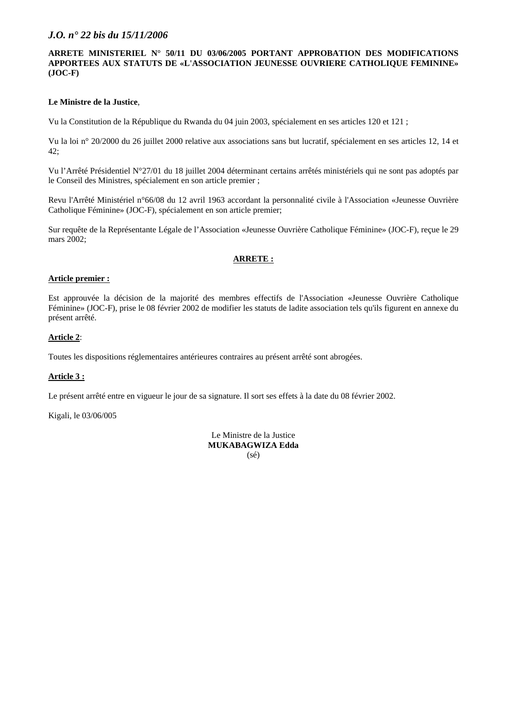### **ARRETE MINISTERIEL N° 50/11 DU 03/06/2005 PORTANT APPROBATION DES MODIFICATIONS APPORTEES AUX STATUTS DE «L'ASSOCIATION JEUNESSE OUVRIERE CATHOLIQUE FEMININE» (JOC-F)**

### **Le Ministre de la Justice**,

Vu la Constitution de la République du Rwanda du 04 juin 2003, spécialement en ses articles 120 et 121 ;

Vu la loi n° 20/2000 du 26 juillet 2000 relative aux associations sans but lucratif, spécialement en ses articles 12, 14 et 42;

Vu l'Arrêté Présidentiel N°27/01 du 18 juillet 2004 déterminant certains arrêtés ministériels qui ne sont pas adoptés par le Conseil des Ministres, spécialement en son article premier ;

Revu l'Arrêté Ministériel n°66/08 du 12 avril 1963 accordant la personnalité civile à l'Association «Jeunesse Ouvrière Catholique Féminine» (JOC-F), spécialement en son article premier;

Sur requête de la Représentante Légale de l'Association «Jeunesse Ouvrière Catholique Féminine» (JOC-F), reçue le 29 mars 2002:

### **ARRETE :**

#### **Article premier :**

Est approuvée la décision de la majorité des membres effectifs de l'Association «Jeunesse Ouvrière Catholique Féminine» (JOC-F), prise le 08 février 2002 de modifier les statuts de ladite association tels qu'ils figurent en annexe du présent arrêté.

### **Article 2**:

Toutes les dispositions réglementaires antérieures contraires au présent arrêté sont abrogées.

## **Article 3 :**

Le présent arrêté entre en vigueur le jour de sa signature. Il sort ses effets à la date du 08 février 2002.

Kigali, le 03/06/005

Le Ministre de la Justice **MUKABAGWIZA Edda**  (sé)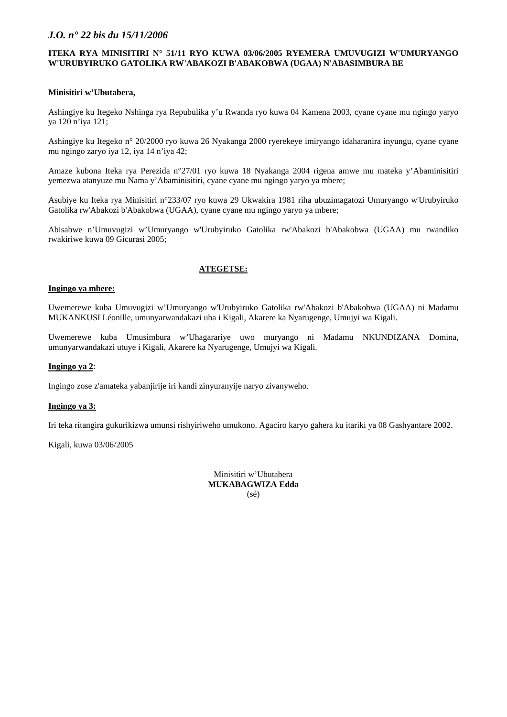### **ITEKA RYA MINISITIRI N° 51/11 RYO KUWA 03/06/2005 RYEMERA UMUVUGIZI W'UMURYANGO W'URUBYIRUKO GATOLIKA RW'ABAKOZI B'ABAKOBWA (UGAA) N'ABASIMBURA BE**

#### **Minisitiri w'Ubutabera,**

Ashingiye ku Itegeko Nshinga rya Repubulika y'u Rwanda ryo kuwa 04 Kamena 2003, cyane cyane mu ngingo yaryo ya 120 n'iya 121;

Ashingiye ku Itegeko n° 20/2000 ryo kuwa 26 Nyakanga 2000 ryerekeye imiryango idaharanira inyungu, cyane cyane mu ngingo zaryo iya 12, iya 14 n'iya 42;

Amaze kubona Iteka rya Perezida n°27/01 ryo kuwa 18 Nyakanga 2004 rigena amwe mu mateka y'Abaminisitiri yemezwa atanyuze mu Nama y'Abaminisitiri, cyane cyane mu ngingo yaryo ya mbere;

Asubiye ku Iteka rya Minisitiri n°233/07 ryo kuwa 29 Ukwakira 1981 riha ubuzimagatozi Umuryango w'Urubyiruko Gatolika rw'Abakozi b'Abakobwa (UGAA), cyane cyane mu ngingo yaryo ya mbere;

Abisabwe n'Umuvugizi w'Umuryango w'Urubyiruko Gatolika rw'Abakozi b'Abakobwa (UGAA) mu rwandiko rwakiriwe kuwa 09 Gicurasi 2005;

## **ATEGETSE:**

#### **Ingingo ya mbere:**

Uwemerewe kuba Umuvugizi w'Umuryango w'Urubyiruko Gatolika rw'Abakozi b'Abakobwa (UGAA) ni Madamu MUKANKUSI Léonille, umunyarwandakazi uba i Kigali, Akarere ka Nyarugenge, Umujyi wa Kigali.

Uwemerewe kuba Umusimbura w'Uhagarariye uwo muryango ni Madamu NKUNDIZANA Domina, umunyarwandakazi utuye i Kigali, Akarere ka Nyarugenge, Umujyi wa Kigali.

#### **Ingingo ya 2**:

Ingingo zose z'amateka yabanjirije iri kandi zinyuranyije naryo zivanyweho.

#### **Ingingo ya 3:**

Iri teka ritangira gukurikizwa umunsi rishyiriweho umukono. Agaciro karyo gahera ku itariki ya 08 Gashyantare 2002.

Kigali, kuwa 03/06/2005

Minisitiri w'Ubutabera **MUKABAGWIZA Edda**  (sé)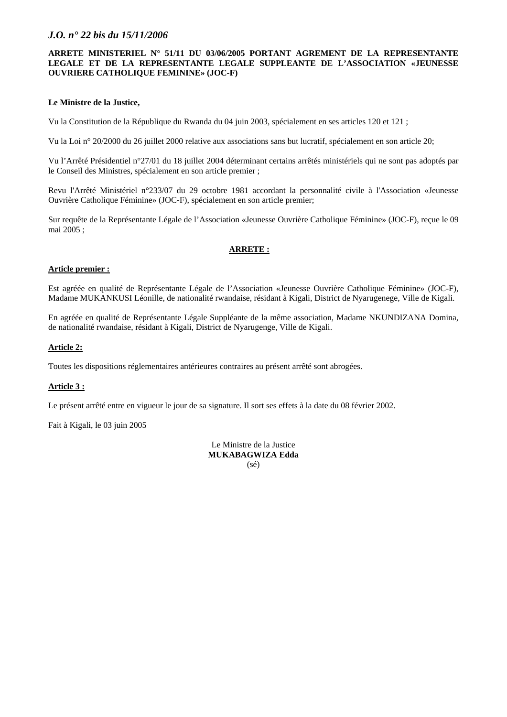### **ARRETE MINISTERIEL N° 51/11 DU 03/06/2005 PORTANT AGREMENT DE LA REPRESENTANTE LEGALE ET DE LA REPRESENTANTE LEGALE SUPPLEANTE DE L'ASSOCIATION «JEUNESSE OUVRIERE CATHOLIQUE FEMININE» (JOC-F)**

### **Le Ministre de la Justice,**

Vu la Constitution de la République du Rwanda du 04 juin 2003, spécialement en ses articles 120 et 121 ;

Vu la Loi n° 20/2000 du 26 juillet 2000 relative aux associations sans but lucratif, spécialement en son article 20;

Vu l'Arrêté Présidentiel n°27/01 du 18 juillet 2004 déterminant certains arrêtés ministériels qui ne sont pas adoptés par le Conseil des Ministres, spécialement en son article premier ;

Revu l'Arrêté Ministériel n°233/07 du 29 octobre 1981 accordant la personnalité civile à l'Association «Jeunesse Ouvrière Catholique Féminine» (JOC-F), spécialement en son article premier;

Sur requête de la Représentante Légale de l'Association «Jeunesse Ouvrière Catholique Féminine» (JOC-F), reçue le 09 mai 2005 ;

### **ARRETE :**

### **Article premier :**

Est agréée en qualité de Représentante Légale de l'Association «Jeunesse Ouvrière Catholique Féminine» (JOC-F), Madame MUKANKUSI Léonille, de nationalité rwandaise, résidant à Kigali, District de Nyarugenege, Ville de Kigali.

En agréée en qualité de Représentante Légale Suppléante de la même association, Madame NKUNDIZANA Domina, de nationalité rwandaise, résidant à Kigali, District de Nyarugenge, Ville de Kigali.

### **Article 2:**

Toutes les dispositions réglementaires antérieures contraires au présent arrêté sont abrogées.

## **Article 3 :**

Le présent arrêté entre en vigueur le jour de sa signature. Il sort ses effets à la date du 08 février 2002.

Fait à Kigali, le 03 juin 2005

Le Ministre de la Justice **MUKABAGWIZA Edda**  (sé)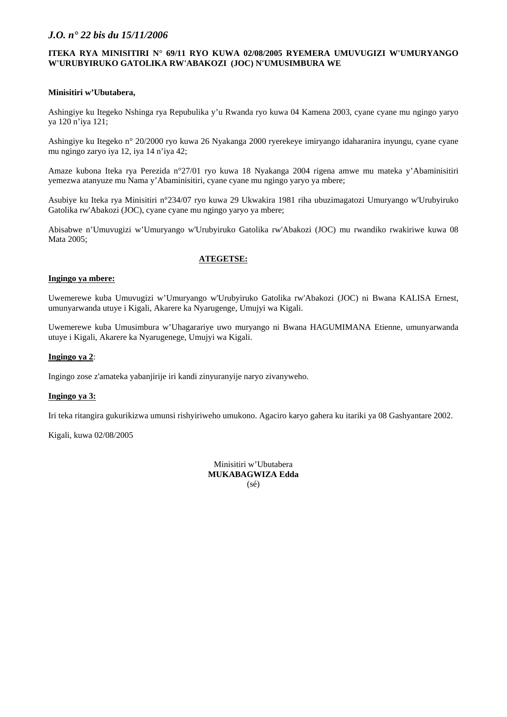#### **ITEKA RYA MINISITIRI N° 69/11 RYO KUWA 02/08/2005 RYEMERA UMUVUGIZI W'UMURYANGO W'URUBYIRUKO GATOLIKA RW'ABAKOZI (JOC) N'UMUSIMBURA WE**

#### **Minisitiri w'Ubutabera,**

Ashingiye ku Itegeko Nshinga rya Repubulika y'u Rwanda ryo kuwa 04 Kamena 2003, cyane cyane mu ngingo yaryo ya 120 n'iya 121;

Ashingiye ku Itegeko n° 20/2000 ryo kuwa 26 Nyakanga 2000 ryerekeye imiryango idaharanira inyungu, cyane cyane mu ngingo zaryo iya 12, iya 14 n'iya 42;

Amaze kubona Iteka rya Perezida n°27/01 ryo kuwa 18 Nyakanga 2004 rigena amwe mu mateka y'Abaminisitiri yemezwa atanyuze mu Nama y'Abaminisitiri, cyane cyane mu ngingo yaryo ya mbere;

Asubiye ku Iteka rya Minisitiri n°234/07 ryo kuwa 29 Ukwakira 1981 riha ubuzimagatozi Umuryango w'Urubyiruko Gatolika rw'Abakozi (JOC), cyane cyane mu ngingo yaryo ya mbere;

Abisabwe n'Umuvugizi w'Umuryango w'Urubyiruko Gatolika rw'Abakozi (JOC) mu rwandiko rwakiriwe kuwa 08 Mata 2005;

### **ATEGETSE:**

#### **Ingingo ya mbere:**

Uwemerewe kuba Umuvugizi w'Umuryango w'Urubyiruko Gatolika rw'Abakozi (JOC) ni Bwana KALISA Ernest, umunyarwanda utuye i Kigali, Akarere ka Nyarugenge, Umujyi wa Kigali.

Uwemerewe kuba Umusimbura w'Uhagarariye uwo muryango ni Bwana HAGUMIMANA Etienne, umunyarwanda utuye i Kigali, Akarere ka Nyarugenege, Umujyi wa Kigali.

#### **Ingingo ya 2**:

Ingingo zose z'amateka yabanjirije iri kandi zinyuranyije naryo zivanyweho.

#### **Ingingo ya 3:**

Iri teka ritangira gukurikizwa umunsi rishyiriweho umukono. Agaciro karyo gahera ku itariki ya 08 Gashyantare 2002.

Kigali, kuwa 02/08/2005

Minisitiri w'Ubutabera **MUKABAGWIZA Edda**  (sé)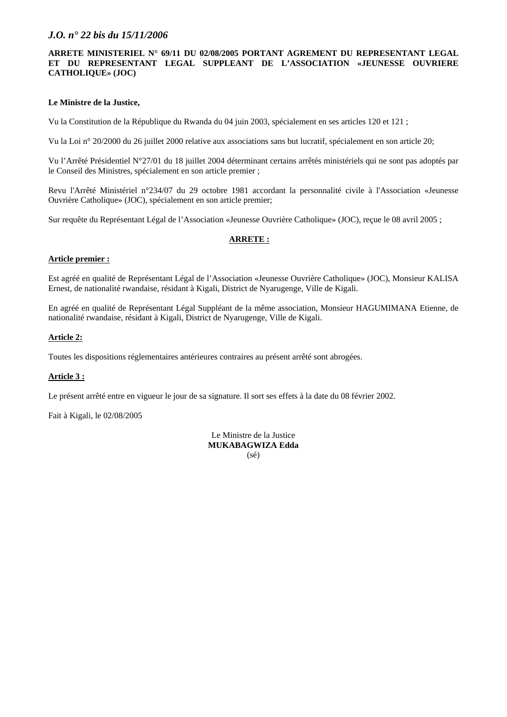#### **ARRETE MINISTERIEL N° 69/11 DU 02/08/2005 PORTANT AGREMENT DU REPRESENTANT LEGAL ET DU REPRESENTANT LEGAL SUPPLEANT DE L'ASSOCIATION «JEUNESSE OUVRIERE CATHOLIQUE» (JOC)**

#### **Le Ministre de la Justice,**

Vu la Constitution de la République du Rwanda du 04 juin 2003, spécialement en ses articles 120 et 121 ;

Vu la Loi n° 20/2000 du 26 juillet 2000 relative aux associations sans but lucratif, spécialement en son article 20;

Vu l'Arrêté Présidentiel N°27/01 du 18 juillet 2004 déterminant certains arrêtés ministériels qui ne sont pas adoptés par le Conseil des Ministres, spécialement en son article premier ;

Revu l'Arrêté Ministériel n°234/07 du 29 octobre 1981 accordant la personnalité civile à l'Association «Jeunesse Ouvrière Catholique» (JOC), spécialement en son article premier;

Sur requête du Représentant Légal de l'Association «Jeunesse Ouvrière Catholique» (JOC), reçue le 08 avril 2005 ;

#### **ARRETE :**

#### **Article premier :**

Est agréé en qualité de Représentant Légal de l'Association «Jeunesse Ouvrière Catholique» (JOC), Monsieur KALISA Ernest, de nationalité rwandaise, résidant à Kigali, District de Nyarugenge, Ville de Kigali.

En agréé en qualité de Représentant Légal Suppléant de la même association, Monsieur HAGUMIMANA Etienne, de nationalité rwandaise, résidant à Kigali, District de Nyarugenge, Ville de Kigali.

#### **Article 2:**

Toutes les dispositions réglementaires antérieures contraires au présent arrêté sont abrogées.

#### **Article 3 :**

Le présent arrêté entre en vigueur le jour de sa signature. Il sort ses effets à la date du 08 février 2002.

Fait à Kigali, le 02/08/2005

Le Ministre de la Justice **MUKABAGWIZA Edda**  (sé)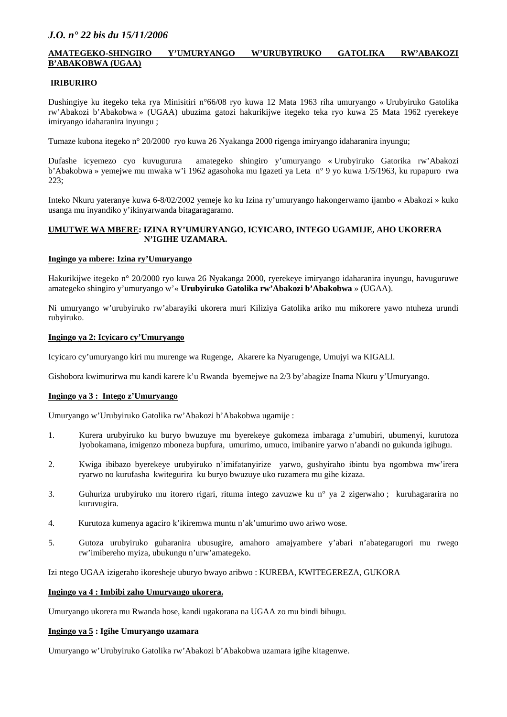### **AMATEGEKO-SHINGIRO Y'UMURYANGO W'URUBYIRUKO GATOLIKA RW'ABAKOZI B'ABAKOBWA (UGAA)**

#### **IRIBURIRO**

Dushingiye ku itegeko teka rya Minisitiri n°66/08 ryo kuwa 12 Mata 1963 riha umuryango « Urubyiruko Gatolika rw'Abakozi b'Abakobwa » (UGAA) ubuzima gatozi hakurikijwe itegeko teka ryo kuwa 25 Mata 1962 ryerekeye imiryango idaharanira inyungu ;

Tumaze kubona itegeko n° 20/2000 ryo kuwa 26 Nyakanga 2000 rigenga imiryango idaharanira inyungu;

Dufashe icyemezo cyo kuvugurura amategeko shingiro y'umuryango « Urubyiruko Gatorika rw'Abakozi b'Abakobwa » yemejwe mu mwaka w'i 1962 agasohoka mu Igazeti ya Leta n° 9 yo kuwa 1/5/1963, ku rupapuro rwa 223;

Inteko Nkuru yateranye kuwa 6-8/02/2002 yemeje ko ku Izina ry'umuryango hakongerwamo ijambo « Abakozi » kuko usanga mu inyandiko y'ikinyarwanda bitagaragaramo.

#### **UMUTWE WA MBERE: IZINA RY'UMURYANGO, ICYICARO, INTEGO UGAMIJE, AHO UKORERA N'IGIHE UZAMARA.**

#### **Ingingo ya mbere: Izina ry'Umuryango**

Hakurikijwe itegeko n° 20/2000 ryo kuwa 26 Nyakanga 2000, ryerekeye imiryango idaharanira inyungu, havuguruwe amategeko shingiro y'umuryango w'« **Urubyiruko Gatolika rw'Abakozi b'Abakobwa** » (UGAA).

Ni umuryango w'urubyiruko rw'abarayiki ukorera muri Kiliziya Gatolika ariko mu mikorere yawo ntuheza urundi rubyiruko.

#### **Ingingo ya 2: Icyicaro cy'Umuryango**

Icyicaro cy'umuryango kiri mu murenge wa Rugenge, Akarere ka Nyarugenge, Umujyi wa KIGALI.

Gishobora kwimurirwa mu kandi karere k'u Rwanda byemejwe na 2/3 by'abagize Inama Nkuru y'Umuryango.

#### **Ingingo ya 3 : Intego z'Umuryango**

Umuryango w'Urubyiruko Gatolika rw'Abakozi b'Abakobwa ugamije :

- 1. Kurera urubyiruko ku buryo bwuzuye mu byerekeye gukomeza imbaraga z'umubiri, ubumenyi, kurutoza Iyobokamana, imigenzo mboneza bupfura, umurimo, umuco, imibanire yarwo n'abandi no gukunda igihugu.
- 2. Kwiga ibibazo byerekeye urubyiruko n'imifatanyirize yarwo, gushyiraho ibintu bya ngombwa mw'irera ryarwo no kurufasha kwitegurira ku buryo bwuzuye uko ruzamera mu gihe kizaza.
- 3. Guhuriza urubyiruko mu itorero rigari, rituma intego zavuzwe ku n° ya 2 zigerwaho ; kuruhagararira no kuruvugira.
- 4. Kurutoza kumenya agaciro k'ikiremwa muntu n'ak'umurimo uwo ariwo wose.
- 5. Gutoza urubyiruko guharanira ubusugire, amahoro amajyambere y'abari n'abategarugori mu rwego rw'imibereho myiza, ubukungu n'urw'amategeko.

Izi ntego UGAA izigeraho ikoresheje uburyo bwayo aribwo : KUREBA, KWITEGEREZA, GUKORA

#### **Ingingo ya 4 : Imbibi zaho Umuryango ukorera.**

Umuryango ukorera mu Rwanda hose, kandi ugakorana na UGAA zo mu bindi bihugu.

#### **Ingingo ya 5 : Igihe Umuryango uzamara**

Umuryango w'Urubyiruko Gatolika rw'Abakozi b'Abakobwa uzamara igihe kitagenwe.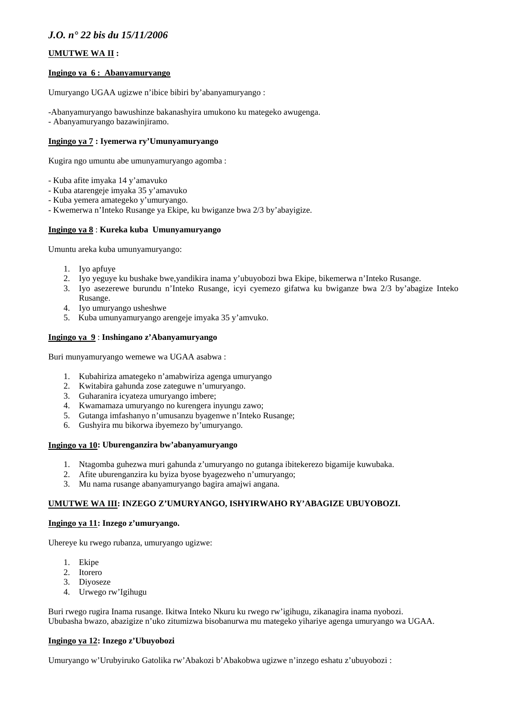## **UMUTWE WA II :**

#### **Ingingo ya 6 : Abanyamuryango**

Umuryango UGAA ugizwe n'ibice bibiri by'abanyamuryango :

- -Abanyamuryango bawushinze bakanashyira umukono ku mategeko awugenga.
- Abanyamuryango bazawinjiramo.

## **Ingingo ya 7 : Iyemerwa ry'Umunyamuryango**

Kugira ngo umuntu abe umunyamuryango agomba :

- Kuba afite imyaka 14 y'amavuko
- Kuba atarengeje imyaka 35 y'amavuko
- Kuba yemera amategeko y'umuryango.
- Kwemerwa n'Inteko Rusange ya Ekipe, ku bwiganze bwa 2/3 by'abayigize.

## **Ingingo ya 8** : **Kureka kuba Umunyamuryango**

Umuntu areka kuba umunyamuryango:

- 1. Iyo apfuye
- 2. Iyo yeguye ku bushake bwe,yandikira inama y'ubuyobozi bwa Ekipe, bikemerwa n'Inteko Rusange.
- 3. Iyo asezerewe burundu n'Inteko Rusange, icyi cyemezo gifatwa ku bwiganze bwa 2/3 by'abagize Inteko Rusange.
- 4. Iyo umuryango usheshwe
- 5. Kuba umunyamuryango arengeje imyaka 35 y'amvuko.

### **Ingingo ya 9** : **Inshingano z'Abanyamuryango**

Buri munyamuryango wemewe wa UGAA asabwa :

- 1. Kubahiriza amategeko n'amabwiriza agenga umuryango
- 2. Kwitabira gahunda zose zateguwe n'umuryango.
- 3. Guharanira icyateza umuryango imbere;
- 4. Kwamamaza umuryango no kurengera inyungu zawo;
- 5. Gutanga imfashanyo n'umusanzu byagenwe n'Inteko Rusange;
- 6. Gushyira mu bikorwa ibyemezo by'umuryango.

## **Ingingo ya 10: Uburenganzira bw'abanyamuryango**

- 1. Ntagomba guhezwa muri gahunda z'umuryango no gutanga ibitekerezo bigamije kuwubaka.
- 2. Afite uburenganzira ku byiza byose byagezweho n'umuryango;
- 3. Mu nama rusange abanyamuryango bagira amajwi angana.

## **UMUTWE WA III: INZEGO Z'UMURYANGO, ISHYIRWAHO RY'ABAGIZE UBUYOBOZI.**

#### **Ingingo ya 11: Inzego z'umuryango.**

Uhereye ku rwego rubanza, umuryango ugizwe:

- 1. Ekipe
- 2. Itorero
- 3. Diyoseze
- 4. Urwego rw'Igihugu

Buri rwego rugira Inama rusange. Ikitwa Inteko Nkuru ku rwego rw'igihugu, zikanagira inama nyobozi. Ububasha bwazo, abazigize n'uko zitumizwa bisobanurwa mu mategeko yihariye agenga umuryango wa UGAA.

## **Ingingo ya 12: Inzego z'Ubuyobozi**

Umuryango w'Urubyiruko Gatolika rw'Abakozi b'Abakobwa ugizwe n'inzego eshatu z'ubuyobozi :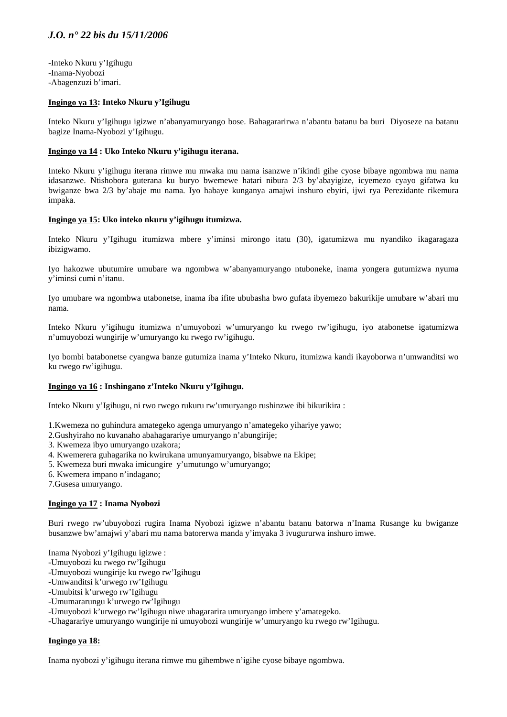-Inteko Nkuru y'Igihugu -Inama-Nyobozi -Abagenzuzi b'imari.

#### **Ingingo ya 13: Inteko Nkuru y'Igihugu**

Inteko Nkuru y'Igihugu igizwe n'abanyamuryango bose. Bahagararirwa n'abantu batanu ba buri Diyoseze na batanu bagize Inama-Nyobozi y'Igihugu.

#### **Ingingo ya 14 : Uko Inteko Nkuru y'igihugu iterana.**

Inteko Nkuru y'igihugu iterana rimwe mu mwaka mu nama isanzwe n'ikindi gihe cyose bibaye ngombwa mu nama idasanzwe. Ntishobora guterana ku buryo bwemewe hatari nibura 2/3 by'abayigize, icyemezo cyayo gifatwa ku bwiganze bwa 2/3 by'abaje mu nama. Iyo habaye kunganya amajwi inshuro ebyiri, ijwi rya Perezidante rikemura impaka.

#### **Ingingo ya 15: Uko inteko nkuru y'igihugu itumizwa.**

Inteko Nkuru y'Igihugu itumizwa mbere y'iminsi mirongo itatu (30), igatumizwa mu nyandiko ikagaragaza ibizigwamo.

Iyo hakozwe ubutumire umubare wa ngombwa w'abanyamuryango ntuboneke, inama yongera gutumizwa nyuma y'iminsi cumi n'itanu.

Iyo umubare wa ngombwa utabonetse, inama iba ifite ububasha bwo gufata ibyemezo bakurikije umubare w'abari mu nama.

Inteko Nkuru y'igihugu itumizwa n'umuyobozi w'umuryango ku rwego rw'igihugu, iyo atabonetse igatumizwa n'umuyobozi wungirije w'umuryango ku rwego rw'igihugu.

Iyo bombi batabonetse cyangwa banze gutumiza inama y'Inteko Nkuru, itumizwa kandi ikayoborwa n'umwanditsi wo ku rwego rw'igihugu.

#### **Ingingo ya 16 : Inshingano z'Inteko Nkuru y'Igihugu.**

Inteko Nkuru y'Igihugu, ni rwo rwego rukuru rw'umuryango rushinzwe ibi bikurikira :

- 1.Kwemeza no guhindura amategeko agenga umuryango n'amategeko yihariye yawo;
- 2.Gushyiraho no kuvanaho abahagarariye umuryango n'abungirije;
- 3. Kwemeza ibyo umuryango uzakora;
- 4. Kwemerera guhagarika no kwirukana umunyamuryango, bisabwe na Ekipe;
- 5. Kwemeza buri mwaka imicungire y'umutungo w'umuryango;
- 6. Kwemera impano n'indagano;

7.Gusesa umuryango.

#### **Ingingo ya 17 : Inama Nyobozi**

Buri rwego rw'ubuyobozi rugira Inama Nyobozi igizwe n'abantu batanu batorwa n'Inama Rusange ku bwiganze busanzwe bw'amajwi y'abari mu nama batorerwa manda y'imyaka 3 ivugururwa inshuro imwe.

- Inama Nyobozi y'Igihugu igizwe :
- -Umuyobozi ku rwego rw'Igihugu
- -Umuyobozi wungirije ku rwego rw'Igihugu
- -Umwanditsi k'urwego rw'Igihugu
- -Umubitsi k'urwego rw'Igihugu
- -Umumararungu k'urwego rw'Igihugu
- -Umuyobozi k'urwego rw'Igihugu niwe uhagararira umuryango imbere y'amategeko.
- -Uhagarariye umuryango wungirije ni umuyobozi wungirije w'umuryango ku rwego rw'Igihugu.

#### **Ingingo ya 18:**

Inama nyobozi y'igihugu iterana rimwe mu gihembwe n'igihe cyose bibaye ngombwa.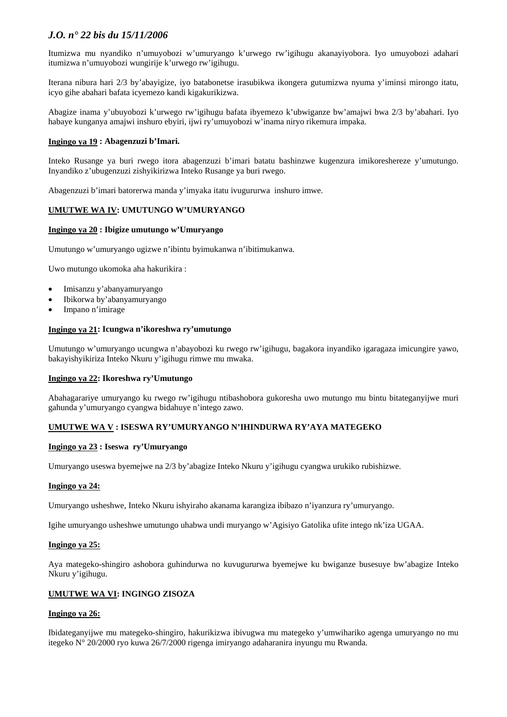Itumizwa mu nyandiko n'umuyobozi w'umuryango k'urwego rw'igihugu akanayiyobora. Iyo umuyobozi adahari itumizwa n'umuyobozi wungirije k'urwego rw'igihugu.

Iterana nibura hari 2/3 by'abayigize, iyo batabonetse irasubikwa ikongera gutumizwa nyuma y'iminsi mirongo itatu, icyo gihe abahari bafata icyemezo kandi kigakurikizwa.

Abagize inama y'ubuyobozi k'urwego rw'igihugu bafata ibyemezo k'ubwiganze bw'amajwi bwa 2/3 by'abahari. Iyo habaye kunganya amajwi inshuro ebyiri, ijwi ry'umuyobozi w'inama niryo rikemura impaka.

### **Ingingo ya 19 : Abagenzuzi b'Imari.**

Inteko Rusange ya buri rwego itora abagenzuzi b'imari batatu bashinzwe kugenzura imikoreshereze y'umutungo. Inyandiko z'ubugenzuzi zishyikirizwa Inteko Rusange ya buri rwego.

Abagenzuzi b'imari batorerwa manda y'imyaka itatu ivugururwa inshuro imwe.

### **UMUTWE WA IV: UMUTUNGO W'UMURYANGO**

#### **Ingingo ya 20 : Ibigize umutungo w'Umuryango**

Umutungo w'umuryango ugizwe n'ibintu byimukanwa n'ibitimukanwa.

Uwo mutungo ukomoka aha hakurikira :

- Imisanzu y'abanyamuryango
- Ibikorwa by'abanyamuryango
- Impano n'imirage

#### **Ingingo ya 21: Icungwa n'ikoreshwa ry'umutungo**

Umutungo w'umuryango ucungwa n'abayobozi ku rwego rw'igihugu, bagakora inyandiko igaragaza imicungire yawo, bakayishyikiriza Inteko Nkuru y'igihugu rimwe mu mwaka.

#### **Ingingo ya 22: Ikoreshwa ry'Umutungo**

Abahagarariye umuryango ku rwego rw'igihugu ntibashobora gukoresha uwo mutungo mu bintu bitateganyijwe muri gahunda y'umuryango cyangwa bidahuye n'intego zawo.

#### **UMUTWE WA V : ISESWA RY'UMURYANGO N'IHINDURWA RY'AYA MATEGEKO**

#### **Ingingo ya 23 : Iseswa ry'Umuryango**

Umuryango useswa byemejwe na 2/3 by'abagize Inteko Nkuru y'igihugu cyangwa urukiko rubishizwe.

#### **Ingingo ya 24:**

Umuryango usheshwe, Inteko Nkuru ishyiraho akanama karangiza ibibazo n'iyanzura ry'umuryango.

Igihe umuryango usheshwe umutungo uhabwa undi muryango w'Agisiyo Gatolika ufite intego nk'iza UGAA.

#### **Ingingo ya 25:**

Aya mategeko-shingiro ashobora guhindurwa no kuvugururwa byemejwe ku bwiganze busesuye bw'abagize Inteko Nkuru y'igihugu.

#### **UMUTWE WA VI: INGINGO ZISOZA**

#### **Ingingo ya 26:**

Ibidateganyijwe mu mategeko-shingiro, hakurikizwa ibivugwa mu mategeko y'umwihariko agenga umuryango no mu itegeko N° 20/2000 ryo kuwa 26/7/2000 rigenga imiryango adaharanira inyungu mu Rwanda.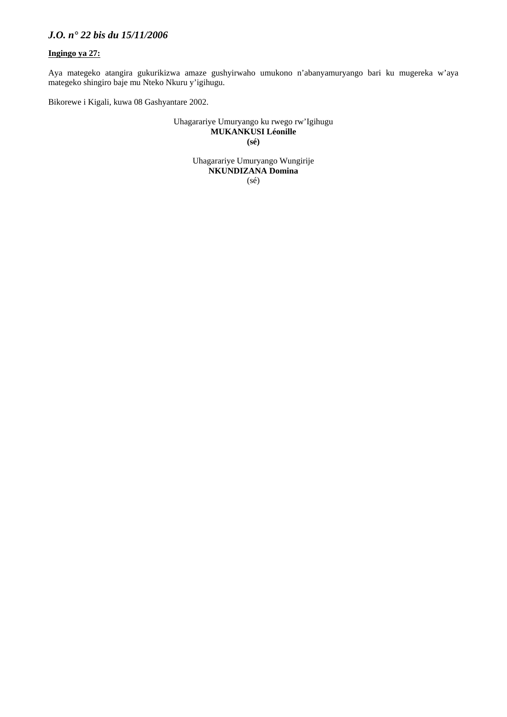## **Ingingo ya 27:**

Aya mategeko atangira gukurikizwa amaze gushyirwaho umukono n'abanyamuryango bari ku mugereka w'aya mategeko shingiro baje mu Nteko Nkuru y'igihugu.

Bikorewe i Kigali, kuwa 08 Gashyantare 2002.

Uhagarariye Umuryango ku rwego rw'Igihugu **MUKANKUSI Léonille (sé)** 

> Uhagarariye Umuryango Wungirije **NKUNDIZANA Domina**  (sé)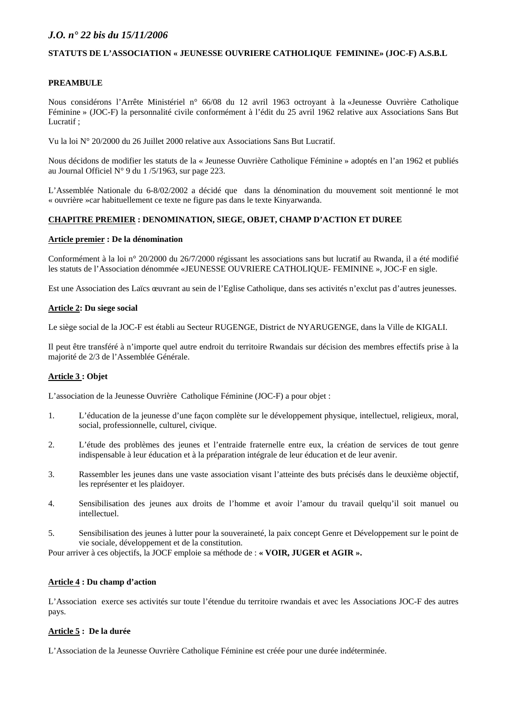#### **STATUTS DE L'ASSOCIATION « JEUNESSE OUVRIERE CATHOLIQUE FEMININE» (JOC-F) A.S.B.L**

## **PREAMBULE**

Nous considérons l'Arrête Ministériel n° 66/08 du 12 avril 1963 octroyant à la «Jeunesse Ouvrière Catholique Féminine » (JOC-F) la personnalité civile conformément à l'édit du 25 avril 1962 relative aux Associations Sans But Lucratif ;

Vu la loi N° 20/2000 du 26 Juillet 2000 relative aux Associations Sans But Lucratif.

Nous décidons de modifier les statuts de la « Jeunesse Ouvrière Catholique Féminine » adoptés en l'an 1962 et publiés au Journal Officiel N° 9 du 1 /5/1963, sur page 223.

L'Assemblée Nationale du 6-8/02/2002 a décidé que dans la dénomination du mouvement soit mentionné le mot « ouvrière »car habituellement ce texte ne figure pas dans le texte Kinyarwanda.

## **CHAPITRE PREMIER : DENOMINATION, SIEGE, OBJET, CHAMP D'ACTION ET DUREE**

#### **Article premier : De la dénomination**

Conformément à la loi n° 20/2000 du 26/7/2000 régissant les associations sans but lucratif au Rwanda, il a été modifié les statuts de l'Association dénommée «JEUNESSE OUVRIERE CATHOLIQUE- FEMININE », JOC-F en sigle.

Est une Association des Laïcs œuvrant au sein de l'Eglise Catholique, dans ses activités n'exclut pas d'autres jeunesses.

#### **Article 2: Du siege social**

Le siège social de la JOC-F est établi au Secteur RUGENGE, District de NYARUGENGE, dans la Ville de KIGALI.

Il peut être transféré à n'importe quel autre endroit du territoire Rwandais sur décision des membres effectifs prise à la majorité de 2/3 de l'Assemblée Générale.

#### **Article 3 : Objet**

L'association de la Jeunesse Ouvrière Catholique Féminine (JOC-F) a pour objet :

- 1. L'éducation de la jeunesse d'une façon complète sur le développement physique, intellectuel, religieux, moral, social, professionnelle, culturel, civique.
- 2. L'étude des problèmes des jeunes et l'entraide fraternelle entre eux, la création de services de tout genre indispensable à leur éducation et à la préparation intégrale de leur éducation et de leur avenir.
- 3. Rassembler les jeunes dans une vaste association visant l'atteinte des buts précisés dans le deuxième objectif, les représenter et les plaidoyer.
- 4. Sensibilisation des jeunes aux droits de l'homme et avoir l'amour du travail quelqu'il soit manuel ou intellectuel.
- 5. Sensibilisation des jeunes à lutter pour la souveraineté, la paix concept Genre et Développement sur le point de vie sociale, développement et de la constitution.

Pour arriver à ces objectifs, la JOCF emploie sa méthode de : **« VOIR, JUGER et AGIR ».** 

#### **Article 4 : Du champ d'action**

L'Association exerce ses activités sur toute l'étendue du territoire rwandais et avec les Associations JOC-F des autres pays.

## **Article 5 : De la durée**

L'Association de la Jeunesse Ouvrière Catholique Féminine est créée pour une durée indéterminée.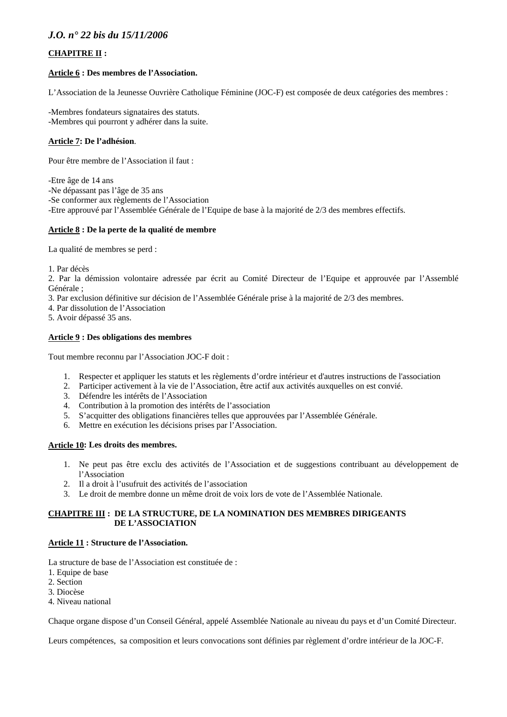## **CHAPITRE II :**

#### **Article 6 : Des membres de l'Association.**

L'Association de la Jeunesse Ouvrière Catholique Féminine (JOC-F) est composée de deux catégories des membres :

-Membres fondateurs signataires des statuts. -Membres qui pourront y adhérer dans la suite.

### **Article 7: De l'adhésion**.

Pour être membre de l'Association il faut :

-Etre âge de 14 ans

-Ne dépassant pas l'âge de 35 ans

-Se conformer aux règlements de l'Association

-Etre approuvé par l'Assemblée Générale de l'Equipe de base à la majorité de 2/3 des membres effectifs.

### **Article 8 : De la perte de la qualité de membre**

La qualité de membres se perd :

1. Par décès

2. Par la démission volontaire adressée par écrit au Comité Directeur de l'Equipe et approuvée par l'Assemblé Générale ;

- 3. Par exclusion définitive sur décision de l'Assemblée Générale prise à la majorité de 2/3 des membres.
- 4. Par dissolution de l'Association
- 5. Avoir dépassé 35 ans.

#### **Article 9 : Des obligations des membres**

Tout membre reconnu par l'Association JOC-F doit :

- 1. Respecter et appliquer les statuts et les règlements d'ordre intérieur et d'autres instructions de l'association
- 2. Participer activement à la vie de l'Association, être actif aux activités auxquelles on est convié.
- 3. Défendre les intérêts de l'Association
- 4. Contribution à la promotion des intérêts de l'association
- 5. S'acquitter des obligations financières telles que approuvées par l'Assemblée Générale.
- 6. Mettre en exécution les décisions prises par l'Association.

### **Article 10: Les droits des membres.**

- 1. Ne peut pas être exclu des activités de l'Association et de suggestions contribuant au développement de l'Association
- 2. Il a droit à l'usufruit des activités de l'association
- 3. Le droit de membre donne un même droit de voix lors de vote de l'Assemblée Nationale.

#### **CHAPITRE III : DE LA STRUCTURE, DE LA NOMINATION DES MEMBRES DIRIGEANTS DE L'ASSOCIATION**

#### **Article 11 : Structure de l'Association.**

La structure de base de l'Association est constituée de :

- 1. Equipe de base
- 2. Section
- 3. Diocèse
- 4. Niveau national

Chaque organe dispose d'un Conseil Général, appelé Assemblée Nationale au niveau du pays et d'un Comité Directeur.

Leurs compétences, sa composition et leurs convocations sont définies par règlement d'ordre intérieur de la JOC-F.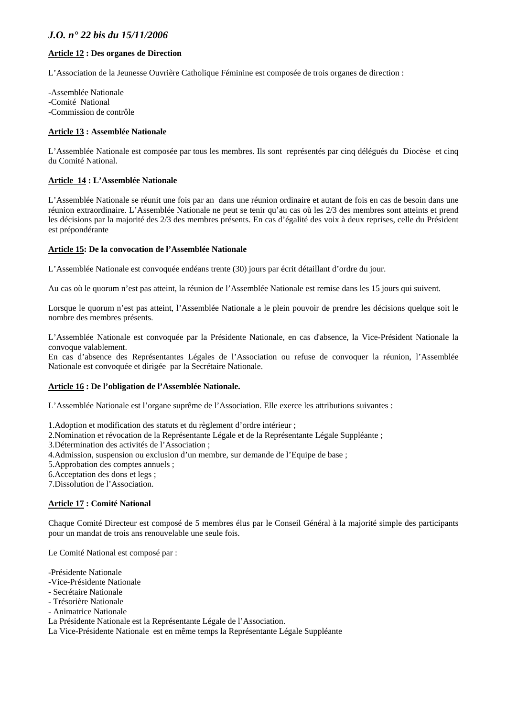### **Article 12 : Des organes de Direction**

L'Association de la Jeunesse Ouvrière Catholique Féminine est composée de trois organes de direction :

-Assemblée Nationale -Comité National -Commission de contrôle

#### **Article 13 : Assemblée Nationale**

L'Assemblée Nationale est composée par tous les membres. Ils sont représentés par cinq délégués du Diocèse et cinq du Comité National.

#### **Article 14 : L'Assemblée Nationale**

L'Assemblée Nationale se réunit une fois par an dans une réunion ordinaire et autant de fois en cas de besoin dans une réunion extraordinaire. L'Assemblée Nationale ne peut se tenir qu'au cas où les 2/3 des membres sont atteints et prend les décisions par la majorité des 2/3 des membres présents. En cas d'égalité des voix à deux reprises, celle du Président est prépondérante

#### **Article 15: De la convocation de l'Assemblée Nationale**

L'Assemblée Nationale est convoquée endéans trente (30) jours par écrit détaillant d'ordre du jour.

Au cas où le quorum n'est pas atteint, la réunion de l'Assemblée Nationale est remise dans les 15 jours qui suivent.

Lorsque le quorum n'est pas atteint, l'Assemblée Nationale a le plein pouvoir de prendre les décisions quelque soit le nombre des membres présents.

L'Assemblée Nationale est convoquée par la Présidente Nationale, en cas d'absence, la Vice-Président Nationale la convoque valablement.

En cas d'absence des Représentantes Légales de l'Association ou refuse de convoquer la réunion, l'Assemblée Nationale est convoquée et dirigée par la Secrétaire Nationale.

#### **Article 16 : De l'obligation de l'Assemblée Nationale.**

L'Assemblée Nationale est l'organe suprême de l'Association. Elle exerce les attributions suivantes :

1.Adoption et modification des statuts et du règlement d'ordre intérieur ;

2.Nomination et révocation de la Représentante Légale et de la Représentante Légale Suppléante ;

3.Détermination des activités de l'Association ;

4.Admission, suspension ou exclusion d'un membre, sur demande de l'Equipe de base ;

5.Approbation des comptes annuels ;

6.Acceptation des dons et legs ;

7.Dissolution de l'Association.

#### **Article 17 : Comité National**

Chaque Comité Directeur est composé de 5 membres élus par le Conseil Général à la majorité simple des participants pour un mandat de trois ans renouvelable une seule fois.

Le Comité National est composé par :

-Présidente Nationale

- -Vice-Présidente Nationale
- Secrétaire Nationale
- Trésorière Nationale
- Animatrice Nationale

La Présidente Nationale est la Représentante Légale de l'Association.

La Vice-Présidente Nationale est en même temps la Représentante Légale Suppléante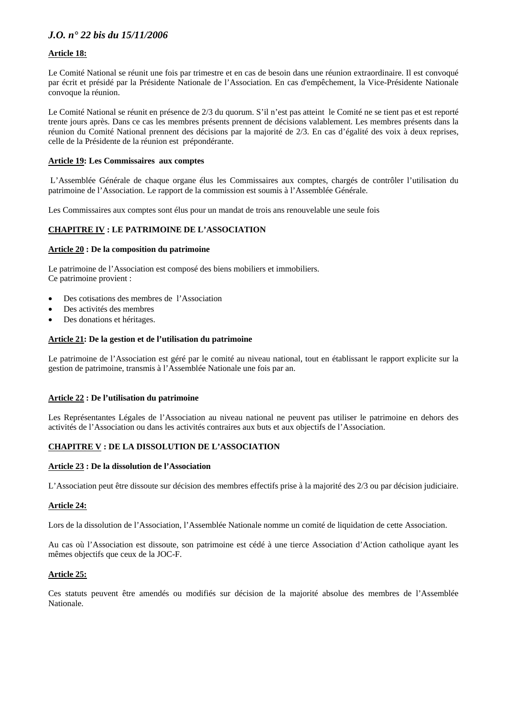## **Article 18:**

Le Comité National se réunit une fois par trimestre et en cas de besoin dans une réunion extraordinaire. Il est convoqué par écrit et présidé par la Présidente Nationale de l'Association. En cas d'empêchement, la Vice-Présidente Nationale convoque la réunion.

Le Comité National se réunit en présence de 2/3 du quorum. S'il n'est pas atteint le Comité ne se tient pas et est reporté trente jours après. Dans ce cas les membres présents prennent de décisions valablement. Les membres présents dans la réunion du Comité National prennent des décisions par la majorité de 2/3. En cas d'égalité des voix à deux reprises, celle de la Présidente de la réunion est prépondérante.

#### **Article 19: Les Commissaires aux comptes**

 L'Assemblée Générale de chaque organe élus les Commissaires aux comptes, chargés de contrôler l'utilisation du patrimoine de l'Association. Le rapport de la commission est soumis à l'Assemblée Générale.

Les Commissaires aux comptes sont élus pour un mandat de trois ans renouvelable une seule fois

### **CHAPITRE IV : LE PATRIMOINE DE L'ASSOCIATION**

#### **Article 20 : De la composition du patrimoine**

Le patrimoine de l'Association est composé des biens mobiliers et immobiliers. Ce patrimoine provient :

- Des cotisations des membres de l'Association
- Des activités des membres
- Des donations et héritages.

#### **Article 21: De la gestion et de l'utilisation du patrimoine**

Le patrimoine de l'Association est géré par le comité au niveau national, tout en établissant le rapport explicite sur la gestion de patrimoine, transmis à l'Assemblée Nationale une fois par an.

#### **Article 22 : De l'utilisation du patrimoine**

Les Représentantes Légales de l'Association au niveau national ne peuvent pas utiliser le patrimoine en dehors des activités de l'Association ou dans les activités contraires aux buts et aux objectifs de l'Association.

#### **CHAPITRE V : DE LA DISSOLUTION DE L'ASSOCIATION**

#### **Article 23 : De la dissolution de l'Association**

L'Association peut être dissoute sur décision des membres effectifs prise à la majorité des 2/3 ou par décision judiciaire.

#### **Article 24:**

Lors de la dissolution de l'Association, l'Assemblée Nationale nomme un comité de liquidation de cette Association.

Au cas où l'Association est dissoute, son patrimoine est cédé à une tierce Association d'Action catholique ayant les mêmes objectifs que ceux de la JOC-F.

#### **Article 25:**

Ces statuts peuvent être amendés ou modifiés sur décision de la majorité absolue des membres de l'Assemblée Nationale.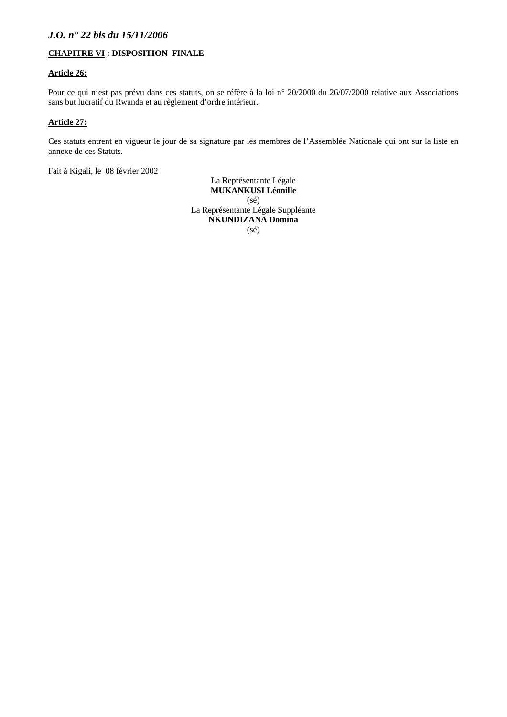### **CHAPITRE VI : DISPOSITION FINALE**

#### **Article 26:**

Pour ce qui n'est pas prévu dans ces statuts, on se réfère à la loi n° 20/2000 du 26/07/2000 relative aux Associations sans but lucratif du Rwanda et au règlement d'ordre intérieur.

#### **Article 27:**

Ces statuts entrent en vigueur le jour de sa signature par les membres de l'Assemblée Nationale qui ont sur la liste en annexe de ces Statuts.

Fait à Kigali, le 08 février 2002

La Représentante Légale **MUKANKUSI Léonille**  (sé) La Représentante Légale Suppléante **NKUNDIZANA Domina**  (sé)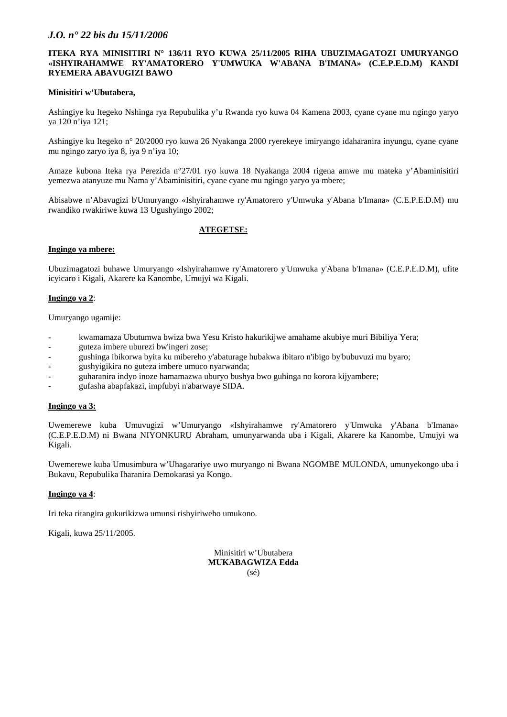### **ITEKA RYA MINISITIRI N° 136/11 RYO KUWA 25/11/2005 RIHA UBUZIMAGATOZI UMURYANGO «ISHYIRAHAMWE RY'AMATORERO Y'UMWUKA W'ABANA B'IMANA» (C.E.P.E.D.M) KANDI RYEMERA ABAVUGIZI BAWO**

#### **Minisitiri w'Ubutabera,**

Ashingiye ku Itegeko Nshinga rya Repubulika y'u Rwanda ryo kuwa 04 Kamena 2003, cyane cyane mu ngingo yaryo ya 120 n'iya 121;

Ashingiye ku Itegeko n° 20/2000 ryo kuwa 26 Nyakanga 2000 ryerekeye imiryango idaharanira inyungu, cyane cyane mu ngingo zaryo iya 8, iya 9 n'iya 10;

Amaze kubona Iteka rya Perezida n°27/01 ryo kuwa 18 Nyakanga 2004 rigena amwe mu mateka y'Abaminisitiri yemezwa atanyuze mu Nama y'Abaminisitiri, cyane cyane mu ngingo yaryo ya mbere;

Abisabwe n'Abavugizi b'Umuryango «Ishyirahamwe ry'Amatorero y'Umwuka y'Abana b'Imana» (C.E.P.E.D.M) mu rwandiko rwakiriwe kuwa 13 Ugushyingo 2002;

## **ATEGETSE:**

#### **Ingingo ya mbere:**

Ubuzimagatozi buhawe Umuryango «Ishyirahamwe ry'Amatorero y'Umwuka y'Abana b'Imana» (C.E.P.E.D.M), ufite icyicaro i Kigali, Akarere ka Kanombe, Umujyi wa Kigali.

#### **Ingingo ya 2**:

Umuryango ugamije:

- kwamamaza Ubutumwa bwiza bwa Yesu Kristo hakurikijwe amahame akubiye muri Bibiliya Yera;
- guteza imbere uburezi bw'ingeri zose;
- gushinga ibikorwa byita ku mibereho y'abaturage hubakwa ibitaro n'ibigo by'bubuvuzi mu byaro;
- gushyigikira no guteza imbere umuco nyarwanda;
- guharanira indyo inoze hamamazwa uburyo bushya bwo guhinga no korora kijyambere;
- gufasha abapfakazi, impfubyi n'abarwaye SIDA.

#### **Ingingo ya 3:**

Uwemerewe kuba Umuvugizi w'Umuryango «Ishyirahamwe ry'Amatorero y'Umwuka y'Abana b'Imana» (C.E.P.E.D.M) ni Bwana NIYONKURU Abraham, umunyarwanda uba i Kigali, Akarere ka Kanombe, Umujyi wa Kigali.

Uwemerewe kuba Umusimbura w'Uhagarariye uwo muryango ni Bwana NGOMBE MULONDA, umunyekongo uba i Bukavu, Repubulika Iharanira Demokarasi ya Kongo.

#### **Ingingo ya 4**:

Iri teka ritangira gukurikizwa umunsi rishyiriweho umukono.

Kigali, kuwa 25/11/2005.

Minisitiri w'Ubutabera **MUKABAGWIZA Edda**  (sé)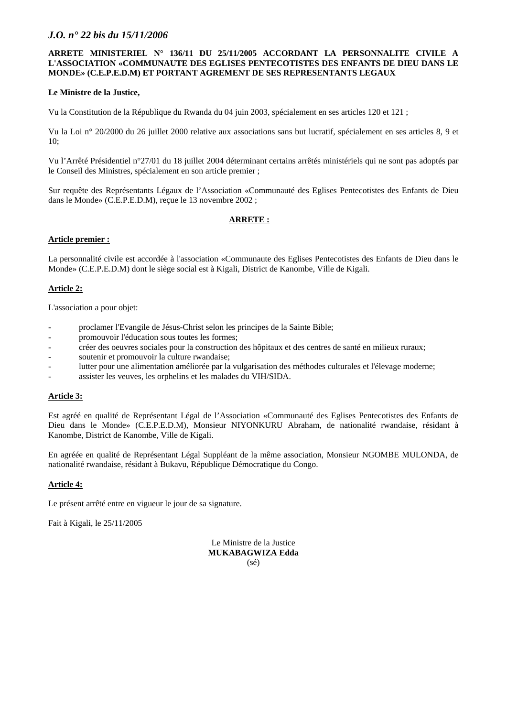### **ARRETE MINISTERIEL N° 136/11 DU 25/11/2005 ACCORDANT LA PERSONNALITE CIVILE A L'ASSOCIATION «COMMUNAUTE DES EGLISES PENTECOTISTES DES ENFANTS DE DIEU DANS LE MONDE» (C.E.P.E.D.M) ET PORTANT AGREMENT DE SES REPRESENTANTS LEGAUX**

#### **Le Ministre de la Justice,**

Vu la Constitution de la République du Rwanda du 04 juin 2003, spécialement en ses articles 120 et 121 ;

Vu la Loi n° 20/2000 du 26 juillet 2000 relative aux associations sans but lucratif, spécialement en ses articles 8, 9 et  $10<sup>°</sup>$ 

Vu l'Arrêté Présidentiel n°27/01 du 18 juillet 2004 déterminant certains arrêtés ministériels qui ne sont pas adoptés par le Conseil des Ministres, spécialement en son article premier ;

Sur requête des Représentants Légaux de l'Association «Communauté des Eglises Pentecotistes des Enfants de Dieu dans le Monde» (C.E.P.E.D.M), reçue le 13 novembre 2002 ;

## **ARRETE :**

#### **Article premier :**

La personnalité civile est accordée à l'association «Communaute des Eglises Pentecotistes des Enfants de Dieu dans le Monde» (C.E.P.E.D.M) dont le siège social est à Kigali, District de Kanombe, Ville de Kigali.

## **Article 2:**

L'association a pour objet:

- proclamer l'Evangile de Jésus-Christ selon les principes de la Sainte Bible;
- promouvoir l'éducation sous toutes les formes;
- créer des oeuvres sociales pour la construction des hôpitaux et des centres de santé en milieux ruraux;
- soutenir et promouvoir la culture rwandaise;
- lutter pour une alimentation améliorée par la vulgarisation des méthodes culturales et l'élevage moderne;
- assister les veuves, les orphelins et les malades du VIH/SIDA.

#### **Article 3:**

Est agréé en qualité de Représentant Légal de l'Association «Communauté des Eglises Pentecotistes des Enfants de Dieu dans le Monde» (C.E.P.E.D.M), Monsieur NIYONKURU Abraham, de nationalité rwandaise, résidant à Kanombe, District de Kanombe, Ville de Kigali.

En agréée en qualité de Représentant Légal Suppléant de la même association, Monsieur NGOMBE MULONDA, de nationalité rwandaise, résidant à Bukavu, République Démocratique du Congo.

## **Article 4:**

Le présent arrêté entre en vigueur le jour de sa signature.

Fait à Kigali, le 25/11/2005

Le Ministre de la Justice **MUKABAGWIZA Edda**  (sé)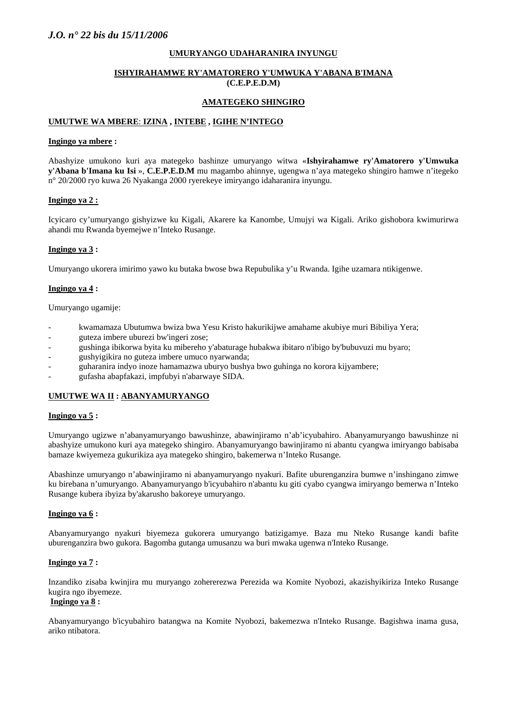#### **UMURYANGO UDAHARANIRA INYUNGU**

#### **ISHYIRAHAMWE RY'AMATORERO Y'UMWUKA Y'ABANA B'IMANA (C.E.P.E.D.M)**

### **AMATEGEKO SHINGIRO**

#### **UMUTWE WA MBERE**: **IZINA , INTEBE , IGIHE N'INTEGO**

#### **Ingingo ya mbere :**

Abashyize umukono kuri aya mategeko bashinze umuryango witwa «**Ishyirahamwe ry'Amatorero y'Umwuka y'Abana b'Imana ku Isi** », **C.E.P.E.D.M** mu magambo ahinnye, ugengwa n'aya mategeko shingiro hamwe n'itegeko n° 20/2000 ryo kuwa 26 Nyakanga 2000 ryerekeye imiryango idaharanira inyungu.

#### **Ingingo ya 2 :**

Icyicaro cy'umuryango gishyizwe ku Kigali, Akarere ka Kanombe, Umujyi wa Kigali. Ariko gishobora kwimurirwa ahandi mu Rwanda byemejwe n'Inteko Rusange.

#### **Ingingo ya 3 :**

Umuryango ukorera imirimo yawo ku butaka bwose bwa Repubulika y'u Rwanda. Igihe uzamara ntikigenwe.

#### **Ingingo ya 4 :**

Umuryango ugamije:

- kwamamaza Ubutumwa bwiza bwa Yesu Kristo hakurikijwe amahame akubiye muri Bibiliya Yera;
- guteza imbere uburezi bw'ingeri zose;
- gushinga ibikorwa byita ku mibereho y'abaturage hubakwa ibitaro n'ibigo by'bubuvuzi mu byaro;
- gushyigikira no guteza imbere umuco nyarwanda;
- guharanira indyo inoze hamamazwa uburyo bushya bwo guhinga no korora kijyambere;
- gufasha abapfakazi, impfubyi n'abarwaye SIDA.

#### **UMUTWE WA II : ABANYAMURYANGO**

#### **Ingingo ya 5 :**

Umuryango ugizwe n'abanyamuryango bawushinze, abawinjiramo n'ab'icyubahiro. Abanyamuryango bawushinze ni abashyize umukono kuri aya mategeko shingiro. Abanyamuryango bawinjiramo ni abantu cyangwa imiryango babisaba bamaze kwiyemeza gukurikiza aya mategeko shingiro, bakemerwa n'Inteko Rusange.

Abashinze umuryango n'abawinjiramo ni abanyamuryango nyakuri. Bafite uburenganzira bumwe n'inshingano zimwe ku birebana n'umuryango. Abanyamuryango b'icyubahiro n'abantu ku giti cyabo cyangwa imiryango bemerwa n'Inteko Rusange kubera ibyiza by'akarusho bakoreye umuryango.

#### **Ingingo ya 6 :**

Abanyamuryango nyakuri biyemeza gukorera umuryango batizigamye. Baza mu Nteko Rusange kandi bafite uburenganzira bwo gukora. Bagomba gutanga umusanzu wa buri mwaka ugenwa n'Inteko Rusange.

### **Ingingo ya 7 :**

Inzandiko zisaba kwinjira mu muryango zohererezwa Perezida wa Komite Nyobozi, akazishyikiriza Inteko Rusange kugira ngo ibyemeze.

### **Ingingo ya 8 :**

Abanyamuryango b'icyubahiro batangwa na Komite Nyobozi, bakemezwa n'Inteko Rusange. Bagishwa inama gusa, ariko ntibatora.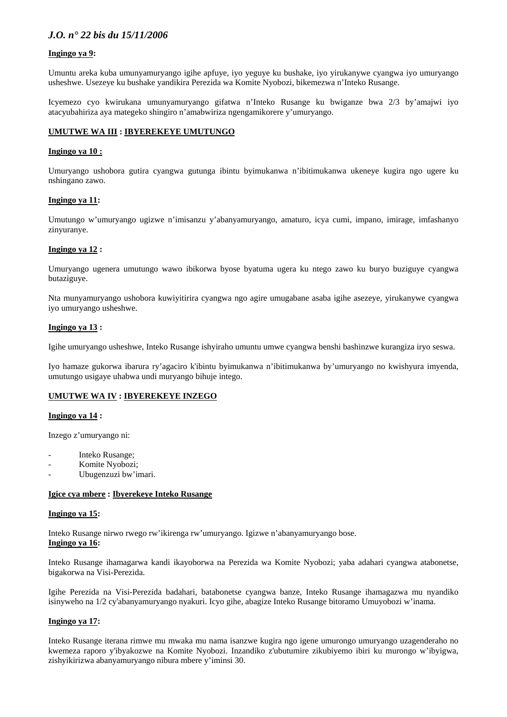#### **Ingingo ya 9:**

Umuntu areka kuba umunyamuryango igihe apfuye, iyo yeguye ku bushake, iyo yirukanywe cyangwa iyo umuryango usheshwe. Usezeye ku bushake yandikira Perezida wa Komite Nyobozi, bikemezwa n'Inteko Rusange.

Icyemezo cyo kwirukana umunyamuryango gifatwa n'Inteko Rusange ku bwiganze bwa 2/3 by'amajwi iyo atacyubahiriza aya mategeko shingiro n'amabwiriza ngengamikorere y'umuryango.

#### **UMUTWE WA III : IBYEREKEYE UMUTUNGO**

#### **Ingingo ya 10 :**

Umuryango ushobora gutira cyangwa gutunga ibintu byimukanwa n'ibitimukanwa ukeneye kugira ngo ugere ku nshingano zawo.

#### **Ingingo ya 11:**

Umutungo w'umuryango ugizwe n'imisanzu y'abanyamuryango, amaturo, icya cumi, impano, imirage, imfashanyo zinyuranye.

#### **Ingingo ya 12 :**

Umuryango ugenera umutungo wawo ibikorwa byose byatuma ugera ku ntego zawo ku buryo buziguye cyangwa butaziguye.

Nta munyamuryango ushobora kuwiyitirira cyangwa ngo agire umugabane asaba igihe asezeye, yirukanywe cyangwa iyo umuryango usheshwe.

#### **Ingingo ya 13 :**

Igihe umuryango usheshwe, Inteko Rusange ishyiraho umuntu umwe cyangwa benshi bashinzwe kurangiza iryo seswa.

Iyo hamaze gukorwa ibarura ry'agaciro k'ibintu byimukanwa n'ibitimukanwa by'umuryango no kwishyura imyenda, umutungo usigaye uhabwa undi muryango bihuje intego.

#### **UMUTWE WA IV : IBYEREKEYE INZEGO**

#### **Ingingo ya 14 :**

Inzego z'umuryango ni:

- Inteko Rusange;
- Komite Nyobozi;
- Ubugenzuzi bw'imari.

#### **Igice cya mbere : Ibyerekeye Inteko Rusange**

#### **Ingingo ya 15:**

Inteko Rusange nirwo rwego rw'ikirenga rw'umuryango. Igizwe n'abanyamuryango bose.

### **Ingingo ya 16:**

Inteko Rusange ihamagarwa kandi ikayoborwa na Perezida wa Komite Nyobozi; yaba adahari cyangwa atabonetse, bigakorwa na Visi-Perezida.

Igihe Perezida na Visi-Perezida badahari, batabonetse cyangwa banze, Inteko Rusange ihamagazwa mu nyandiko isinyweho na 1/2 cy'abanyamuryango nyakuri. Icyo gihe, abagize Inteko Rusange bitoramo Umuyobozi w'inama.

#### **Ingingo ya 17:**

Inteko Rusange iterana rimwe mu mwaka mu nama isanzwe kugira ngo igene umurongo umuryango uzagenderaho no kwemeza raporo y'ibyakozwe na Komite Nyobozi. Inzandiko z'ubutumire zikubiyemo ibiri ku murongo w'ibyigwa, zishyikirizwa abanyamuryango nibura mbere y'iminsi 30.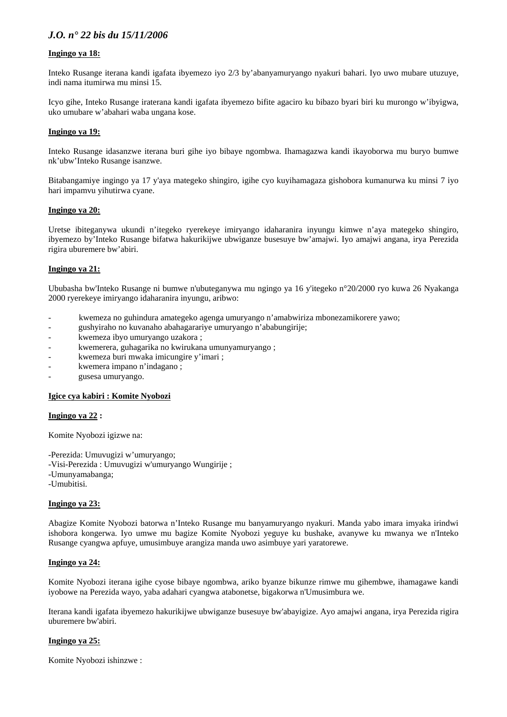#### **Ingingo ya 18:**

Inteko Rusange iterana kandi igafata ibyemezo iyo 2/3 by'abanyamuryango nyakuri bahari. Iyo uwo mubare utuzuye, indi nama itumirwa mu minsi 15.

Icyo gihe, Inteko Rusange iraterana kandi igafata ibyemezo bifite agaciro ku bibazo byari biri ku murongo w'ibyigwa, uko umubare w'abahari waba ungana kose.

#### **Ingingo ya 19:**

Inteko Rusange idasanzwe iterana buri gihe iyo bibaye ngombwa. Ihamagazwa kandi ikayoborwa mu buryo bumwe nk'ubw'Inteko Rusange isanzwe.

Bitabangamiye ingingo ya 17 y'aya mategeko shingiro, igihe cyo kuyihamagaza gishobora kumanurwa ku minsi 7 iyo hari impamvu yihutirwa cyane.

#### **Ingingo ya 20:**

Uretse ibiteganywa ukundi n'itegeko ryerekeye imiryango idaharanira inyungu kimwe n'aya mategeko shingiro, ibyemezo by'Inteko Rusange bifatwa hakurikijwe ubwiganze busesuye bw'amajwi. Iyo amajwi angana, irya Perezida rigira uburemere bw'abiri.

#### **Ingingo ya 21:**

Ububasha bw'Inteko Rusange ni bumwe n'ubuteganywa mu ngingo ya 16 y'itegeko n°20/2000 ryo kuwa 26 Nyakanga 2000 ryerekeye imiryango idaharanira inyungu, aribwo:

- kwemeza no guhindura amategeko agenga umuryango n'amabwiriza mbonezamikorere yawo;
- gushyiraho no kuvanaho abahagarariye umuryango n'ababungirije;
- kwemeza ibyo umuryango uzakora;
- kwemerera, guhagarika no kwirukana umunyamuryango;
- kwemeza buri mwaka imicungire y'imari ;
- kwemera impano n'indagano;
- gusesa umuryango.

#### **Igice cya kabiri : Komite Nyobozi**

#### **Ingingo ya 22 :**

Komite Nyobozi igizwe na:

-Perezida: Umuvugizi w'umuryango; -Visi-Perezida : Umuvugizi w'umuryango Wungirije ; -Umunyamabanga; -Umubitisi.

#### **Ingingo ya 23:**

Abagize Komite Nyobozi batorwa n'Inteko Rusange mu banyamuryango nyakuri. Manda yabo imara imyaka irindwi ishobora kongerwa. Iyo umwe mu bagize Komite Nyobozi yeguye ku bushake, avanywe ku mwanya we n'Inteko Rusange cyangwa apfuye, umusimbuye arangiza manda uwo asimbuye yari yaratorewe.

### **Ingingo ya 24:**

Komite Nyobozi iterana igihe cyose bibaye ngombwa, ariko byanze bikunze rimwe mu gihembwe, ihamagawe kandi iyobowe na Perezida wayo, yaba adahari cyangwa atabonetse, bigakorwa n'Umusimbura we.

Iterana kandi igafata ibyemezo hakurikijwe ubwiganze busesuye bw'abayigize. Ayo amajwi angana, irya Perezida rigira uburemere bw'abiri.

#### **Ingingo ya 25:**

Komite Nyobozi ishinzwe :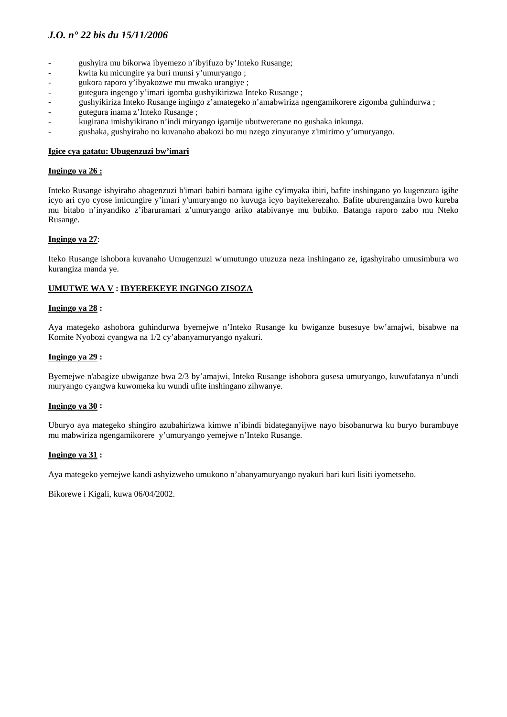- gushyira mu bikorwa ibyemezo n'ibyifuzo by'Inteko Rusange;
- kwita ku micungire ya buri munsi y'umuryango ;
- gukora raporo y'ibyakozwe mu mwaka urangiye ;
- gutegura ingengo y'imari igomba gushyikirizwa Inteko Rusange ;
- gushyikiriza Inteko Rusange ingingo z'amategeko n'amabwiriza ngengamikorere zigomba guhindurwa ;
- gutegura inama z'Inteko Rusange ;
- kugirana imishyikirano n'indi miryango igamije ubutwererane no gushaka inkunga.
- gushaka, gushyiraho no kuvanaho abakozi bo mu nzego zinyuranye z'imirimo y'umuryango.

#### **Igice cya gatatu: Ubugenzuzi bw'imari**

#### **Ingingo ya 26 :**

Inteko Rusange ishyiraho abagenzuzi b'imari babiri bamara igihe cy'imyaka ibiri, bafite inshingano yo kugenzura igihe icyo ari cyo cyose imicungire y'imari y'umuryango no kuvuga icyo bayitekerezaho. Bafite uburenganzira bwo kureba mu bitabo n'inyandiko z'ibaruramari z'umuryango ariko atabivanye mu bubiko. Batanga raporo zabo mu Nteko Rusange.

#### **Ingingo ya 27**:

Iteko Rusange ishobora kuvanaho Umugenzuzi w'umutungo utuzuza neza inshingano ze, igashyiraho umusimbura wo kurangiza manda ye.

## **UMUTWE WA V : IBYEREKEYE INGINGO ZISOZA**

#### **Ingingo ya 28 :**

Aya mategeko ashobora guhindurwa byemejwe n'Inteko Rusange ku bwiganze busesuye bw'amajwi, bisabwe na Komite Nyobozi cyangwa na 1/2 cy'abanyamuryango nyakuri.

#### **Ingingo ya 29 :**

Byemejwe n'abagize ubwiganze bwa 2/3 by'amajwi, Inteko Rusange ishobora gusesa umuryango, kuwufatanya n'undi muryango cyangwa kuwomeka ku wundi ufite inshingano zihwanye.

#### **Ingingo ya 30 :**

Uburyo aya mategeko shingiro azubahirizwa kimwe n'ibindi bidateganyijwe nayo bisobanurwa ku buryo burambuye mu mabwiriza ngengamikorere y'umuryango yemejwe n'Inteko Rusange.

#### **Ingingo ya 31 :**

Aya mategeko yemejwe kandi ashyizweho umukono n'abanyamuryango nyakuri bari kuri lisiti iyometseho.

Bikorewe i Kigali, kuwa 06/04/2002.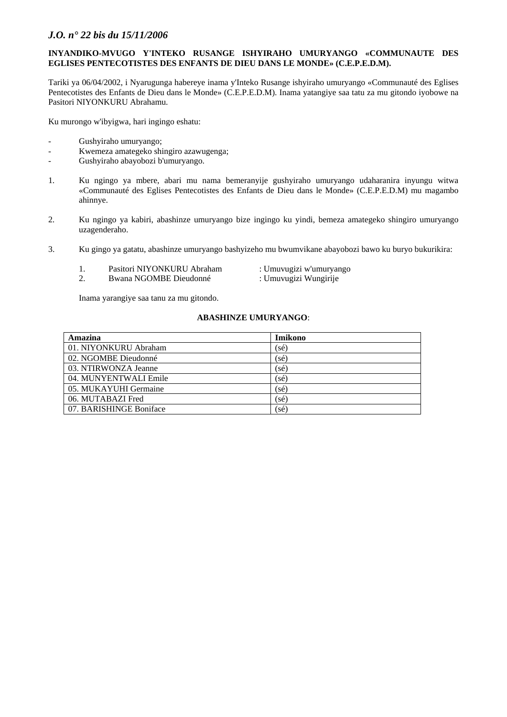#### **INYANDIKO-MVUGO Y'INTEKO RUSANGE ISHYIRAHO UMURYANGO «COMMUNAUTE DES EGLISES PENTECOTISTES DES ENFANTS DE DIEU DANS LE MONDE» (C.E.P.E.D.M).**

Tariki ya 06/04/2002, i Nyarugunga habereye inama y'Inteko Rusange ishyiraho umuryango «Communauté des Eglises Pentecotistes des Enfants de Dieu dans le Monde» (C.E.P.E.D.M). Inama yatangiye saa tatu za mu gitondo iyobowe na Pasitori NIYONKURU Abrahamu.

Ku murongo w'ibyigwa, hari ingingo eshatu:

- Gushyiraho umuryango;
- Kwemeza amategeko shingiro azawugenga;
- Gushyiraho abayobozi b'umuryango.
- 1. Ku ngingo ya mbere, abari mu nama bemeranyije gushyiraho umuryango udaharanira inyungu witwa «Communauté des Eglises Pentecotistes des Enfants de Dieu dans le Monde» (C.E.P.E.D.M) mu magambo ahinnye.
- 2. Ku ngingo ya kabiri, abashinze umuryango bize ingingo ku yindi, bemeza amategeko shingiro umuryango uzagenderaho.
- 3. Ku gingo ya gatatu, abashinze umuryango bashyizeho mu bwumvikane abayobozi bawo ku buryo bukurikira:
	- 1. Pasitori NIYONKURU Abraham : Umuvugizi w'umuryango
		-
	- 2. Bwana NGOMBE Dieudonné : Umuvugizi Wungirije

Inama yarangiye saa tanu za mu gitondo.

#### **ABASHINZE UMURYANGO**:

| Amazina                 | Imikono |
|-------------------------|---------|
| 01. NIYONKURU Abraham   | (sé)    |
| 02. NGOMBE Dieudonné    | (sé)    |
| 03. NTIRWONZA Jeanne    | (sé)    |
| 04. MUNYENTWALI Emile   | (sé)    |
| 05. MUKAYUHI Germaine   | (sé)    |
| 06. MUTABAZI Fred       | (sé)    |
| 07. BARISHINGE Boniface | (sé)    |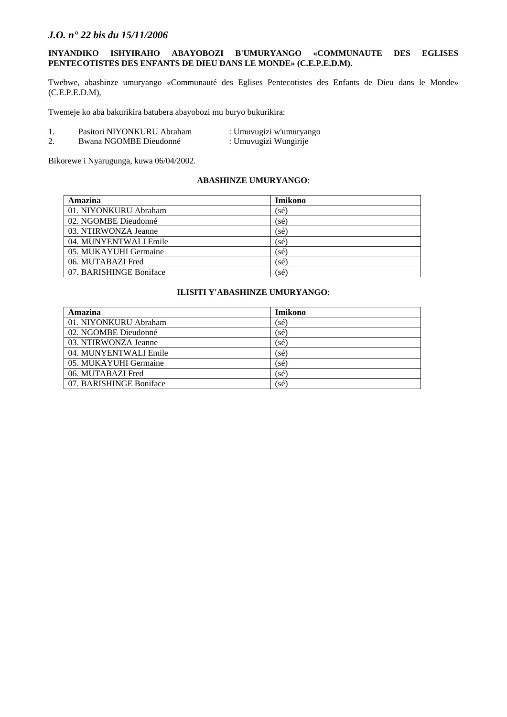#### **INYANDIKO ISHYIRAHO ABAYOBOZI B'UMURYANGO «COMMUNAUTE DES EGLISES PENTECOTISTES DES ENFANTS DE DIEU DANS LE MONDE» (C.E.P.E.D.M).**

Twebwe, abashinze umuryango «Communauté des Eglises Pentecotistes des Enfants de Dieu dans le Monde» (C.E.P.E.D.M),

Twemeje ko aba bakurikira batubera abayobozi mu buryo bukurikira:

- 1. Pasitori NIYONKURU Abraham : Umuvugizi w'umuryango
	-
- 2. Bwana NGOMBE Dieudonné : Umuvugizi Wungirije
- 

Bikorewe i Nyarugunga, kuwa 06/04/2002.

#### **ABASHINZE UMURYANGO**:

| Amazina                 | <b>Imikono</b> |
|-------------------------|----------------|
| 01. NIYONKURU Abraham   | (sé)           |
| 02. NGOMBE Dieudonné    | (sé)           |
| 03. NTIRWONZA Jeanne    | (sé)           |
| 04. MUNYENTWALI Emile   | (sé)           |
| 05. MUKAYUHI Germaine   | (sé)           |
| 06. MUTABAZI Fred       | sé)            |
| 07. BARISHINGE Boniface | (sé)           |

#### **ILISITI Y'ABASHINZE UMURYANGO**:

| Amazina                 | Imikono |  |
|-------------------------|---------|--|
| 01. NIYONKURU Abraham   | (sé)    |  |
| 02. NGOMBE Dieudonné    | (sé)    |  |
| 03. NTIRWONZA Jeanne    | (sé)    |  |
| 04. MUNYENTWALI Emile   | sé)     |  |
| 05. MUKAYUHI Germaine   | (sé)    |  |
| 06. MUTABAZI Fred       | (sé)    |  |
| 07. BARISHINGE Boniface | (sé)    |  |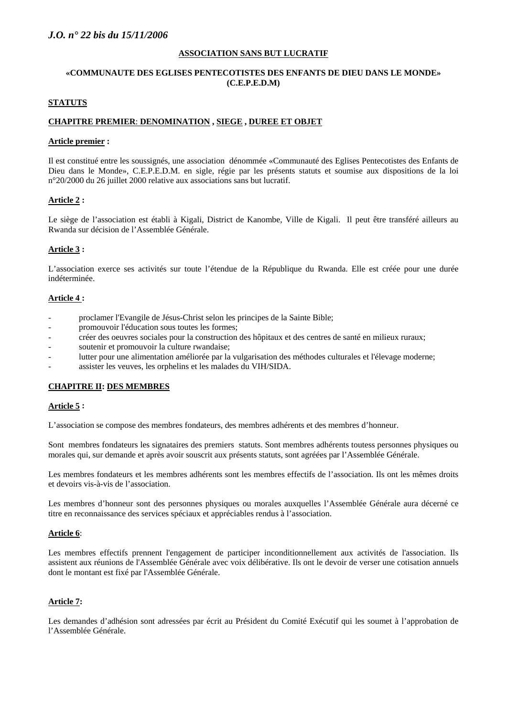#### **ASSOCIATION SANS BUT LUCRATIF**

#### **«COMMUNAUTE DES EGLISES PENTECOTISTES DES ENFANTS DE DIEU DANS LE MONDE» (C.E.P.E.D.M)**

#### **STATUTS**

#### **CHAPITRE PREMIER**: **DENOMINATION , SIEGE , DUREE ET OBJET**

#### **Article premier :**

Il est constitué entre les soussignés, une association dénommée «Communauté des Eglises Pentecotistes des Enfants de Dieu dans le Monde», C.E.P.E.D.M. en sigle, régie par les présents statuts et soumise aux dispositions de la loi n°20/2000 du 26 juillet 2000 relative aux associations sans but lucratif.

#### **Article 2 :**

Le siège de l'association est établi à Kigali, District de Kanombe, Ville de Kigali. Il peut être transféré ailleurs au Rwanda sur décision de l'Assemblée Générale.

#### **Article 3 :**

L'association exerce ses activités sur toute l'étendue de la République du Rwanda. Elle est créée pour une durée indéterminée.

#### **Article 4 :**

- proclamer l'Evangile de Jésus-Christ selon les principes de la Sainte Bible;
- promouvoir l'éducation sous toutes les formes;
- créer des oeuvres sociales pour la construction des hôpitaux et des centres de santé en milieux ruraux;
- soutenir et promouvoir la culture rwandaise;
- lutter pour une alimentation améliorée par la vulgarisation des méthodes culturales et l'élevage moderne;
- assister les veuves, les orphelins et les malades du VIH/SIDA.

# **CHAPITRE II: DES MEMBRES**

#### **Article 5 :**

L'association se compose des membres fondateurs, des membres adhérents et des membres d'honneur.

Sont membres fondateurs les signataires des premiers statuts. Sont membres adhérents toutess personnes physiques ou morales qui, sur demande et après avoir souscrit aux présents statuts, sont agréées par l'Assemblée Générale.

Les membres fondateurs et les membres adhérents sont les membres effectifs de l'association. Ils ont les mêmes droits et devoirs vis-à-vis de l'association.

Les membres d'honneur sont des personnes physiques ou morales auxquelles l'Assemblée Générale aura décerné ce titre en reconnaissance des services spéciaux et appréciables rendus à l'association.

#### **Article 6**:

Les membres effectifs prennent l'engagement de participer inconditionnellement aux activités de l'association. Ils assistent aux réunions de l'Assemblée Générale avec voix délibérative. Ils ont le devoir de verser une cotisation annuels dont le montant est fixé par l'Assemblée Générale.

# **Article 7:**

Les demandes d'adhésion sont adressées par écrit au Président du Comité Exécutif qui les soumet à l'approbation de l'Assemblée Générale.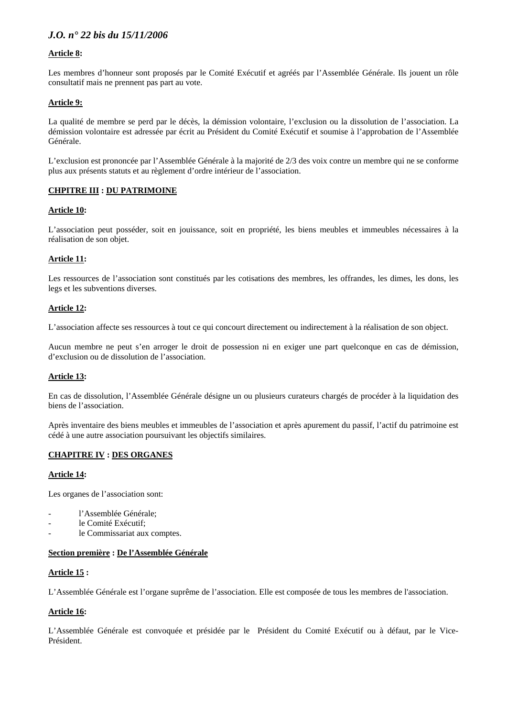# **Article 8:**

Les membres d'honneur sont proposés par le Comité Exécutif et agréés par l'Assemblée Générale. Ils jouent un rôle consultatif mais ne prennent pas part au vote.

#### **Article 9:**

La qualité de membre se perd par le décès, la démission volontaire, l'exclusion ou la dissolution de l'association. La démission volontaire est adressée par écrit au Président du Comité Exécutif et soumise à l'approbation de l'Assemblée Générale.

L'exclusion est prononcée par l'Assemblée Générale à la majorité de 2/3 des voix contre un membre qui ne se conforme plus aux présents statuts et au règlement d'ordre intérieur de l'association.

#### **CHPITRE III : DU PATRIMOINE**

#### **Article 10:**

L'association peut posséder, soit en jouissance, soit en propriété, les biens meubles et immeubles nécessaires à la réalisation de son objet.

#### **Article 11:**

Les ressources de l'association sont constitués par les cotisations des membres, les offrandes, les dimes, les dons, les legs et les subventions diverses.

#### **Article 12:**

L'association affecte ses ressources à tout ce qui concourt directement ou indirectement à la réalisation de son object.

Aucun membre ne peut s'en arroger le droit de possession ni en exiger une part quelconque en cas de démission, d'exclusion ou de dissolution de l'association.

#### **Article 13:**

En cas de dissolution, l'Assemblée Générale désigne un ou plusieurs curateurs chargés de procéder à la liquidation des biens de l'association.

Après inventaire des biens meubles et immeubles de l'association et après apurement du passif, l'actif du patrimoine est cédé à une autre association poursuivant les objectifs similaires.

#### **CHAPITRE IV : DES ORGANES**

#### **Article 14:**

Les organes de l'association sont:

- l'Assemblée Générale;
- le Comité Exécutif;
- le Commissariat aux comptes.

#### **Section première : De l'Assemblée Générale**

#### **Article 15 :**

L'Assemblée Générale est l'organe suprême de l'association. Elle est composée de tous les membres de l'association.

#### **Article 16:**

L'Assemblée Générale est convoquée et présidée par le Président du Comité Exécutif ou à défaut, par le Vice-Président.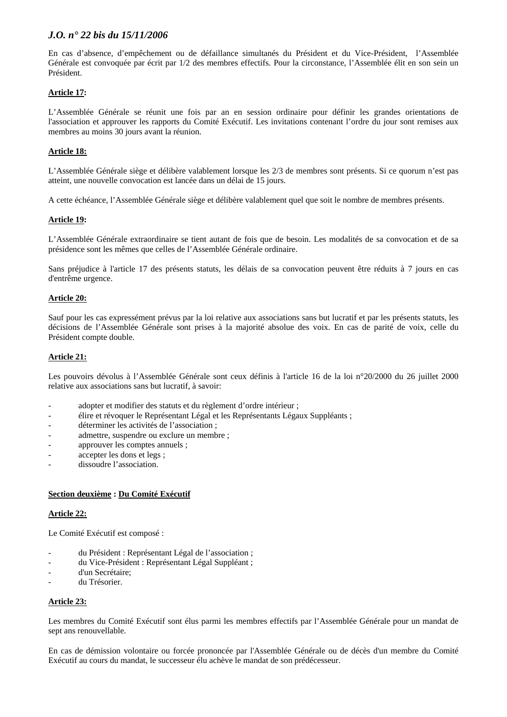En cas d'absence, d'empêchement ou de défaillance simultanés du Président et du Vice-Président, l'Assemblée Générale est convoquée par écrit par 1/2 des membres effectifs. Pour la circonstance, l'Assemblée élit en son sein un Président.

# **Article 17:**

L'Assemblée Générale se réunit une fois par an en session ordinaire pour définir les grandes orientations de l'association et approuver les rapports du Comité Exécutif. Les invitations contenant l'ordre du jour sont remises aux membres au moins 30 jours avant la réunion.

# **Article 18:**

L'Assemblée Générale siège et délibère valablement lorsque les 2/3 de membres sont présents. Si ce quorum n'est pas atteint, une nouvelle convocation est lancée dans un délai de 15 jours.

A cette échéance, l'Assemblée Générale siège et délibère valablement quel que soit le nombre de membres présents.

# **Article 19:**

L'Assemblée Générale extraordinaire se tient autant de fois que de besoin. Les modalités de sa convocation et de sa présidence sont les mêmes que celles de l'Assemblée Générale ordinaire.

Sans préjudice à l'article 17 des présents statuts, les délais de sa convocation peuvent être réduits à 7 jours en cas d'entrême urgence.

# **Article 20:**

Sauf pour les cas expressément prévus par la loi relative aux associations sans but lucratif et par les présents statuts, les décisions de l'Assemblée Générale sont prises à la majorité absolue des voix. En cas de parité de voix, celle du Président compte double.

# **Article 21:**

Les pouvoirs dévolus à l'Assemblée Générale sont ceux définis à l'article 16 de la loi n°20/2000 du 26 juillet 2000 relative aux associations sans but lucratif, à savoir:

- adopter et modifier des statuts et du règlement d'ordre intérieur ;
- élire et révoquer le Représentant Légal et les Représentants Légaux Suppléants ;
- déterminer les activités de l'association :
- admettre, suspendre ou exclure un membre ;
- approuver les comptes annuels :
- accepter les dons et legs;
- dissoudre l'association.

#### **Section deuxième : Du Comité Exécutif**

#### **Article 22:**

Le Comité Exécutif est composé :

- du Président : Représentant Légal de l'association ;
- du Vice-Président : Représentant Légal Suppléant ;
- d'un Secrétaire;
- du Trésorier.

# **Article 23:**

Les membres du Comité Exécutif sont élus parmi les membres effectifs par l'Assemblée Générale pour un mandat de sept ans renouvellable.

En cas de démission volontaire ou forcée prononcée par l'Assemblée Générale ou de décès d'un membre du Comité Exécutif au cours du mandat, le successeur élu achève le mandat de son prédécesseur.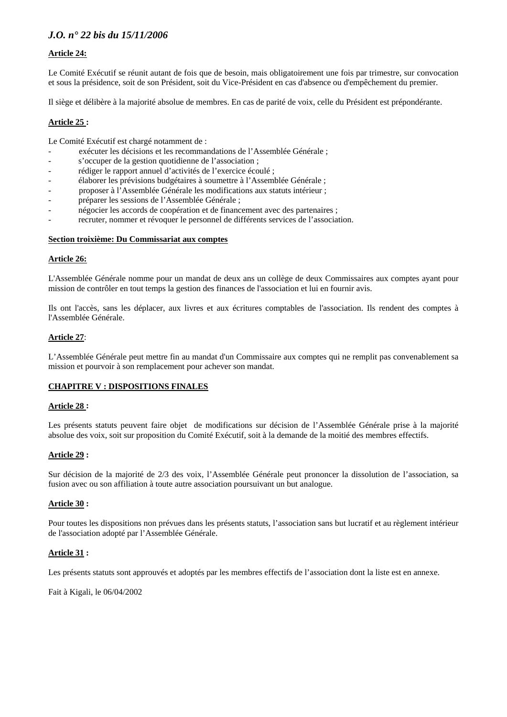# **Article 24:**

Le Comité Exécutif se réunit autant de fois que de besoin, mais obligatoirement une fois par trimestre, sur convocation et sous la présidence, soit de son Président, soit du Vice-Président en cas d'absence ou d'empêchement du premier.

Il siège et délibère à la majorité absolue de membres. En cas de parité de voix, celle du Président est prépondérante.

#### **Article 25 :**

Le Comité Exécutif est chargé notamment de :

- exécuter les décisions et les recommandations de l'Assemblée Générale ;
- s'occuper de la gestion quotidienne de l'association ;
- rédiger le rapport annuel d'activités de l'exercice écoulé ;
- élaborer les prévisions budgétaires à soumettre à l'Assemblée Générale ;
- proposer à l'Assemblée Générale les modifications aux statuts intérieur ;
- préparer les sessions de l'Assemblée Générale ;
- négocier les accords de coopération et de financement avec des partenaires ;
- recruter, nommer et révoquer le personnel de différents services de l'association.

#### **Section troixième: Du Commissariat aux comptes**

#### **Article 26:**

L'Assemblée Générale nomme pour un mandat de deux ans un collège de deux Commissaires aux comptes ayant pour mission de contrôler en tout temps la gestion des finances de l'association et lui en fournir avis.

Ils ont l'accès, sans les déplacer, aux livres et aux écritures comptables de l'association. Ils rendent des comptes à l'Assemblée Générale.

#### **Article 27**:

L'Assemblée Générale peut mettre fin au mandat d'un Commissaire aux comptes qui ne remplit pas convenablement sa mission et pourvoir à son remplacement pour achever son mandat.

#### **CHAPITRE V : DISPOSITIONS FINALES**

#### **Article 28 :**

Les présents statuts peuvent faire objet de modifications sur décision de l'Assemblée Générale prise à la majorité absolue des voix, soit sur proposition du Comité Exécutif, soit à la demande de la moitié des membres effectifs.

#### **Article 29 :**

Sur décision de la majorité de 2/3 des voix, l'Assemblée Générale peut prononcer la dissolution de l'association, sa fusion avec ou son affiliation à toute autre association poursuivant un but analogue.

#### **Article 30 :**

Pour toutes les dispositions non prévues dans les présents statuts, l'association sans but lucratif et au règlement intérieur de l'association adopté par l'Assemblée Générale.

#### **Article 31 :**

Les présents statuts sont approuvés et adoptés par les membres effectifs de l'association dont la liste est en annexe.

Fait à Kigali, le 06/04/2002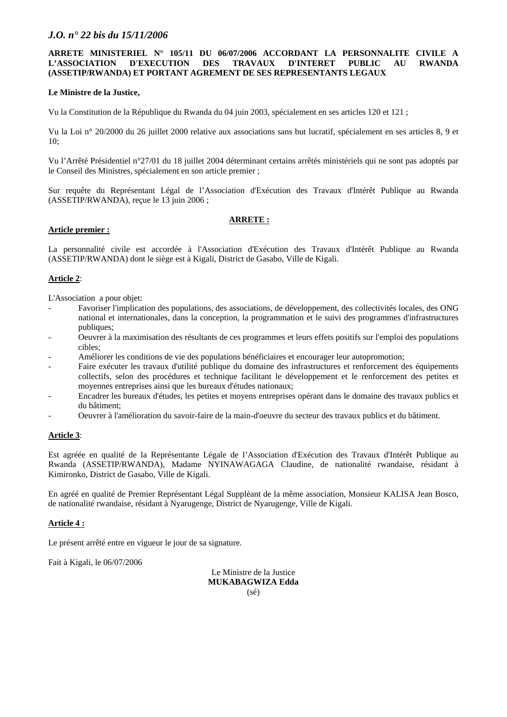#### **ARRETE MINISTERIEL N° 105/11 DU 06/07/2006 ACCORDANT LA PERSONNALITE CIVILE A L'ASSOCIATION D'EXECUTION DES TRAVAUX D'INTERET PUBLIC AU RWANDA (ASSETIP/RWANDA) ET PORTANT AGREMENT DE SES REPRESENTANTS LEGAUX**

#### **Le Ministre de la Justice,**

Vu la Constitution de la République du Rwanda du 04 juin 2003, spécialement en ses articles 120 et 121 ;

Vu la Loi n° 20/2000 du 26 juillet 2000 relative aux associations sans but lucratif, spécialement en ses articles 8, 9 et  $10<sup>°</sup>$ 

Vu l'Arrêté Présidentiel n°27/01 du 18 juillet 2004 déterminant certains arrêtés ministériels qui ne sont pas adoptés par le Conseil des Ministres, spécialement en son article premier ;

Sur requête du Représentant Légal de l'Association d'Exécution des Travaux d'Intérêt Publique au Rwanda (ASSETIP/RWANDA), reçue le 13 juin 2006 ;

#### **ARRETE :**

#### **Article premier :**

La personnalité civile est accordée à l'Association d'Exécution des Travaux d'Intérêt Publique au Rwanda (ASSETIP/RWANDA) dont le siège est à Kigali, District de Gasabo, Ville de Kigali.

#### **Article 2**:

L'Association a pour objet:

- Favoriser l'implication des populations, des associations, de développement, des collectivités locales, des ONG national et internationales, dans la conception, la programmation et le suivi des programmes d'infrastructures publiques;
- Oeuvrer à la maximisation des résultants de ces programmes et leurs effets positifs sur l'emploi des populations cibles;
- Améliorer les conditions de vie des populations bénéficiaires et encourager leur autopromotion;
- Faire exécuter les travaux d'utilité publique du domaine des infrastructures et renforcement des équipements collectifs, selon des procédures et technique facilitant le développement et le renforcement des petites et moyennes entreprises ainsi que les bureaux d'études nationaux;
- Encadrer les bureaux d'études, les petites et moyens entreprises opérant dans le domaine des travaux publics et du bâtiment;
- Oeuvrer à l'amélioration du savoir-faire de la main-d'oeuvre du secteur des travaux publics et du bâtiment.

#### **Article 3**:

Est agréée en qualité de la Représentante Légale de l'Association d'Exécution des Travaux d'Intérêt Publique au Rwanda (ASSETIP/RWANDA), Madame NYINAWAGAGA Claudine, de nationalité rwandaise, résidant à Kimironko, District de Gasabo, Ville de Kigali.

En agréé en qualité de Premier Représentant Légal Suppléant de la même association, Monsieur KALISA Jean Bosco, de nationalité rwandaise, résidant à Nyarugenge, District de Nyarugenge, Ville de Kigali.

#### **Article 4 :**

Le présent arrêté entre en vigueur le jour de sa signature.

Fait à Kigali, le 06/07/2006

Le Ministre de la Justice **MUKABAGWIZA Edda**  (sé)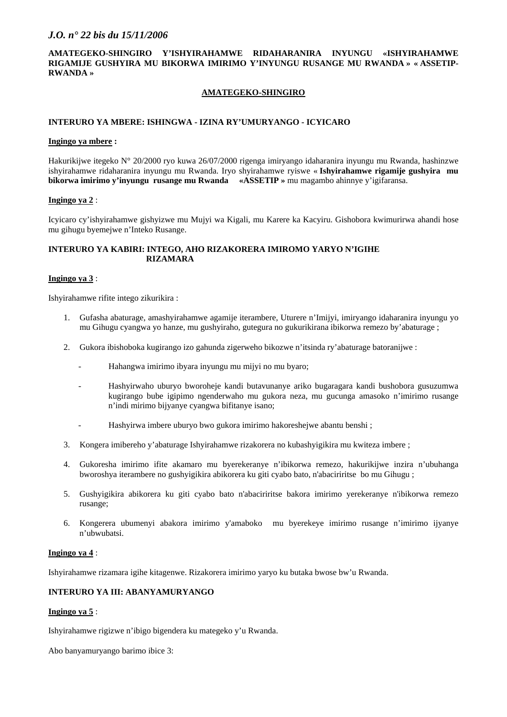#### **AMATEGEKO-SHINGIRO Y'ISHYIRAHAMWE RIDAHARANIRA INYUNGU «ISHYIRAHAMWE RIGAMIJE GUSHYIRA MU BIKORWA IMIRIMO Y'INYUNGU RUSANGE MU RWANDA » « ASSETIP-RWANDA »**

#### **AMATEGEKO-SHINGIRO**

#### **INTERURO YA MBERE: ISHINGWA - IZINA RY'UMURYANGO - ICYICARO**

#### **Ingingo ya mbere :**

Hakurikijwe itegeko N° 20/2000 ryo kuwa 26/07/2000 rigenga imiryango idaharanira inyungu mu Rwanda, hashinzwe ishyirahamwe ridaharanira inyungu mu Rwanda. Iryo shyirahamwe ryiswe « **Ishyirahamwe rigamije gushyira mu bikorwa imirimo y'inyungu rusange mu Rwanda «ASSETIP »** mu magambo ahinnye y'igifaransa.

#### **Ingingo ya 2** :

Icyicaro cy'ishyirahamwe gishyizwe mu Mujyi wa Kigali, mu Karere ka Kacyiru. Gishobora kwimurirwa ahandi hose mu gihugu byemejwe n'Inteko Rusange.

#### **INTERURO YA KABIRI: INTEGO, AHO RIZAKORERA IMIROMO YARYO N'IGIHE RIZAMARA**

#### **Ingingo ya 3** :

Ishyirahamwe rifite intego zikurikira :

- 1. Gufasha abaturage, amashyirahamwe agamije iterambere, Uturere n'Imijyi, imiryango idaharanira inyungu yo mu Gihugu cyangwa yo hanze, mu gushyiraho, gutegura no gukurikirana ibikorwa remezo by'abaturage ;
- 2. Gukora ibishoboka kugirango izo gahunda zigerweho bikozwe n'itsinda ry'abaturage batoranijwe :
	- Hahangwa imirimo ibyara inyungu mu mijyi no mu byaro;
	- Hashyirwaho uburyo bworoheje kandi butavunanye ariko bugaragara kandi bushobora gusuzumwa kugirango bube igipimo ngenderwaho mu gukora neza, mu gucunga amasoko n'imirimo rusange n'indi mirimo bijyanye cyangwa bifitanye isano;
	- Hashyirwa imbere uburyo bwo gukora imirimo hakoreshejwe abantu benshi ;
- 3. Kongera imibereho y'abaturage Ishyirahamwe rizakorera no kubashyigikira mu kwiteza imbere ;
- 4. Gukoresha imirimo ifite akamaro mu byerekeranye n'ibikorwa remezo, hakurikijwe inzira n'ubuhanga bworoshya iterambere no gushyigikira abikorera ku giti cyabo bato, n'abaciriritse bo mu Gihugu ;
- 5. Gushyigikira abikorera ku giti cyabo bato n'abaciriritse bakora imirimo yerekeranye n'ibikorwa remezo rusange;
- 6. Kongerera ubumenyi abakora imirimo y'amaboko mu byerekeye imirimo rusange n'imirimo ijyanye n'ubwubatsi.

#### **Ingingo ya 4** :

Ishyirahamwe rizamara igihe kitagenwe. Rizakorera imirimo yaryo ku butaka bwose bw'u Rwanda.

#### **INTERURO YA III: ABANYAMURYANGO**

#### **Ingingo ya 5** :

Ishyirahamwe rigizwe n'ibigo bigendera ku mategeko y'u Rwanda.

Abo banyamuryango barimo ibice 3: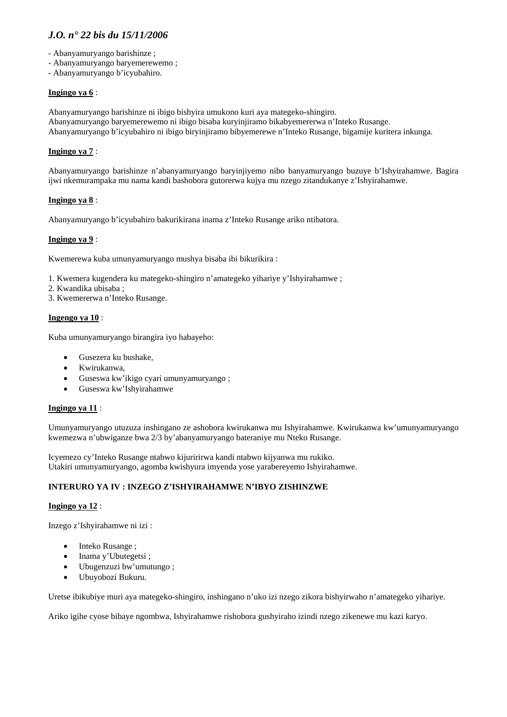- Abanyamuryango barishinze ;
- Abanyamuryango baryemerewemo ;
- Abanyamuryango b'icyubahiro.

#### **Ingingo ya 6** :

Abanyamuryango barishinze ni ibigo bishyira umukono kuri aya mategeko-shingiro. Abanyamuryango baryemerewemo ni ibigo bisaba kuryinjiramo bikabyemererwa n'Inteko Rusange. Abanyamuryango b'icyubahiro ni ibigo biryinjiramo bibyemerewe n'Inteko Rusange, bigamije kuritera inkunga.

# **Ingingo ya 7** :

Abanyamuryango barishinze n'abanyamuryango baryinjiyemo nibo banyamuryango buzuye b'Ishyirahamwe. Bagira ijwi nkemurampaka mu nama kandi bashobora gutorerwa kujya mu nzego zitandukanye z'Ishyirahamwe.

#### **Ingingo ya 8** :

Abanyamuryango b'icyubahiro bakurikirana inama z'Inteko Rusange ariko ntibatora.

#### **Ingingo ya 9** :

Kwemerewa kuba umunyamuryango mushya bisaba ibi bikurikira :

- 1. Kwemera kugendera ku mategeko-shingiro n'amategeko yihariye y'Ishyirahamwe ;
- 2. Kwandika ubisaba ;
- 3. Kwemererwa n'Inteko Rusange.

#### **Ingengo ya 10** :

Kuba umunyamuryango birangira iyo habayeho:

- Gusezera ku bushake,
- Kwirukanwa,
- Guseswa kw'ikigo cyari umunyamuryango ;
- Guseswa kw'Ishyirahamwe

#### **Ingingo ya 11** :

Umunyamuryango utuzuza inshingano ze ashobora kwirukanwa mu Ishyirahamwe. Kwirukanwa kw'umunyamuryango kwemezwa n'ubwiganze bwa 2/3 by'abanyamuryango bateraniye mu Nteko Rusange.

Icyemezo cy'Inteko Rusange ntabwo kijuririrwa kandi ntabwo kijyanwa mu rukiko. Utakiri umunyamuryango, agomba kwishyura imyenda yose yarabereyemo Ishyirahamwe.

# **INTERURO YA IV : INZEGO Z'ISHYIRAHAMWE N'IBYO ZISHINZWE**

#### **Ingingo ya 12** :

Inzego z'Ishyirahamwe ni izi :

- Inteko Rusange :
- Inama y'Ubutegetsi ;
- Ubugenzuzi bw'umutungo ;
- Ubuyobozi Bukuru.

Uretse ibikubiye muri aya mategeko-shingiro, inshingano n'uko izi nzego zikora bishyirwaho n'amategeko yihariye.

Ariko igihe cyose bibaye ngombwa, Ishyirahamwe rishobora gushyiraho izindi nzego zikenewe mu kazi karyo.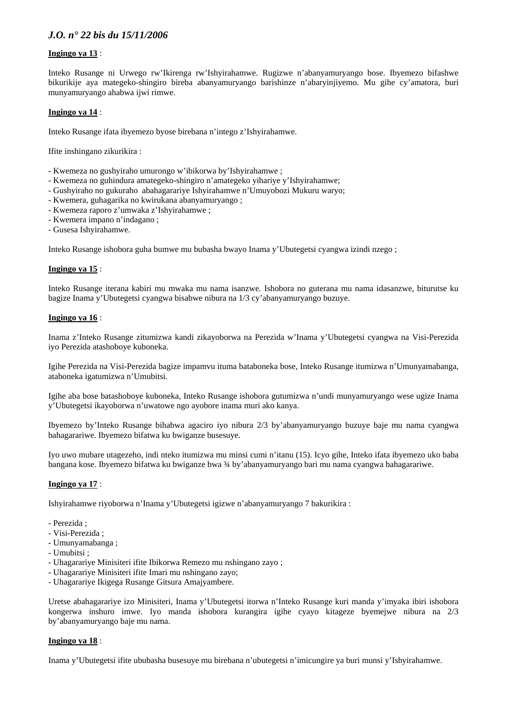#### **Ingingo ya 13** :

Inteko Rusange ni Urwego rw'Ikirenga rw'Ishyirahamwe. Rugizwe n'abanyamuryango bose. Ibyemezo bifashwe bikurikije aya mategeko-shingiro bireba abanyamuryango barishinze n'abaryinjiyemo. Mu gihe cy'amatora, buri munyamuryango ahabwa ijwi rimwe.

#### **Ingingo ya 14** :

Inteko Rusange ifata ibyemezo byose birebana n'intego z'Ishyirahamwe.

Ifite inshingano zikurikira :

- Kwemeza no gushyiraho umurongo w'ibikorwa by'Ishyirahamwe ;
- Kwemeza no guhindura amategeko-shingiro n'amategeko yihariye y'Ishyirahamwe;
- Gushyiraho no gukuraho abahagarariye Ishyirahamwe n'Umuyobozi Mukuru waryo;
- Kwemera, guhagarika no kwirukana abanyamuryango ;
- Kwemeza raporo z'umwaka z'Ishyirahamwe ;
- Kwemera impano n'indagano ;
- Gusesa Ishyirahamwe.

Inteko Rusange ishobora guha bumwe mu bubasha bwayo Inama y'Ubutegetsi cyangwa izindi nzego ;

#### **Ingingo ya 15** :

Inteko Rusange iterana kabiri mu mwaka mu nama isanzwe. Ishobora no guterana mu nama idasanzwe, biturutse ku bagize Inama y'Ubutegetsi cyangwa bisabwe nibura na 1/3 cy'abanyamuryango buzuye.

#### **Ingingo ya 16** :

Inama z'Inteko Rusange zitumizwa kandi zikayoborwa na Perezida w'Inama y'Ubutegetsi cyangwa na Visi-Perezida iyo Perezida atashoboye kuboneka.

Igihe Perezida na Visi-Perezida bagize impamvu ituma bataboneka bose, Inteko Rusange itumizwa n'Umunyamabanga, ataboneka igatumizwa n'Umubitsi.

Igihe aba bose batashoboye kuboneka, Inteko Rusange ishobora gutumizwa n'undi munyamuryango wese ugize Inama y'Ubutegetsi ikayoborwa n'uwatowe ngo ayobore inama muri ako kanya.

Ibyemezo by'Inteko Rusange bihabwa agaciro iyo nibura 2/3 by'abanyamuryango buzuye baje mu nama cyangwa bahagarariwe. Ibyemezo bifatwa ku bwiganze busesuye.

Iyo uwo mubare utagezeho, indi nteko itumizwa mu minsi cumi n'itanu (15). Icyo gihe, Inteko ifata ibyemezo uko baba bangana kose. Ibyemezo bifatwa ku bwiganze bwa ¾ by'abanyamuryango bari mu nama cyangwa bahagarariwe.

#### **Ingingo ya 17** :

Ishyirahamwe riyoborwa n'Inama y'Ubutegetsi igizwe n'abanyamuryango 7 bakurikira :

- Perezida ;
- Visi-Perezida ;
- Umunyamabanga ;
- Umubitsi ;
- Uhagarariye Minisiteri ifite Ibikorwa Remezo mu nshingano zayo ;
- Uhagarariye Minisiteri ifite Imari mu nshingano zayo;
- Uhagarariye Ikigega Rusange Gitsura Amajyambere.

Uretse abahagarariye izo Minisiteri, Inama y'Ubutegetsi itorwa n'Inteko Rusange kuri manda y'imyaka ibiri ishobora kongerwa inshuro imwe. Iyo manda ishobora kurangira igihe cyayo kitageze byemejwe nibura na 2/3 by'abanyamuryango baje mu nama.

#### **Ingingo ya 18** :

Inama y'Ubutegetsi ifite ububasha busesuye mu birebana n'ubutegetsi n'imicungire ya buri munsi y'Ishyirahamwe.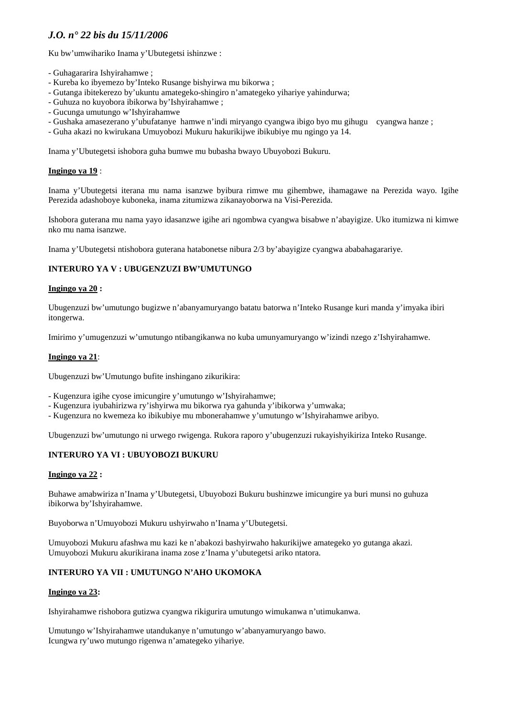Ku bw'umwihariko Inama y'Ubutegetsi ishinzwe :

- Guhagararira Ishyirahamwe ;
- Kureba ko ibyemezo by'Inteko Rusange bishyirwa mu bikorwa ;
- Gutanga ibitekerezo by'ukuntu amategeko-shingiro n'amategeko yihariye yahindurwa;
- Guhuza no kuyobora ibikorwa by'Ishyirahamwe ;
- Gucunga umutungo w'Ishyirahamwe
- Gushaka amasezerano y'ubufatanye hamwe n'indi miryango cyangwa ibigo byo mu gihugu cyangwa hanze ;
- Guha akazi no kwirukana Umuyobozi Mukuru hakurikijwe ibikubiye mu ngingo ya 14.

Inama y'Ubutegetsi ishobora guha bumwe mu bubasha bwayo Ubuyobozi Bukuru.

#### **Ingingo ya 19** :

Inama y'Ubutegetsi iterana mu nama isanzwe byibura rimwe mu gihembwe, ihamagawe na Perezida wayo. Igihe Perezida adashoboye kuboneka, inama zitumizwa zikanayoborwa na Visi-Perezida.

Ishobora guterana mu nama yayo idasanzwe igihe ari ngombwa cyangwa bisabwe n'abayigize. Uko itumizwa ni kimwe nko mu nama isanzwe.

Inama y'Ubutegetsi ntishobora guterana hatabonetse nibura 2/3 by'abayigize cyangwa ababahagarariye.

# **INTERURO YA V : UBUGENZUZI BW'UMUTUNGO**

#### **Ingingo ya 20 :**

Ubugenzuzi bw'umutungo bugizwe n'abanyamuryango batatu batorwa n'Inteko Rusange kuri manda y'imyaka ibiri itongerwa.

Imirimo y'umugenzuzi w'umutungo ntibangikanwa no kuba umunyamuryango w'izindi nzego z'Ishyirahamwe.

#### **Ingingo ya 21**:

Ubugenzuzi bw'Umutungo bufite inshingano zikurikira:

- Kugenzura igihe cyose imicungire y'umutungo w'Ishyirahamwe;
- Kugenzura iyubahirizwa ry'ishyirwa mu bikorwa rya gahunda y'ibikorwa y'umwaka;
- Kugenzura no kwemeza ko ibikubiye mu mbonerahamwe y'umutungo w'Ishyirahamwe aribyo.

Ubugenzuzi bw'umutungo ni urwego rwigenga. Rukora raporo y'ubugenzuzi rukayishyikiriza Inteko Rusange.

#### **INTERURO YA VI : UBUYOBOZI BUKURU**

#### **Ingingo ya 22 :**

Buhawe amabwiriza n'Inama y'Ubutegetsi, Ubuyobozi Bukuru bushinzwe imicungire ya buri munsi no guhuza ibikorwa by'Ishyirahamwe.

Buyoborwa n'Umuyobozi Mukuru ushyirwaho n'Inama y'Ubutegetsi.

Umuyobozi Mukuru afashwa mu kazi ke n'abakozi bashyirwaho hakurikijwe amategeko yo gutanga akazi. Umuyobozi Mukuru akurikirana inama zose z'Inama y'ubutegetsi ariko ntatora.

# **INTERURO YA VII : UMUTUNGO N'AHO UKOMOKA**

#### **Ingingo ya 23:**

Ishyirahamwe rishobora gutizwa cyangwa rikigurira umutungo wimukanwa n'utimukanwa.

Umutungo w'Ishyirahamwe utandukanye n'umutungo w'abanyamuryango bawo. Icungwa ry'uwo mutungo rigenwa n'amategeko yihariye.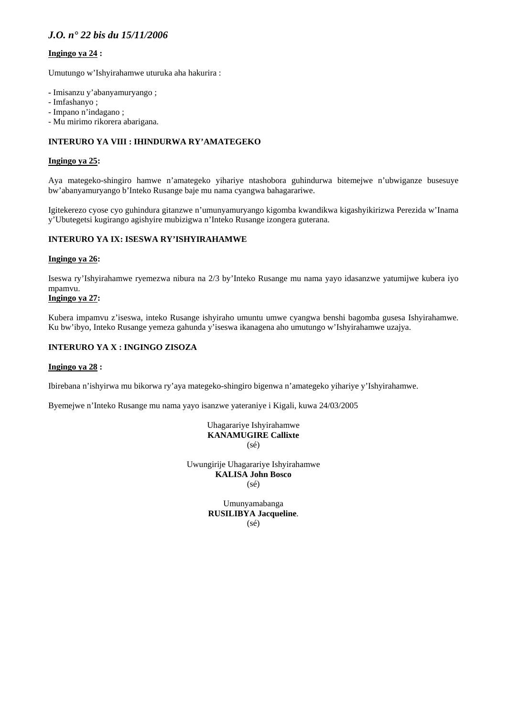# **Ingingo ya 24 :**

Umutungo w'Ishyirahamwe uturuka aha hakurira :

- Imisanzu y'abanyamuryango ;
- Imfashanyo ;
- Impano n'indagano ;
- Mu mirimo rikorera abarigana.

# **INTERURO YA VIII : IHINDURWA RY'AMATEGEKO**

#### **Ingingo ya 25:**

Aya mategeko-shingiro hamwe n'amategeko yihariye ntashobora guhindurwa bitemejwe n'ubwiganze busesuye bw'abanyamuryango b'Inteko Rusange baje mu nama cyangwa bahagarariwe.

Igitekerezo cyose cyo guhindura gitanzwe n'umunyamuryango kigomba kwandikwa kigashyikirizwa Perezida w'Inama y'Ubutegetsi kugirango agishyire mubizigwa n'Inteko Rusange izongera guterana.

#### **INTERURO YA IX: ISESWA RY'ISHYIRAHAMWE**

#### **Ingingo ya 26:**

Iseswa ry'Ishyirahamwe ryemezwa nibura na 2/3 by'Inteko Rusange mu nama yayo idasanzwe yatumijwe kubera iyo mpamvu.

# **Ingingo ya 27:**

Kubera impamvu z'iseswa, inteko Rusange ishyiraho umuntu umwe cyangwa benshi bagomba gusesa Ishyirahamwe. Ku bw'ibyo, Inteko Rusange yemeza gahunda y'iseswa ikanagena aho umutungo w'Ishyirahamwe uzajya.

#### **INTERURO YA X : INGINGO ZISOZA**

#### **Ingingo ya 28 :**

Ibirebana n'ishyirwa mu bikorwa ry'aya mategeko-shingiro bigenwa n'amategeko yihariye y'Ishyirahamwe.

Byemejwe n'Inteko Rusange mu nama yayo isanzwe yateraniye i Kigali, kuwa 24/03/2005

Uhagarariye Ishyirahamwe **KANAMUGIRE Callixte**  (sé)

Uwungirije Uhagarariye Ishyirahamwe **KALISA John Bosco**  (sé)

> Umunyamabanga **RUSILIBYA Jacqueline**. (sé)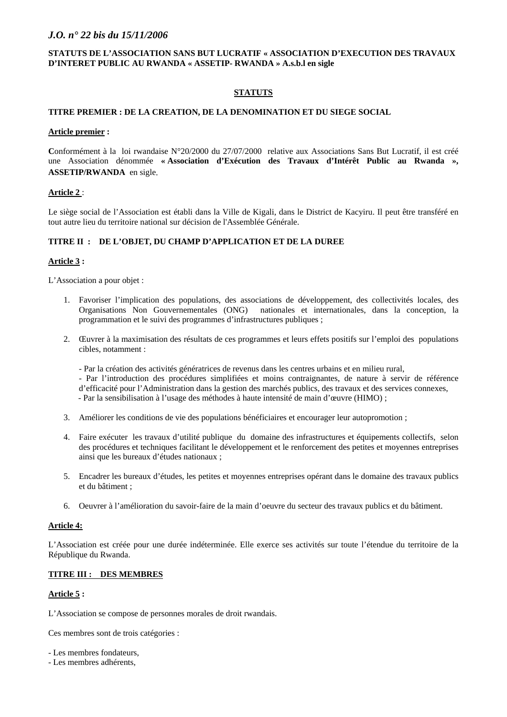#### **STATUTS DE L'ASSOCIATION SANS BUT LUCRATIF « ASSOCIATION D'EXECUTION DES TRAVAUX D'INTERET PUBLIC AU RWANDA « ASSETIP- RWANDA » A.s.b.l en sigle**

#### **STATUTS**

#### **TITRE PREMIER : DE LA CREATION, DE LA DENOMINATION ET DU SIEGE SOCIAL**

#### **Article premier :**

**C**onformément à la loi rwandaise N°20/2000 du 27/07/2000 relative aux Associations Sans But Lucratif, il est créé une Association dénommée **« Association d'Exécution des Travaux d'Intérêt Public au Rwanda », ASSETIP/RWANDA** en sigle.

#### **Article 2** :

Le siège social de l'Association est établi dans la Ville de Kigali, dans le District de Kacyiru. Il peut être transféré en tout autre lieu du territoire national sur décision de l'Assemblée Générale.

#### **TITRE II : DE L'OBJET, DU CHAMP D'APPLICATION ET DE LA DUREE**

#### **Article 3 :**

L'Association a pour objet :

- 1. Favoriser l'implication des populations, des associations de développement, des collectivités locales, des Organisations Non Gouvernementales (ONG) nationales et internationales, dans la conception, la programmation et le suivi des programmes d'infrastructures publiques ;
- 2. Œuvrer à la maximisation des résultats de ces programmes et leurs effets positifs sur l'emploi des populations cibles, notamment :
	- Par la création des activités génératrices de revenus dans les centres urbains et en milieu rural,
	- Par l'introduction des procédures simplifiées et moins contraignantes, de nature à servir de référence d'efficacité pour l'Administration dans la gestion des marchés publics, des travaux et des services connexes, - Par la sensibilisation à l'usage des méthodes à haute intensité de main d'œuvre (HIMO) ;
- 3. Améliorer les conditions de vie des populations bénéficiaires et encourager leur autopromotion ;
- 4. Faire exécuter les travaux d'utilité publique du domaine des infrastructures et équipements collectifs, selon des procédures et techniques facilitant le développement et le renforcement des petites et moyennes entreprises ainsi que les bureaux d'études nationaux ;
- 5. Encadrer les bureaux d'études, les petites et moyennes entreprises opérant dans le domaine des travaux publics et du bâtiment ;
- 6. Oeuvrer à l'amélioration du savoir-faire de la main d'oeuvre du secteur des travaux publics et du bâtiment.

#### **Article 4:**

L'Association est créée pour une durée indéterminée. Elle exerce ses activités sur toute l'étendue du territoire de la République du Rwanda.

#### **TITRE III : DES MEMBRES**

#### **Article 5 :**

L'Association se compose de personnes morales de droit rwandais.

Ces membres sont de trois catégories :

- Les membres fondateurs,
- Les membres adhérents,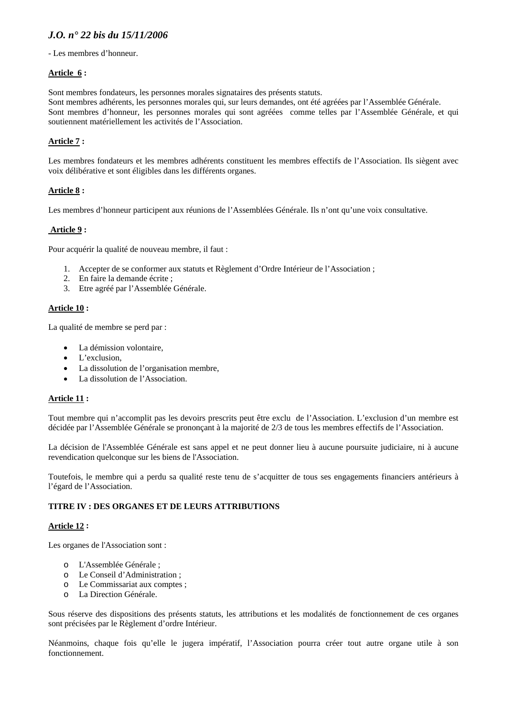- Les membres d'honneur.

#### **Article 6 :**

Sont membres fondateurs, les personnes morales signataires des présents statuts.

Sont membres adhérents, les personnes morales qui, sur leurs demandes, ont été agréées par l'Assemblée Générale. Sont membres d'honneur, les personnes morales qui sont agréées comme telles par l'Assemblée Générale, et qui soutiennent matériellement les activités de l'Association.

# **Article 7 :**

Les membres fondateurs et les membres adhérents constituent les membres effectifs de l'Association. Ils siègent avec voix délibérative et sont éligibles dans les différents organes.

#### **Article 8 :**

Les membres d'honneur participent aux réunions de l'Assemblées Générale. Ils n'ont qu'une voix consultative.

# **Article 9 :**

Pour acquérir la qualité de nouveau membre, il faut :

- 1. Accepter de se conformer aux statuts et Règlement d'Ordre Intérieur de l'Association ;
- 2. En faire la demande écrite ;
- 3. Etre agréé par l'Assemblée Générale.

#### **Article 10 :**

La qualité de membre se perd par :

- La démission volontaire,
- L'exclusion,
- La dissolution de l'organisation membre,
- La dissolution de l'Association.

#### **Article 11 :**

Tout membre qui n'accomplit pas les devoirs prescrits peut être exclu de l'Association. L'exclusion d'un membre est décidée par l'Assemblée Générale se prononçant à la majorité de 2/3 de tous les membres effectifs de l'Association.

La décision de l'Assemblée Générale est sans appel et ne peut donner lieu à aucune poursuite judiciaire, ni à aucune revendication quelconque sur les biens de l'Association.

Toutefois, le membre qui a perdu sa qualité reste tenu de s'acquitter de tous ses engagements financiers antérieurs à l'égard de l'Association.

#### **TITRE IV : DES ORGANES ET DE LEURS ATTRIBUTIONS**

#### **Article 12 :**

Les organes de l'Association sont :

- o L'Assemblée Générale ;
- o Le Conseil d'Administration ;
- o Le Commissariat aux comptes ;
- o La Direction Générale.

Sous réserve des dispositions des présents statuts, les attributions et les modalités de fonctionnement de ces organes sont précisées par le Règlement d'ordre Intérieur.

Néanmoins, chaque fois qu'elle le jugera impératif, l'Association pourra créer tout autre organe utile à son fonctionnement.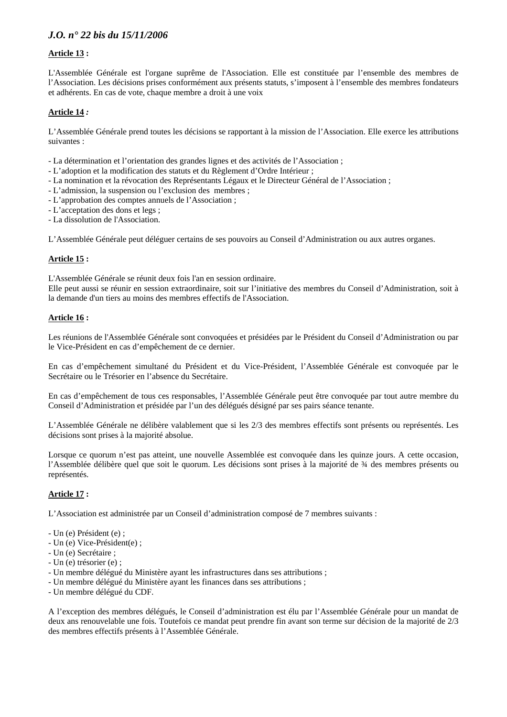#### **Article 13 :**

L'Assemblée Générale est l'organe suprême de l'Association. Elle est constituée par l'ensemble des membres de l'Association. Les décisions prises conformément aux présents statuts, s'imposent à l'ensemble des membres fondateurs et adhérents. En cas de vote, chaque membre a droit à une voix

#### **Article 14** *:*

L'Assemblée Générale prend toutes les décisions se rapportant à la mission de l'Association. Elle exerce les attributions suivantes :

- La détermination et l'orientation des grandes lignes et des activités de l'Association ;
- L'adoption et la modification des statuts et du Règlement d'Ordre Intérieur ;
- La nomination et la révocation des Représentants Légaux et le Directeur Général de l'Association ;
- L'admission, la suspension ou l'exclusion des membres ;
- L'approbation des comptes annuels de l'Association ;
- L'acceptation des dons et legs ;
- La dissolution de l'Association.

L'Assemblée Générale peut déléguer certains de ses pouvoirs au Conseil d'Administration ou aux autres organes.

#### **Article 15 :**

L'Assemblée Générale se réunit deux fois l'an en session ordinaire.

Elle peut aussi se réunir en session extraordinaire, soit sur l'initiative des membres du Conseil d'Administration, soit à la demande d'un tiers au moins des membres effectifs de l'Association.

#### **Article 16 :**

Les réunions de l'Assemblée Générale sont convoquées et présidées par le Président du Conseil d'Administration ou par le Vice-Président en cas d'empêchement de ce dernier.

En cas d'empêchement simultané du Président et du Vice-Président, l'Assemblée Générale est convoquée par le Secrétaire ou le Trésorier en l'absence du Secrétaire.

En cas d'empêchement de tous ces responsables, l'Assemblée Générale peut être convoquée par tout autre membre du Conseil d'Administration et présidée par l'un des délégués désigné par ses pairs séance tenante.

L'Assemblée Générale ne délibère valablement que si les 2/3 des membres effectifs sont présents ou représentés. Les décisions sont prises à la majorité absolue.

Lorsque ce quorum n'est pas atteint, une nouvelle Assemblée est convoquée dans les quinze jours. A cette occasion, l'Assemblée délibère quel que soit le quorum. Les décisions sont prises à la majorité de ¾ des membres présents ou représentés.

#### **Article 17 :**

L'Association est administrée par un Conseil d'administration composé de 7 membres suivants :

- Un (e) Président (e) ;
- Un (e) Vice-Président(e) ;
- Un (e) Secrétaire ;
- Un (e) trésorier (e) ;
- Un membre délégué du Ministère ayant les infrastructures dans ses attributions ;
- Un membre délégué du Ministère ayant les finances dans ses attributions ;
- Un membre délégué du CDF.

A l'exception des membres délégués, le Conseil d'administration est élu par l'Assemblée Générale pour un mandat de deux ans renouvelable une fois. Toutefois ce mandat peut prendre fin avant son terme sur décision de la majorité de 2/3 des membres effectifs présents à l'Assemblée Générale.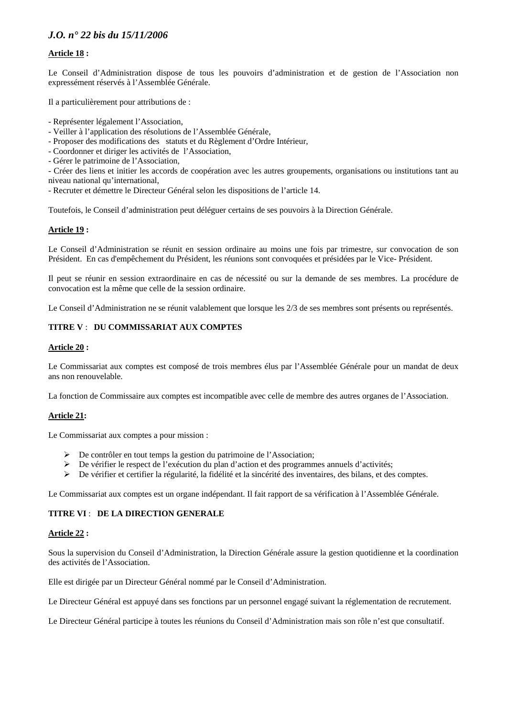#### **Article 18 :**

Le Conseil d'Administration dispose de tous les pouvoirs d'administration et de gestion de l'Association non expressément réservés à l'Assemblée Générale.

Il a particulièrement pour attributions de :

- Représenter légalement l'Association,
- Veiller à l'application des résolutions de l'Assemblée Générale,
- Proposer des modifications des statuts et du Règlement d'Ordre Intérieur,
- Coordonner et diriger les activités de l'Association,
- Gérer le patrimoine de l'Association,
- Créer des liens et initier les accords de coopération avec les autres groupements, organisations ou institutions tant au niveau national qu'international,
- Recruter et démettre le Directeur Général selon les dispositions de l'article 14.

Toutefois, le Conseil d'administration peut déléguer certains de ses pouvoirs à la Direction Générale.

#### **Article 19 :**

Le Conseil d'Administration se réunit en session ordinaire au moins une fois par trimestre, sur convocation de son Président. En cas d'empêchement du Président, les réunions sont convoquées et présidées par le Vice- Président.

Il peut se réunir en session extraordinaire en cas de nécessité ou sur la demande de ses membres. La procédure de convocation est la même que celle de la session ordinaire.

Le Conseil d'Administration ne se réunit valablement que lorsque les 2/3 de ses membres sont présents ou représentés.

#### **TITRE V** : **DU COMMISSARIAT AUX COMPTES**

#### **Article 20 :**

Le Commissariat aux comptes est composé de trois membres élus par l'Assemblée Générale pour un mandat de deux ans non renouvelable.

La fonction de Commissaire aux comptes est incompatible avec celle de membre des autres organes de l'Association.

#### **Article 21:**

Le Commissariat aux comptes a pour mission :

- ¾ De contrôler en tout temps la gestion du patrimoine de l'Association;
- ¾ De vérifier le respect de l'exécution du plan d'action et des programmes annuels d'activités;
- $\triangleright$  De vérifier et certifier la régularité, la fidélité et la sincérité des inventaires, des bilans, et des comptes.

Le Commissariat aux comptes est un organe indépendant. Il fait rapport de sa vérification à l'Assemblée Générale.

#### **TITRE VI** : **DE LA DIRECTION GENERALE**

#### **Article 22 :**

Sous la supervision du Conseil d'Administration, la Direction Générale assure la gestion quotidienne et la coordination des activités de l'Association.

Elle est dirigée par un Directeur Général nommé par le Conseil d'Administration.

Le Directeur Général est appuyé dans ses fonctions par un personnel engagé suivant la réglementation de recrutement.

Le Directeur Général participe à toutes les réunions du Conseil d'Administration mais son rôle n'est que consultatif.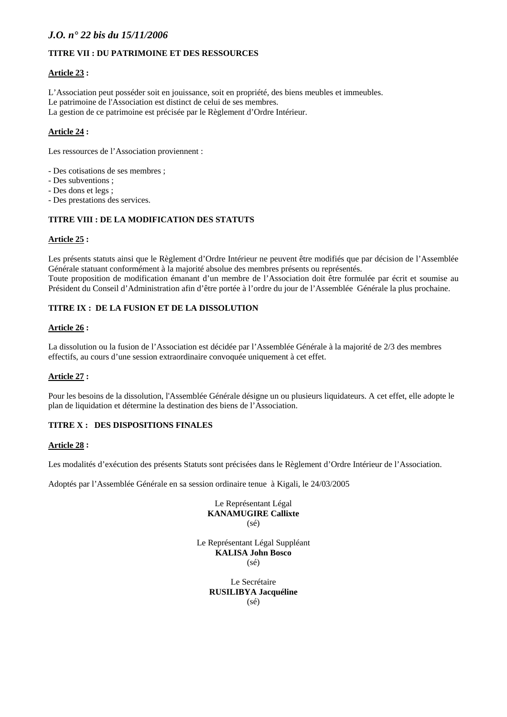# **TITRE VII : DU PATRIMOINE ET DES RESSOURCES**

#### **Article 23 :**

L'Association peut posséder soit en jouissance, soit en propriété, des biens meubles et immeubles. Le patrimoine de l'Association est distinct de celui de ses membres. La gestion de ce patrimoine est précisée par le Règlement d'Ordre Intérieur.

#### **Article 24 :**

Les ressources de l'Association proviennent :

- Des cotisations de ses membres ;
- Des subventions ;
- Des dons et legs ;
- Des prestations des services.

# **TITRE VIII : DE LA MODIFICATION DES STATUTS**

#### **Article 25 :**

Les présents statuts ainsi que le Règlement d'Ordre Intérieur ne peuvent être modifiés que par décision de l'Assemblée Générale statuant conformément à la majorité absolue des membres présents ou représentés. Toute proposition de modification émanant d'un membre de l'Association doit être formulée par écrit et soumise au Président du Conseil d'Administration afin d'être portée à l'ordre du jour de l'Assemblée Générale la plus prochaine.

#### **TITRE IX : DE LA FUSION ET DE LA DISSOLUTION**

#### **Article 26 :**

La dissolution ou la fusion de l'Association est décidée par l'Assemblée Générale à la majorité de 2/3 des membres effectifs, au cours d'une session extraordinaire convoquée uniquement à cet effet.

#### **Article 27 :**

Pour les besoins de la dissolution, l'Assemblée Générale désigne un ou plusieurs liquidateurs. A cet effet, elle adopte le plan de liquidation et détermine la destination des biens de l'Association.

#### **TITRE X : DES DISPOSITIONS FINALES**

#### **Article 28 :**

Les modalités d'exécution des présents Statuts sont précisées dans le Règlement d'Ordre Intérieur de l'Association.

Adoptés par l'Assemblée Générale en sa session ordinaire tenue à Kigali, le 24/03/2005

Le Représentant Légal **KANAMUGIRE Callixte**  (sé)

Le Représentant Légal Suppléant **KALISA John Bosco**  (sé)

> Le Secrétaire **RUSILIBYA Jacquéline**  (sé)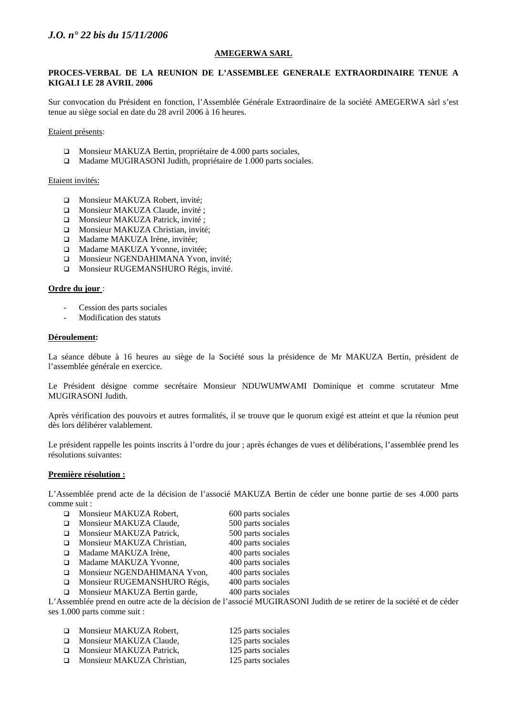#### **AMEGERWA SARL**

#### **PROCES-VERBAL DE LA REUNION DE L'ASSEMBLEE GENERALE EXTRAORDINAIRE TENUE A KIGALI LE 28 AVRIL 2006**

Sur convocation du Président en fonction, l'Assemblée Générale Extraordinaire de la société AMEGERWA sàrl s'est tenue au siège social en date du 28 avril 2006 à 16 heures.

Etaient présents:

- Monsieur MAKUZA Bertin, propriétaire de 4.000 parts sociales,
- Madame MUGIRASONI Judith, propriétaire de 1.000 parts sociales.

#### Etaient invités:

- □ Monsieur MAKUZA Robert, invité;
- □ Monsieur MAKUZA Claude, invité ;
- □ Monsieur MAKUZA Patrick, invité ;
- Monsieur MAKUZA Christian, invité;
- □ Madame MAKUZA Irène, invitée;
- □ Madame MAKUZA Yvonne, invitée;
- **Monsieur NGENDAHIMANA Yvon, invité;**
- **Monsieur RUGEMANSHURO Régis, invité.**

#### **Ordre du jour** :

- Cession des parts sociales
- Modification des statuts

#### **Déroulement:**

La séance débute à 16 heures au siège de la Société sous la présidence de Mr MAKUZA Bertin, président de l'assemblée générale en exercice.

Le Président désigne comme secrétaire Monsieur NDUWUMWAMI Dominique et comme scrutateur Mme MUGIRASONI Judith.

Après vérification des pouvoirs et autres formalités, il se trouve que le quorum exigé est atteint et que la réunion peut dès lors délibérer valablement.

Le président rappelle les points inscrits à l'ordre du jour ; après échanges de vues et délibérations, l'assemblée prend les résolutions suivantes:

#### **Première résolution :**

L'Assemblée prend acte de la décision de l'associé MAKUZA Bertin de céder une bonne partie de ses 4.000 parts comme suit :

- □ Monsieur MAKUZA Robert, 600 parts sociales
- □ Monsieur MAKUZA Claude, 500 parts sociales
- □ Monsieur MAKUZA Patrick, 500 parts sociales
- □ Monsieur MAKUZA Christian, 400 parts sociales
- □ Madame MAKUZA Irène, 400 parts sociales
	-
- □ Madame MAKUZA Yvonne, 400 parts sociales
- Monsieur NGENDAHIMANA Yvon, 400 parts sociales
- Monsieur RUGEMANSHURO Régis, 400 parts sociales
- □ Monsieur MAKUZA Bertin garde, 400 parts sociales

L'Assemblée prend en outre acte de la décision de l'associé MUGIRASONI Judith de se retirer de la société et de céder ses 1.000 parts comme suit :

- □ Monsieur MAKUZA Robert, 125 parts sociales
- □ Monsieur MAKUZA Claude, 125 parts sociales
- □ Monsieur MAKUZA Patrick, 125 parts sociales
- □ Monsieur MAKUZA Christian, 125 parts sociales
	-
- 
-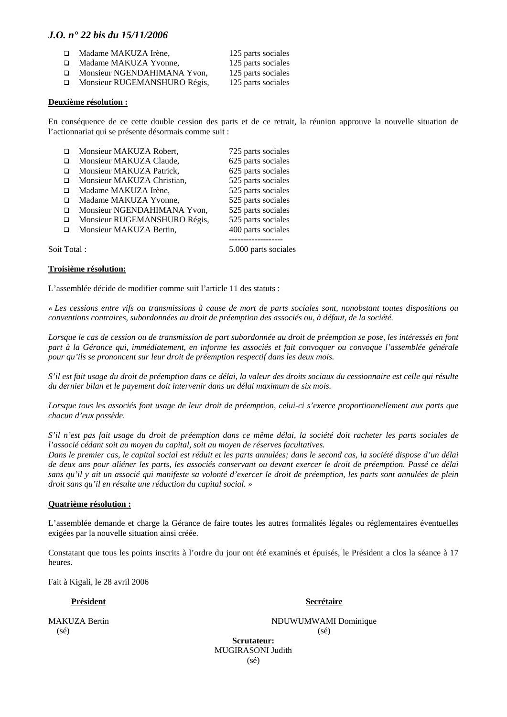- □ Madame MAKUZA Irène, 125 parts sociales
- □ Madame MAKUZA Yvonne, 125 parts sociales
- □ Monsieur NGENDAHIMANA Yvon, 125 parts sociales

□ Monsieur RUGEMANSHURO Régis, 125 parts sociales

#### **Deuxième résolution :**

En conséquence de ce cette double cession des parts et de ce retrait, la réunion approuve la nouvelle situation de l'actionnariat qui se présente désormais comme suit :

| $\Box$ | Monsieur MAKUZA Robert,<br>Monsieur MAKUZA Claude,<br>Monsieur MAKUZA Patrick,                             | 725 parts sociales<br>625 parts sociales<br>625 parts sociales                       |
|--------|------------------------------------------------------------------------------------------------------------|--------------------------------------------------------------------------------------|
|        | Monsieur MAKUZA Christian,<br>Madame MAKUZA Irène,<br>Madame MAKUZA Yvonne,<br>Monsieur NGENDAHIMANA Yvon, | 525 parts sociales<br>525 parts sociales<br>525 parts sociales<br>525 parts sociales |
|        | Monsieur RUGEMANSHURO Régis,<br>Monsieur MAKUZA Bertin,                                                    | 525 parts sociales<br>400 parts sociales                                             |

-------------------

Soit Total : 5.000 parts sociales

#### **Troisième résolution:**

L'assemblée décide de modifier comme suit l'article 11 des statuts :

*« Les cessions entre vifs ou transmissions à cause de mort de parts sociales sont, nonobstant toutes dispositions ou conventions contraires, subordonnées au droit de préemption des associés ou, à défaut, de la société.* 

*Lorsque le cas de cession ou de transmission de part subordonnée au droit de préemption se pose, les intéressés en font part à la Gérance qui, immédiatement, en informe les associés et fait convoquer ou convoque l'assemblée générale pour qu'ils se prononcent sur leur droit de préemption respectif dans les deux mois.* 

*S'il est fait usage du droit de préemption dans ce délai, la valeur des droits sociaux du cessionnaire est celle qui résulte du dernier bilan et le payement doit intervenir dans un délai maximum de six mois.* 

*Lorsque tous les associés font usage de leur droit de préemption, celui-ci s'exerce proportionnellement aux parts que chacun d'eux possède.* 

*S'il n'est pas fait usage du droit de préemption dans ce même délai, la société doit racheter les parts sociales de l'associé cédant soit au moyen du capital, soit au moyen de réserves facultatives.* 

*Dans le premier cas, le capital social est réduit et les parts annulées; dans le second cas, la société dispose d'un délai de deux ans pour aliéner les parts, les associés conservant ou devant exercer le droit de préemption. Passé ce délai sans qu'il y ait un associé qui manifeste sa volonté d'exercer le droit de préemption, les parts sont annulées de plein droit sans qu'il en résulte une réduction du capital social. »* 

#### **Quatrième résolution :**

L'assemblée demande et charge la Gérance de faire toutes les autres formalités légales ou réglementaires éventuelles exigées par la nouvelle situation ainsi créée.

Constatant que tous les points inscrits à l'ordre du jour ont été examinés et épuisés, le Président a clos la séance à 17 heures.

Fait à Kigali, le 28 avril 2006

#### Président **Secrétaire**

 $(s\acute{e})$  (sé)

MAKUZA Bertin **NDUWUMWAMI** Dominique

**Scrutateur:**  MUGIRASONI Judith (sé)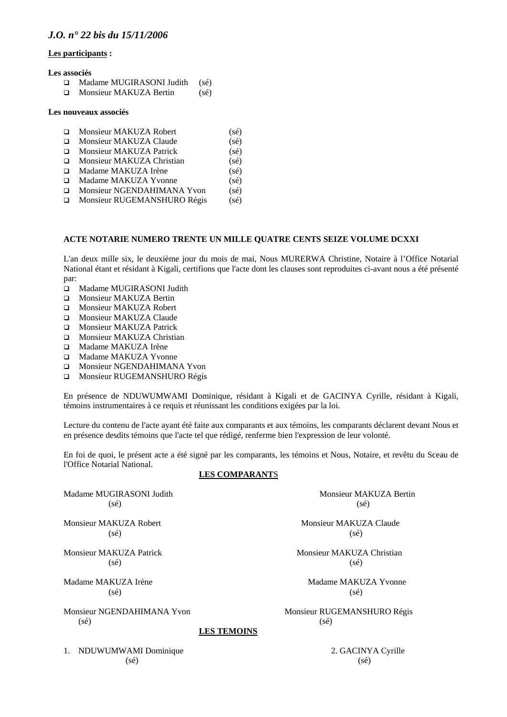#### **Les participants :**

#### **Les associés**

- □ Madame MUGIRASONI Judith (sé)
- $\Box$  Monsieur MAKUZA Bertin (sé)

#### **Les nouveaux associés**

|        | □ Monsieur MAKUZA Robert      | $(s\acute{e})$ |
|--------|-------------------------------|----------------|
| $\Box$ | Monsieur MAKUZA Claude        | (sé)           |
|        | □ Monsieur MAKUZA Patrick     | (sé)           |
|        | □ Monsieur MAKUZA Christian   | (sé)           |
|        | □ Madame MAKUZA Irène         | $(s\acute{e})$ |
|        | □ Madame MAKUZA Yvonne        | (sé)           |
|        | Monsieur NGENDAHIMANA Yvon    | $(s\acute{e})$ |
|        | □ Monsieur RUGEMANSHURO Régis | $(s\acute{e})$ |
|        |                               |                |

#### **ACTE NOTARIE NUMERO TRENTE UN MILLE QUATRE CENTS SEIZE VOLUME DCXXI**

L'an deux mille six, le deuxième jour du mois de mai, Nous MURERWA Christine, Notaire à l'Office Notarial National étant et résidant à Kigali, certifions que l'acte dont les clauses sont reproduites ci-avant nous a été présenté par:

- Madame MUGIRASONI Judith
- **D** Monsieur MAKUZA Bertin
- Monsieur MAKUZA Robert
- **IMONSIEUR MAKUZA Claude**
- **Monsieur MAKUZA Patrick**
- **D** Monsieur MAKUZA Christian
- □ Madame MAKUZA Irène
- Madame MAKUZA Yvonne
- **IN** Monsieur NGENDAHIMANA Yvon
- **Monsieur RUGEMANSHURO Régis**

En présence de NDUWUMWAMI Dominique, résidant à Kigali et de GACINYA Cyrille, résidant à Kigali, témoins instrumentaires à ce requis et réunissant les conditions exigées par la loi.

Lecture du contenu de l'acte ayant été faite aux comparants et aux témoins, les comparants déclarent devant Nous et en présence desdits témoins que l'acte tel que rédigé, renferme bien l'expression de leur volonté.

En foi de quoi, le présent acte a été signé par les comparants, les témoins et Nous, Notaire, et revêtu du Sceau de l'Office Notarial National.

#### **LES COMPARANT**S

Madame MUGIRASONI Judith Monsieur MAKUZA Bertin  $(s\acute{e})$  (sé)

Monsieur MAKUZA Robert **Monsieur MAKUZA Claude**  $(s\acute{e})$  (sé)

 $(s\acute{e})$  (sé)

 $(s\acute{e})$  (sé)

 $(s\acute{e})$  (sé)

**LES TEMOINS**

1. NDUWUMWAMI Dominique 2. GACINYA Cyrille  $(s\acute{e})$  (sé)

Monsieur MAKUZA Patrick Monsieur MAKUZA Christian

Madame MAKUZA Irène Madame MAKUZA Yvonne

Monsieur NGENDAHIMANA Yvon Monsieur RUGEMANSHURO Régis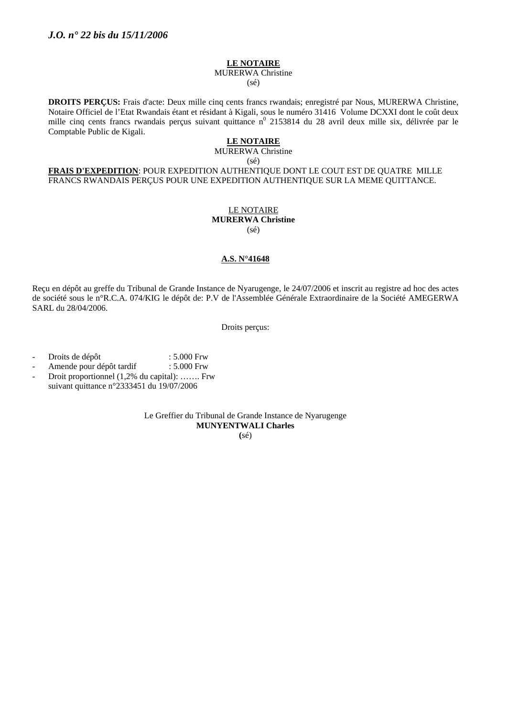#### **LE NOTAIRE**

MURERWA Christine (sé)

**DROITS PERÇUS:** Frais d'acte: Deux mille cinq cents francs rwandais; enregistré par Nous, MURERWA Christine, Notaire Officiel de l'Etat Rwandais étant et résidant à Kigali, sous le numéro 31416 Volume DCXXI dont le coût deux mille cinq cents francs rwandais perçus suivant quittance  $n^0$  2153814 du 28 avril deux mille six, délivrée par le Comptable Public de Kigali.

# **LE NOTAIRE**

MURERWA Christine

(sé)

**FRAIS D'EXPEDITION**: POUR EXPEDITION AUTHENTIQUE DONT LE COUT EST DE QUATRE MILLE FRANCS RWANDAIS PERÇUS POUR UNE EXPEDITION AUTHENTIQUE SUR LA MEME QUITTANCE.

#### LE NOTAIRE **MURERWA Christine**  (sé)

#### **A.S. N°41648**

Reçu en dépôt au greffe du Tribunal de Grande Instance de Nyarugenge, le 24/07/2006 et inscrit au registre ad hoc des actes de société sous le n°R.C.A. 074/KIG le dépôt de: P.V de l'Assemblée Générale Extraordinaire de la Société AMEGERWA SARL du 28/04/2006.

Droits perçus:

- Droits de dépôt : 5.000 Frw
- Amende pour dépôt tardif : 5.000 Frw
- Droit proportionnel (1,2% du capital): ……. Frw suivant quittance n°2333451 du 19/07/2006

Le Greffier du Tribunal de Grande Instance de Nyarugenge **MUNYENTWALI Charles** 

**(**sé)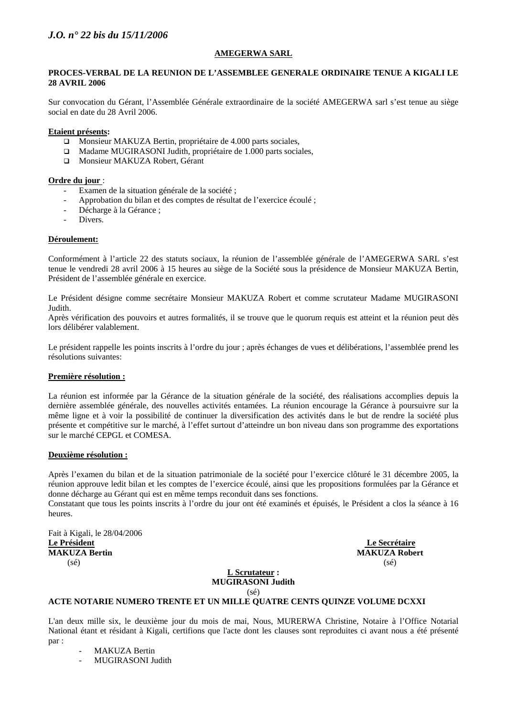#### **AMEGERWA SARL**

#### **PROCES-VERBAL DE LA REUNION DE L'ASSEMBLEE GENERALE ORDINAIRE TENUE A KIGALI LE 28 AVRIL 2006**

Sur convocation du Gérant, l'Assemblée Générale extraordinaire de la société AMEGERWA sarl s'est tenue au siège social en date du 28 Avril 2006.

#### **Etaient présents:**

- □ Monsieur MAKUZA Bertin, propriétaire de 4.000 parts sociales,
- Madame MUGIRASONI Judith, propriétaire de 1.000 parts sociales,
- Monsieur MAKUZA Robert, Gérant

#### **Ordre du jour** :

- Examen de la situation générale de la société ;
- Approbation du bilan et des comptes de résultat de l'exercice écoulé ;
- Décharge à la Gérance ;
- Divers.

#### **Déroulement:**

Conformément à l'article 22 des statuts sociaux, la réunion de l'assemblée générale de l'AMEGERWA SARL s'est tenue le vendredi 28 avril 2006 à 15 heures au siège de la Société sous la présidence de Monsieur MAKUZA Bertin, Président de l'assemblée générale en exercice.

Le Président désigne comme secrétaire Monsieur MAKUZA Robert et comme scrutateur Madame MUGIRASONI Judith.

Après vérification des pouvoirs et autres formalités, il se trouve que le quorum requis est atteint et la réunion peut dès lors délibérer valablement.

Le président rappelle les points inscrits à l'ordre du jour ; après échanges de vues et délibérations, l'assemblée prend les résolutions suivantes:

#### **Première résolution :**

La réunion est informée par la Gérance de la situation générale de la société, des réalisations accomplies depuis la dernière assemblée générale, des nouvelles activités entamées. La réunion encourage la Gérance à poursuivre sur la même ligne et à voir la possibilité de continuer la diversification des activités dans le but de rendre la société plus présente et compétitive sur le marché, à l'effet surtout d'atteindre un bon niveau dans son programme des exportations sur le marché CEPGL et COMESA.

#### **Deuxième résolution :**

Après l'examen du bilan et de la situation patrimoniale de la société pour l'exercice clôturé le 31 décembre 2005, la réunion approuve ledit bilan et les comptes de l'exercice écoulé, ainsi que les propositions formulées par la Gérance et donne décharge au Gérant qui est en même temps reconduit dans ses fonctions. Constatant que tous les points inscrits à l'ordre du jour ont été examinés et épuisés, le Président a clos la séance à 16

heures.

Fait à Kigali, le 28/04/2006 **Le Président** Le Secrétaire du Secrétaire du Secrétaire du Secrétaire du Secrétaire du Secrétaire du Secrétaire du Secrétaire du Secrétaire du Secrétaire du Secrétaire du Secrétaire du Secrétaire du Secrétaire du Secrétai **MAKUZA Bertin MAKUZA Robert**  $(s\acute{e})$  (se)  $(s\acute{e})$ 

#### **L Scrutateur : MUGIRASONI Judith**

(sé)

# **ACTE NOTARIE NUMERO TRENTE ET UN MILLE QUATRE CENTS QUINZE VOLUME DCXXI**

L'an deux mille six, le deuxième jour du mois de mai, Nous, MURERWA Christine, Notaire à l'Office Notarial National étant et résidant à Kigali, certifions que l'acte dont les clauses sont reproduites ci avant nous a été présenté par :

- MAKUZA Bertin
- MUGIRASONI Judith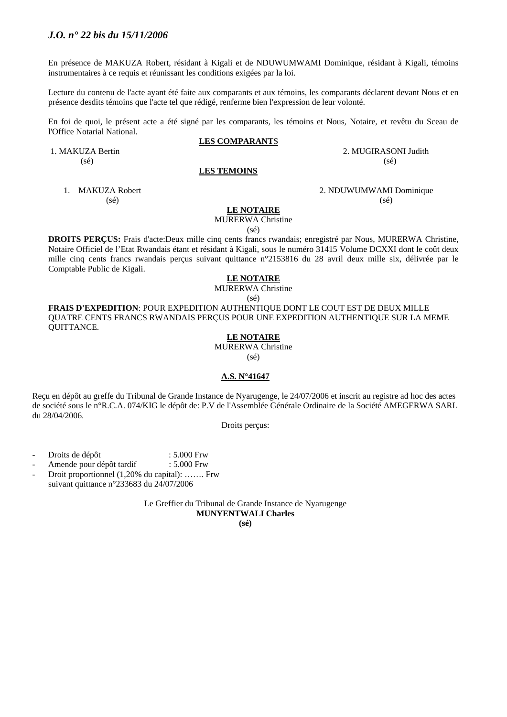En présence de MAKUZA Robert, résidant à Kigali et de NDUWUMWAMI Dominique, résidant à Kigali, témoins instrumentaires à ce requis et réunissant les conditions exigées par la loi.

Lecture du contenu de l'acte ayant été faite aux comparants et aux témoins, les comparants déclarent devant Nous et en présence desdits témoins que l'acte tel que rédigé, renferme bien l'expression de leur volonté.

En foi de quoi, le présent acte a été signé par les comparants, les témoins et Nous, Notaire, et revêtu du Sceau de l'Office Notarial National.

#### **LES COMPARANT**S

1. MAKUZA Bertin 2. MUGIRASONI Judith

#### **LES TEMOINS**

1. MAKUZA Robert 2. NDUWUMWAMI Dominique

**LE NOTAIRE**

MURERWA Christine

(sé)

**DROITS PERÇUS:** Frais d'acte:Deux mille cinq cents francs rwandais; enregistré par Nous, MURERWA Christine, Notaire Officiel de l'Etat Rwandais étant et résidant à Kigali, sous le numéro 31415 Volume DCXXI dont le coût deux mille cinq cents francs rwandais perçus suivant quittance n°2153816 du 28 avril deux mille six, délivrée par le Comptable Public de Kigali.

#### **LE NOTAIRE**

MURERWA Christine

(sé)

**FRAIS D'EXPEDITION**: POUR EXPEDITION AUTHENTIQUE DONT LE COUT EST DE DEUX MILLE QUATRE CENTS FRANCS RWANDAIS PERÇUS POUR UNE EXPEDITION AUTHENTIQUE SUR LA MEME QUITTANCE.

#### **LE NOTAIRE**

MURERWA Christine

(sé)

#### **A.S. N°41647**

Reçu en dépôt au greffe du Tribunal de Grande Instance de Nyarugenge, le 24/07/2006 et inscrit au registre ad hoc des actes de société sous le n°R.C.A. 074/KIG le dépôt de: P.V de l'Assemblée Générale Ordinaire de la Société AMEGERWA SARL du 28/04/2006.

Droits perçus:

- Droits de dépôt : 5.000 Frw
- Amende pour dépôt tardif : 5.000 Frw
- Droit proportionnel (1,20% du capital): ……. Frw suivant quittance n°233683 du 24/07/2006

Le Greffier du Tribunal de Grande Instance de Nyarugenge **MUNYENTWALI Charles** 

**(sé)** 

 $(s\acute{e})$  (sé)

# $(s\acute{e})$  (sé)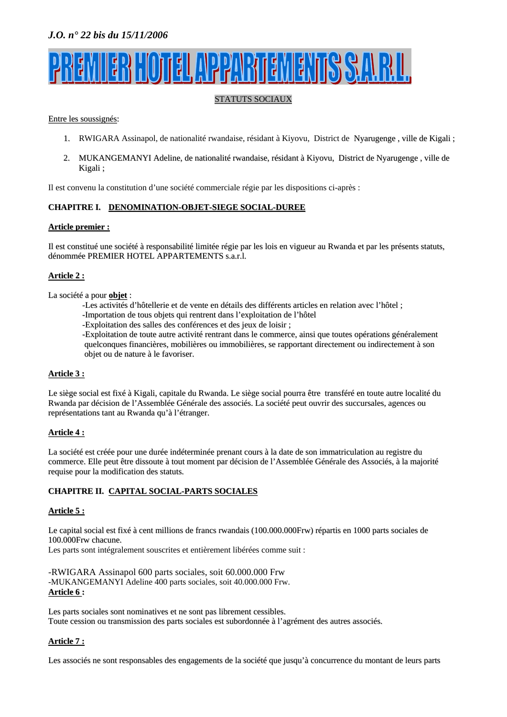# <u>TELAPPARTIEMENTSSA</u>

# STATUTS SOCIAUX

#### Entre les soussignés:

- 1. RWIGARA Assinapol, de nationalité rwandaise, résidant à Kiyovu, District de Nyarugenge , ville de Kigali ;
- 2. MUKANGEMANYI Adeline, de nationalité rwandaise, résidant à Kiyovu, District de Nyarugenge , ville de Kigali ;

Il est convenu la constitution d'une société commerciale régie par les dispositions ci-après :

# **CHAPITRE I. DENOMINATION-OBJET-SIEGE SOCIAL-DUREE**

#### **Article premier :**

Il est constitué une société à responsabilité limitée régie par les lois en vigueur au Rwanda et par les présents statuts, dénommée PREMIER HOTEL APPARTEMENTS s.a.r.l.

# **Article 2 :**

La société a pour **objet** :

- -Les activités d'hôtellerie et de vente en détails des différents articles en relation avec l'hôtel ;
- -Importation de tous objets qui rentrent dans l'exploitation de l'hôtel
- -Exploitation des salles des conférences et des jeux de loisir ;

-Exploitation de toute autre activité rentrant dans le commerce, ainsi que toutes opérations généralement quelconques financières, mobilières ou immobilières, se rapportant directement ou indirectement à son objet ou de nature à le favoriser.

# **Article 3 :**

Le siège social est fixé à Kigali, capitale du Rwanda. Le siège social pourra être transféré en toute autre localité du Rwanda par décision de l'Assemblée Générale des associés. La société peut ouvrir des succursales, agences ou représentations tant au Rwanda qu'à l'étranger.

# **Article 4 :**

La société est créée pour une durée indéterminée prenant cours à la date de son immatriculation au registre du commerce. Elle peut être dissoute à tout moment par décision de l'Assemblée Générale des Associés, à la majorité requise pour la modification des statuts.

# **CHAPITRE II. CAPITAL SOCIAL-PARTS SOCIALES**

# **Article 5 :**

Le capital social est fixé à cent millions de francs rwandais (100.000.000Frw) répartis en 1000 parts sociales de 100.000Frw chacune.

Les parts sont intégralement souscrites et entièrement libérées comme suit :

-RWIGARA Assinapol 600 parts sociales, soit 60.000.000 Frw -MUKANGEMANYI Adeline 400 parts sociales, soit 40.000.000 Frw. **Article 6 :**

Les parts sociales sont nominatives et ne sont pas librement cessibles. Toute cession ou transmission des parts sociales est subordonnée à l'agrément des autres associés.

# **Article 7 :**

Les associés ne sont responsables des engagements de la société que jusqu'à concurrence du montant de leurs parts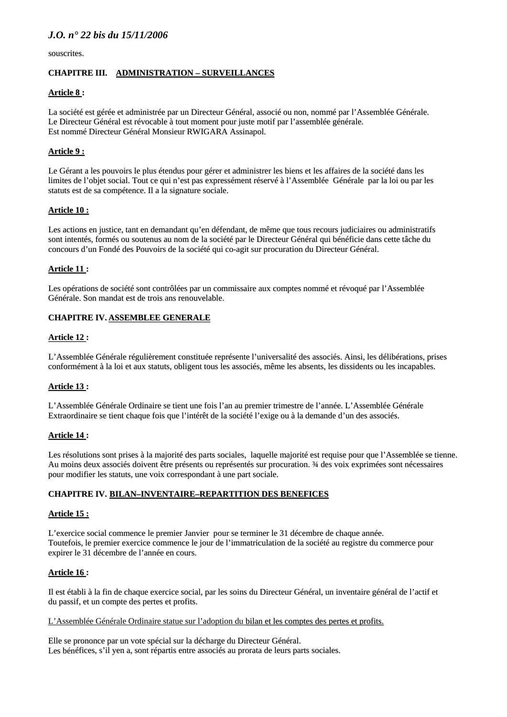souscrites.

#### **CHAPITRE III. ADMINISTRATION – SURVEILLANCES**

#### **Article 8 :**

La société est gérée et administrée par un Directeur Général, associé ou non, nommé par l'Assemblée Générale. Le Directeur Général est révocable à tout moment pour juste motif par l'assemblée générale. Est nommé Directeur Général Monsieur RWIGARA Assinapol.

# **Article 9 :**

Le Gérant a les pouvoirs le plus étendus pour gérer et administrer les biens et les affaires de la société dans les limites de l'objet social. Tout ce qui n'est pas expressément réservé à l'Assemblée Générale par la loi ou par les statuts est de sa compétence. Il a la signature sociale.

#### **Article 10 :**

Les actions en justice, tant en demandant qu'en défendant, de même que tous recours judiciaires ou administratifs sont intentés, formés ou soutenus au nom de la société par le Directeur Général qui bénéficie dans cette tâche du concours d'un Fondé des Pouvoirs de la société qui co-agit sur procuration du Directeur Général.

#### **Article 11 :**

Les opérations de société sont contrôlées par un commissaire aux comptes nommé et révoqué par l'Assemblée Générale. Son mandat est de trois ans renouvelable.

#### **CHAPITRE IV. ASSEMBLEE GENERALE**

#### **Article 12 :**

L'Assemblée Générale régulièrement constituée représente l'universalité des associés. Ainsi, les délibérations, prises conformément à la loi et aux statuts, obligent tous les associés, même les absents, les dissidents ou les incapables.

# **Article 13 :**

L'Assemblée Générale Ordinaire se tient une fois l'an au premier trimestre de l'année. L'Assemblée Générale Extraordinaire se tient chaque fois que l'intérêt de la société l'exige ou à la demande d'un des associés.

#### **Article 14 :**

Les résolutions sont prises à la majorité des parts sociales, laquelle majorité est requise pour que l'Assemblée se tienne. Au moins deux associés doivent être présents ou représentés sur procuration. ¾ des voix exprimées sont nécessaires pour modifier les statuts, une voix correspondant à une part sociale.

#### **CHAPITRE IV. BILAN–INVENTAIRE–REPARTITION DES BENEFICES**

#### **Article 15 :**

L'exercice social commence le premier Janvier pour se terminer le 31 décembre de chaque année. Toutefois, le premier exercice commence le jour de l'immatriculation de la société au registre du commerce pour expirer le 31 décembre de l'année en cours.

#### **Article 16 :**

Il est établi à la fin de chaque exercice social, par les soins du Directeur Général, un inventaire général de l'actif et du passif, et un compte des pertes et profits.

#### L'Assemblée Générale Ordinaire statue sur l'adoption du bilan et les comptes des pertes et profits.

Elle se prononce par un vote spécial sur la décharge du Directeur Général. Les bénéfices, s'il yen a, sont répartis entre associés au prorata de leurs parts sociales.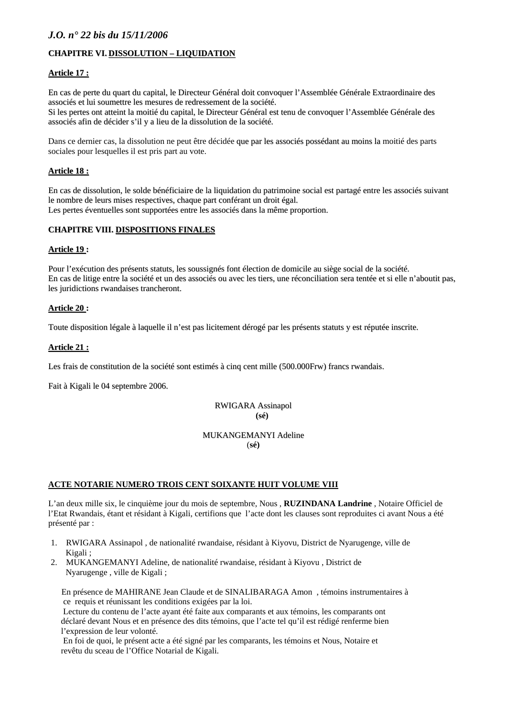# **CHAPITRE VI. DISSOLUTION – LIQUIDATION**

#### **Article 17 :**

En cas de perte du quart du capital, le Directeur Général doit convoquer l'Assemblée Générale Extraordinaire des associés et lui soumettre les mesures de redressement de la société.

Si les pertes ont atteint la moitié du capital, le Directeur Général est tenu de convoquer l'Assemblée Générale des associés afin de décider s'il y a lieu de la dissolution de la société.

Dans ce dernier cas, la dissolution ne peut être décidée que par les associés possédant au moins la moitié des parts sociales pour lesquelles il est pris part au vote.

#### **Article 18 :**

En cas de dissolution, le solde bénéficiaire de la liquidation du patrimoine social est partagé entre les associés suivant le nombre de leurs mises respectives, chaque part conférant un droit égal. Les pertes éventuelles sont supportées entre les associés dans la même proportion.

# **CHAPITRE VIII. DISPOSITIONS FINALES**

#### **Article 19 :**

Pour l'exécution des présents statuts, les soussignés font élection de domicile au siège social de la société. En cas de litige entre la société et un des associés ou avec les tiers, une réconciliation sera tentée et si elle n'aboutit pas, les juridictions rwandaises trancheront.

#### **Article 20 :**

Toute disposition légale à laquelle il n'est pas licitement dérogé par les présents statuts y est réputée inscrite.

# **Article 21 :**

Les frais de constitution de la société sont estimés à cinq cent mille (500.000Frw) francs rwandais.

Fait à Kigali le 04 septembre 2006.

RWIGARA Assinapol  **(sé)** 

#### MUKANGEMANYI Adeline (**sé)**

#### **ACTE NOTARIE NUMERO TROIS CENT SOIXANTE HUIT VOLUME VIII**

L'an deux mille six, le cinquième jour du mois de septembre, Nous , **RUZINDANA Landrine** , Notaire Officiel de l'Etat Rwandais, étant et résidant à Kigali, certifions que l'acte dont les clauses sont reproduites ci avant Nous a été présenté par :

- 1. RWIGARA Assinapol , de nationalité rwandaise, résidant à Kiyovu, District de Nyarugenge, ville de Kigali ;
- 2. MUKANGEMANYI Adeline, de nationalité rwandaise, résidant à Kiyovu , District de Nyarugenge , ville de Kigali ;

 En présence de MAHIRANE Jean Claude et de SINALIBARAGA Amon , témoins instrumentaires à ce requis et réunissant les conditions exigées par la loi.

 Lecture du contenu de l'acte ayant été faite aux comparants et aux témoins, les comparants ont déclaré devant Nous et en présence des dits témoins, que l'acte tel qu'il est rédigé renferme bien l'expression de leur volonté.

 En foi de quoi, le présent acte a été signé par les comparants, les témoins et Nous, Notaire et revêtu du sceau de l'Office Notarial de Kigali.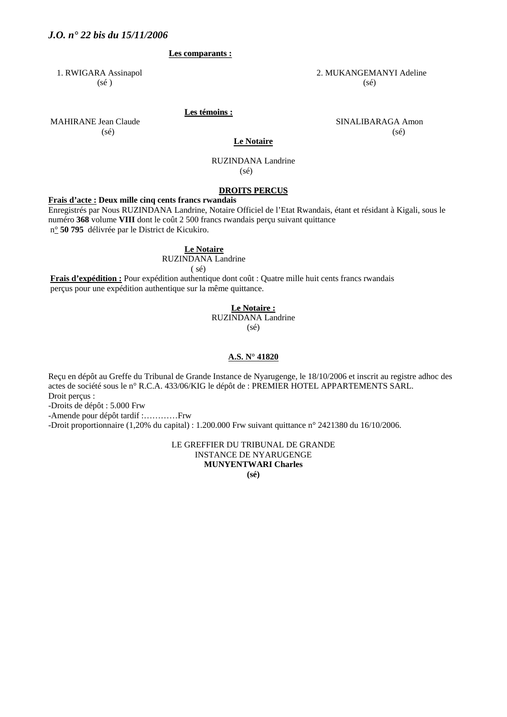#### **Les comparants :**

 $(s\acute{e})$  (se)

1. RWIGARA Assinapol 2. MUKANGEMANYI Adeline

 **Les témoins :**

MAHIRANE Jean Claude **SINALIBARAGA** Amon  $(s\acute{e})$  (sé)

**Le Notaire**

#### RUZINDANA Landrine (sé)

#### **DROITS PERCUS**

#### **Frais d'acte : Deux mille cinq cents francs rwandais**

Enregistrés par Nous RUZINDANA Landrine, Notaire Officiel de l'Etat Rwandais, étant et résidant à Kigali, sous le numéro **368** volume **VIII** dont le coût 2 500 francs rwandais perçu suivant quittance n° **50 795** délivrée par le District de Kicukiro.

#### **Le Notaire**

RUZINDANA Landrine

 $(sé)$ 

 **Frais d'expédition :** Pour expédition authentique dont coût : Quatre mille huit cents francs rwandais perçus pour une expédition authentique sur la même quittance.

#### **Le Notaire :**

RUZINDANA Landrine

(sé)

#### **A.S. N° 41820**

Reçu en dépôt au Greffe du Tribunal de Grande Instance de Nyarugenge, le 18/10/2006 et inscrit au registre adhoc des actes de société sous le n° R.C.A. 433/06/KIG le dépôt de : PREMIER HOTEL APPARTEMENTS SARL. Droit perçus :

-Droits de dépôt : 5.000 Frw

-Amende pour dépôt tardif :…………Frw

-Droit proportionnaire (1,20% du capital) : 1.200.000 Frw suivant quittance n° 2421380 du 16/10/2006.

LE GREFFIER DU TRIBUNAL DE GRANDE INSTANCE DE NYARUGENGE **MUNYENTWARI Charles** 

**(sé)**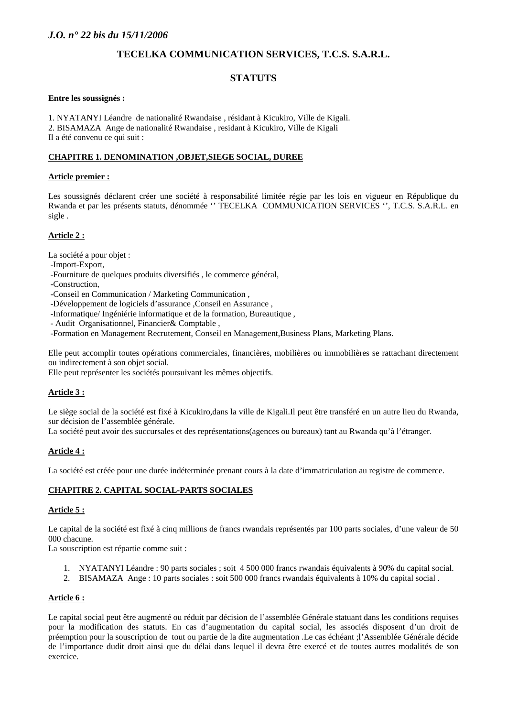# **TECELKA COMMUNICATION SERVICES, T.C.S. S.A.R.L.**

# **STATUTS**

#### **Entre les soussignés :**

1. NYATANYI Léandre de nationalité Rwandaise , résidant à Kicukiro, Ville de Kigali. 2. BISAMAZA Ange de nationalité Rwandaise , residant à Kicukiro, Ville de Kigali Il a été convenu ce qui suit :

# **CHAPITRE 1. DENOMINATION ,OBJET,SIEGE SOCIAL, DUREE**

#### **Article premier :**

Les soussignés déclarent créer une société à responsabilité limitée régie par les lois en vigueur en République du Rwanda et par les présents statuts, dénommée '' TECELKA COMMUNICATION SERVICES '', T.C.S. S.A.R.L. en sigle .

#### **Article 2 :**

La société a pour objet :

- -Import-Export,
- -Fourniture de quelques produits diversifiés , le commerce général,
- -Construction,
- -Conseil en Communication / Marketing Communication ,
- -Développement de logiciels d'assurance , Conseil en Assurance ,
- -Informatique/ Ingéniérie informatique et de la formation, Bureautique ,
- Audit Organisationnel, Financier& Comptable ,
- -Formation en Management Recrutement, Conseil en Management,Business Plans, Marketing Plans.

Elle peut accomplir toutes opérations commerciales, financières, mobilières ou immobilières se rattachant directement ou indirectement à son objet social.

Elle peut représenter les sociétés poursuivant les mêmes objectifs.

# **Article 3 :**

Le siège social de la société est fixé à Kicukiro,dans la ville de Kigali.Il peut être transféré en un autre lieu du Rwanda, sur décision de l'assemblée générale.

La société peut avoir des succursales et des représentations(agences ou bureaux) tant au Rwanda qu'à l'étranger.

# **Article 4 :**

La société est créée pour une durée indéterminée prenant cours à la date d'immatriculation au registre de commerce.

# **CHAPITRE 2. CAPITAL SOCIAL-PARTS SOCIALES**

# **Article 5 :**

Le capital de la société est fixé à cinq millions de francs rwandais représentés par 100 parts sociales, d'une valeur de 50 000 chacune.

La souscription est répartie comme suit :

- 1. NYATANYI Léandre : 90 parts sociales ; soit 4 500 000 francs rwandais équivalents à 90% du capital social.
- 2. BISAMAZA Ange : 10 parts sociales : soit 500 000 francs rwandais équivalents à 10% du capital social .

# **Article 6 :**

Le capital social peut être augmenté ou réduit par décision de l'assemblée Générale statuant dans les conditions requises pour la modification des statuts. En cas d'augmentation du capital social, les associés disposent d'un droit de préemption pour la souscription de tout ou partie de la dite augmentation .Le cas échéant ;l'Assemblée Générale décide de l'importance dudit droit ainsi que du délai dans lequel il devra être exercé et de toutes autres modalités de son exercice.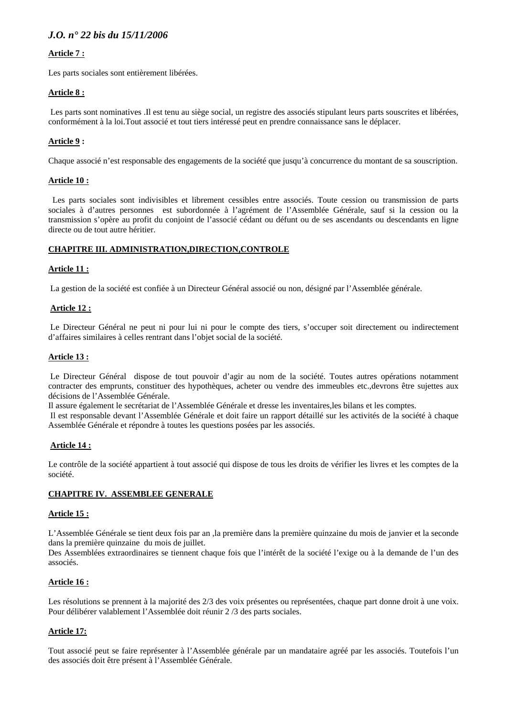# **Article 7 :**

Les parts sociales sont entièrement libérées.

#### **Article 8 :**

Les parts sont nominatives .Il est tenu au siège social, un registre des associés stipulant leurs parts souscrites et libérées, conformément à la loi.Tout associé et tout tiers intéressé peut en prendre connaissance sans le déplacer.

# **Article 9 :**

Chaque associé n'est responsable des engagements de la société que jusqu'à concurrence du montant de sa souscription.

#### **Article 10 :**

 Les parts sociales sont indivisibles et librement cessibles entre associés. Toute cession ou transmission de parts sociales à d'autres personnes est subordonnée à l'agrément de l'Assemblée Générale, sauf si la cession ou la transmission s'opère au profit du conjoint de l'associé cédant ou défunt ou de ses ascendants ou descendants en ligne directe ou de tout autre héritier.

#### **CHAPITRE III. ADMINISTRATION,DIRECTION,CONTROLE**

#### **Article 11 :**

La gestion de la société est confiée à un Directeur Général associé ou non, désigné par l'Assemblée générale.

#### **Article 12 :**

Le Directeur Général ne peut ni pour lui ni pour le compte des tiers, s'occuper soit directement ou indirectement d'affaires similaires à celles rentrant dans l'objet social de la société.

#### **Article 13 :**

 Le Directeur Général dispose de tout pouvoir d'agir au nom de la société. Toutes autres opérations notamment contracter des emprunts, constituer des hypothèques, acheter ou vendre des immeubles etc.,devrons être sujettes aux décisions de l'Assemblée Générale.

Il assure également le secrétariat de l'Assemblée Générale et dresse les inventaires,les bilans et les comptes.

 Il est responsable devant l'Assemblée Générale et doit faire un rapport détaillé sur les activités de la société à chaque Assemblée Générale et répondre à toutes les questions posées par les associés.

#### **Article 14 :**

Le contrôle de la société appartient à tout associé qui dispose de tous les droits de vérifier les livres et les comptes de la société.

#### **CHAPITRE IV. ASSEMBLEE GENERALE**

#### **Article 15 :**

L'Assemblée Générale se tient deux fois par an ,la première dans la première quinzaine du mois de janvier et la seconde dans la première quinzaine du mois de juillet.

Des Assemblées extraordinaires se tiennent chaque fois que l'intérêt de la société l'exige ou à la demande de l'un des associés.

#### **Article 16 :**

Les résolutions se prennent à la majorité des 2/3 des voix présentes ou représentées, chaque part donne droit à une voix. Pour délibérer valablement l'Assemblée doit réunir 2 /3 des parts sociales.

#### **Article 17:**

Tout associé peut se faire représenter à l'Assemblée générale par un mandataire agréé par les associés. Toutefois l'un des associés doit être présent à l'Assemblée Générale.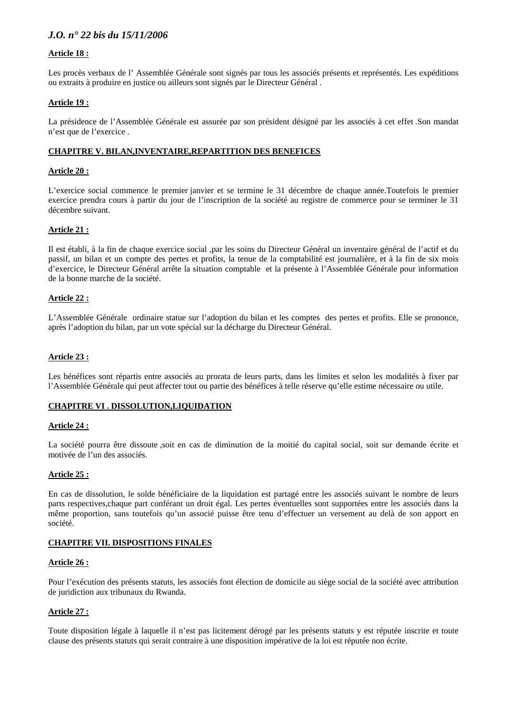# **Article 18 :**

Les procès verbaux de l' Assemblée Générale sont signés par tous les associés présents et représentés. Les expéditions ou extraits à produire en justice ou ailleurs sont signés par le Directeur Général .

#### **Article 19 :**

La présidence de l'Assemblée Générale est assurée par son président désigné par les associés à cet effet .Son mandat n'est que de l'exercice .

#### **CHAPITRE V. BILAN,INVENTAIRE,REPARTITION DES BENEFICES**

#### **Article 20 :**

L'exercice social commence le premier janvier et se termine le 31 décembre de chaque année.Toutefois le premier exercice prendra cours à partir du jour de l'inscription de la société au registre de commerce pour se terminer le 31 décembre suivant.

#### **Article 21 :**

Il est établi, à la fin de chaque exercice social ,par les soins du Directeur Général un inventaire général de l'actif et du passif, un bilan et un compte des pertes et profits, la tenue de la comptabilité est journalière, et à la fin de six mois d'exercice, le Directeur Général arrête la situation comptable et la présente à l'Assemblée Générale pour information de la bonne marche de la société.

#### **Article 22 :**

L'Assemblée Générale ordinaire statue sur l'adoption du bilan et les comptes des pertes et profits. Elle se prononce, après l'adoption du bilan, par un vote spécial sur la décharge du Directeur Général.

#### **Article 23 :**

Les bénéfices sont répartis entre associés au prorata de leurs parts, dans les limites et selon les modalités à fixer par l'Assemblée Générale qui peut affecter tout ou partie des bénéfices à telle réserve qu'elle estime nécessaire ou utile.

#### **CHAPITRE VI . DISSOLUTION,LIQUIDATION**

#### **Article 24 :**

La société pourra être dissoute ,soit en cas de diminution de la moitié du capital social, soit sur demande écrite et motivée de l'un des associés.

#### **Article 25 :**

En cas de dissolution, le solde bénéficiaire de la liquidation est partagé entre les associés suivant le nombre de leurs parts respectives,chaque part conférant un droit égal. Les pertes éventuelles sont supportées entre les associés dans la même proportion, sans toutefois qu'un associé puisse être tenu d'effectuer un versement au delà de son apport en société.

#### **CHAPITRE VII. DISPOSITIONS FINALES**

#### **Article 26 :**

Pour l'exécution des présents statuts, les associés font élection de domicile au siège social de la société avec attribution de juridiction aux tribunaux du Rwanda.

#### **Article 27 :**

Toute disposition légale à laquelle il n'est pas licitement dérogé par les présents statuts y est réputée inscrite et toute clause des présents statuts qui serait contraire à une disposition impérative de la loi est réputée non écrite.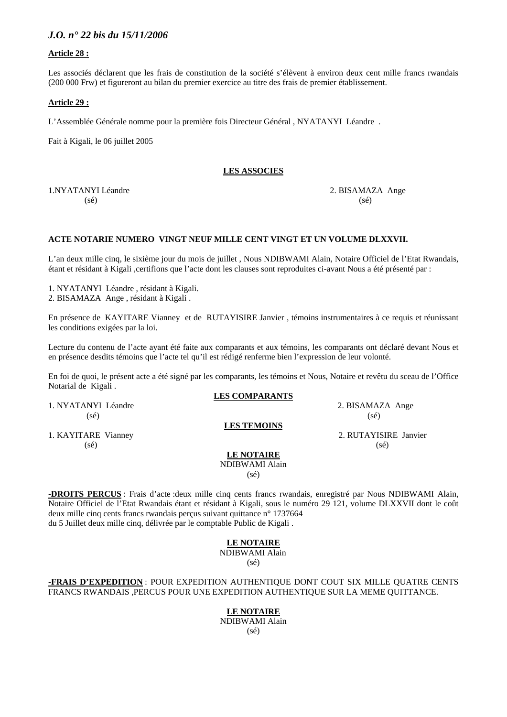#### **Article 28 :**

Les associés déclarent que les frais de constitution de la société s'élèvent à environ deux cent mille francs rwandais (200 000 Frw) et figureront au bilan du premier exercice au titre des frais de premier établissement.

#### **Article 29 :**

L'Assemblée Générale nomme pour la première fois Directeur Général , NYATANYI Léandre .

Fait à Kigali, le 06 juillet 2005

#### **LES ASSOCIES**

1.NYATANYI Léandre 2. BISAMAZA Ange  $(s\acute{e})$  (sé)

#### **ACTE NOTARIE NUMERO VINGT NEUF MILLE CENT VINGT ET UN VOLUME DLXXVII.**

L'an deux mille cinq, le sixième jour du mois de juillet , Nous NDIBWAMI Alain, Notaire Officiel de l'Etat Rwandais, étant et résidant à Kigali ,certifions que l'acte dont les clauses sont reproduites ci-avant Nous a été présenté par :

1. NYATANYI Léandre , résidant à Kigali. 2. BISAMAZA Ange , résidant à Kigali .

En présence de KAYITARE Vianney et de RUTAYISIRE Janvier , témoins instrumentaires à ce requis et réunissant les conditions exigées par la loi.

Lecture du contenu de l'acte ayant été faite aux comparants et aux témoins, les comparants ont déclaré devant Nous et en présence desdits témoins que l'acte tel qu'il est rédigé renferme bien l'expression de leur volonté.

En foi de quoi, le présent acte a été signé par les comparants, les témoins et Nous, Notaire et revêtu du sceau de l'Office Notarial de Kigali .

#### **LES COMPARANTS**

**LES TEMOINS**

1. NYATANYI Léandre 2. BISAMAZA Ange  $(s\acute{e})$  (see

1. KAYITARE Vianney 2. RUTAYISIRE Janvier  $(s\acute{e})$  (se)  $(s\acute{e})$ 

**LE NOTAIRE** NDIBWAMI Alain

(sé)

**-DROITS PERCUS** : Frais d'acte :deux mille cinq cents francs rwandais, enregistré par Nous NDIBWAMI Alain, Notaire Officiel de l'Etat Rwandais étant et résidant à Kigali, sous le numéro 29 121, volume DLXXVII dont le coût deux mille cinq cents francs rwandais perçus suivant quittance n° 1737664 du 5 Juillet deux mille cinq, délivrée par le comptable Public de Kigali .

# **LE NOTAIRE**

 NDIBWAMI Alain (sé)

**-FRAIS D'EXPEDITION** : POUR EXPEDITION AUTHENTIQUE DONT COUT SIX MILLE QUATRE CENTS FRANCS RWANDAIS ,PERCUS POUR UNE EXPEDITION AUTHENTIQUE SUR LA MEME QUITTANCE.

> **LE NOTAIRE** NDIBWAMI Alain (sé)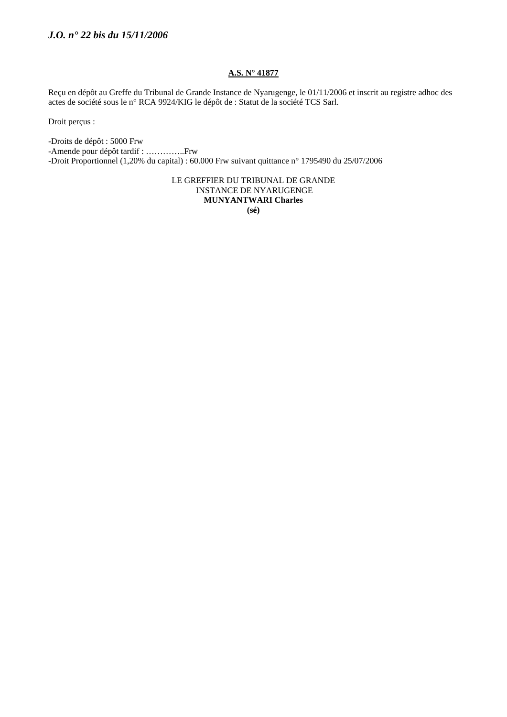# **A.S. N° 41877**

Reçu en dépôt au Greffe du Tribunal de Grande Instance de Nyarugenge, le 01/11/2006 et inscrit au registre adhoc des actes de société sous le n° RCA 9924/KIG le dépôt de : Statut de la société TCS Sarl.

Droit perçus :

-Droits de dépôt : 5000 Frw

-Amende pour dépôt tardif : …………..Frw

-Droit Proportionnel (1,20% du capital) : 60.000 Frw suivant quittance n° 1795490 du 25/07/2006

LE GREFFIER DU TRIBUNAL DE GRANDE INSTANCE DE NYARUGENGE **MUNYANTWARI Charles (sé)**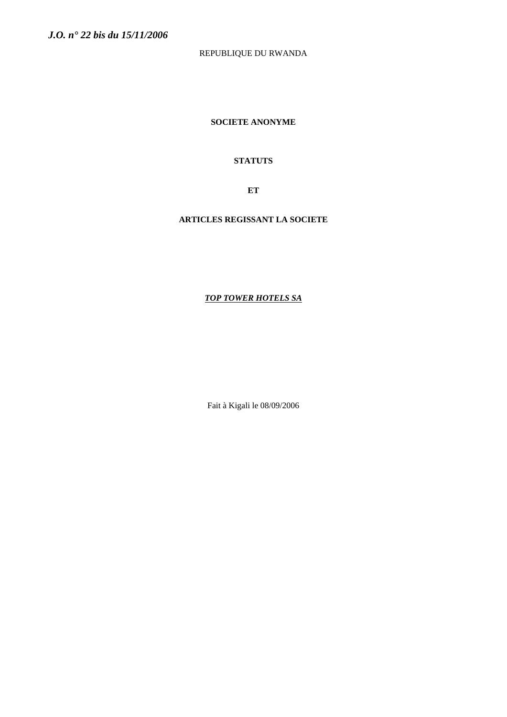# REPUBLIQUE DU RWANDA

**SOCIETE ANONYME** 

# **STATUTS**

**ET** 

# **ARTICLES REGISSANT LA SOCIETE**

# *TOP TOWER HOTELS SA*

Fait à Kigali le 08/09/2006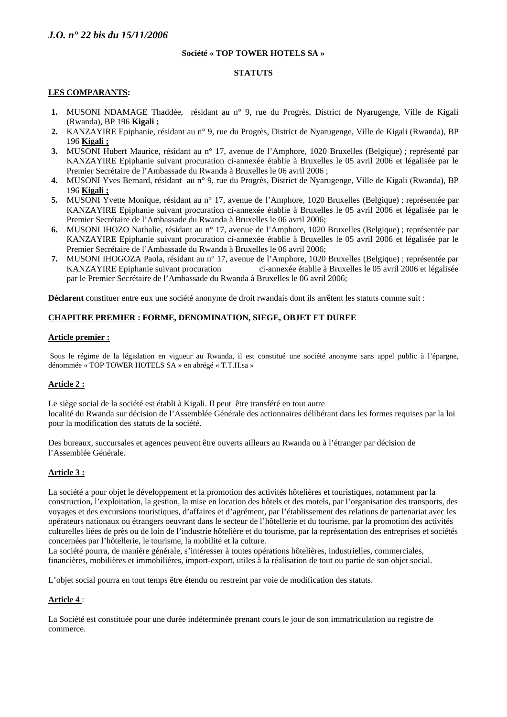#### **Société « TOP TOWER HOTELS SA »**

#### **STATUTS**

#### **LES COMPARANTS:**

- **1.** MUSONI NDAMAGE Thaddée, résidant au n° 9, rue du Progrès, District de Nyarugenge, Ville de Kigali (Rwanda), BP 196 **Kigali ;**
- **2.** KANZAYIRE Epiphanie, résidant au n° 9, rue du Progrès, District de Nyarugenge, Ville de Kigali (Rwanda), BP 196 **Kigali ;**
- **3.** MUSONI Hubert Maurice, résidant au n° 17, avenue de l'Amphore, 1020 Bruxelles (Belgique) ; représenté par KANZAYIRE Epiphanie suivant procuration ci-annexée établie à Bruxelles le 05 avril 2006 et légalisée par le Premier Secrétaire de l'Ambassade du Rwanda à Bruxelles le 06 avril 2006 ;
- **4.** MUSONI Yves Bernard, résidant au n° 9, rue du Progrès, District de Nyarugenge, Ville de Kigali (Rwanda), BP 196 **Kigali ;**
- **5.** MUSONI Yvette Monique, résidant au n° 17, avenue de l'Amphore, 1020 Bruxelles (Belgique) ; représentée par KANZAYIRE Epiphanie suivant procuration ci-annexée établie à Bruxelles le 05 avril 2006 et légalisée par le Premier Secrétaire de l'Ambassade du Rwanda à Bruxelles le 06 avril 2006;
- **6.** MUSONI IHOZO Nathalie, résidant au n° 17, avenue de l'Amphore, 1020 Bruxelles (Belgique) ; représentée par KANZAYIRE Epiphanie suivant procuration ci-annexée établie à Bruxelles le 05 avril 2006 et légalisée par le Premier Secrétaire de l'Ambassade du Rwanda à Bruxelles le 06 avril 2006;
- **7.** MUSONI IHOGOZA Paola, résidant au n° 17, avenue de l'Amphore, 1020 Bruxelles (Belgique) ; représentée par KANZAYIRE Epiphanie suivant procuration ci-annexée établie à Bruxelles le 05 avril 2006 et légalisée par le Premier Secrétaire de l'Ambassade du Rwanda à Bruxelles le 06 avril 2006;

**Déclarent** constituer entre eux une société anonyme de droit rwandais dont ils arrêtent les statuts comme suit :

#### **CHAPITRE PREMIER : FORME, DENOMINATION, SIEGE, OBJET ET DUREE**

#### **Article premier :**

Sous le régime de la législation en vigueur au Rwanda, il est constitué une société anonyme sans appel public à l'épargne, dénommée « TOP TOWER HOTELS SA » en abrégé « T.T.H.sa »

#### **Article 2 :**

Le siège social de la société est établi à Kigali. Il peut être transféré en tout autre localité du Rwanda sur décision de l'Assemblée Générale des actionnaires délibérant dans les formes requises par la loi pour la modification des statuts de la société.

Des bureaux, succursales et agences peuvent être ouverts ailleurs au Rwanda ou à l'étranger par décision de l'Assemblée Générale.

#### **Article 3 :**

La société a pour objet le développement et la promotion des activités hôtelières et touristiques, notamment par la construction, l'exploitation, la gestion, la mise en location des hôtels et des motels, par l'organisation des transports, des voyages et des excursions touristiques, d'affaires et d'agrément, par l'établissement des relations de partenariat avec les opérateurs nationaux ou étrangers oeuvrant dans le secteur de l'hôtellerie et du tourisme, par la promotion des activités culturelles liées de près ou de loin de l'industrie hôtelière et du tourisme, par la représentation des entreprises et sociétés concernées par l'hôtellerie, le tourisme, la mobilité et la culture.

La société pourra, de manière générale, s'intéresser à toutes opérations hôtelières, industrielles, commerciales, financières, mobilières et immobilières, import-export, utiles à la réalisation de tout ou partie de son objet social.

L'objet social pourra en tout temps être étendu ou restreint par voie de modification des statuts.

#### **Article 4** :

La Société est constituée pour une durée indéterminée prenant cours le jour de son immatriculation au registre de commerce.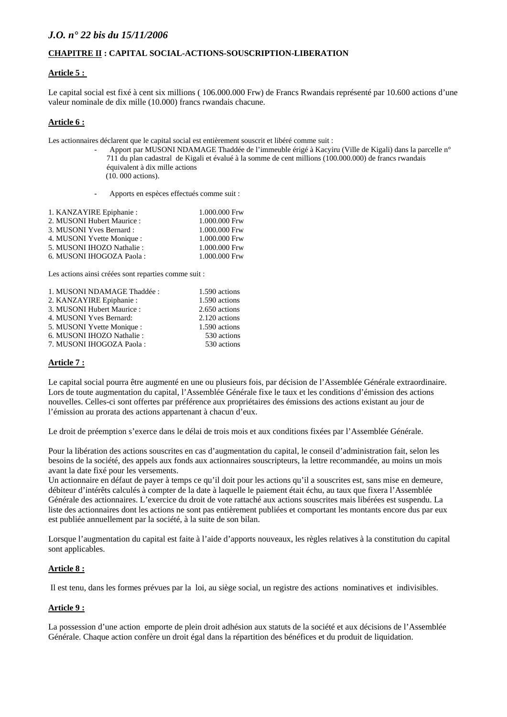#### **CHAPITRE II : CAPITAL SOCIAL-ACTIONS-SOUSCRIPTION-LIBERATION**

#### **Article 5 :**

Le capital social est fixé à cent six millions ( 106.000.000 Frw) de Francs Rwandais représenté par 10.600 actions d'une valeur nominale de dix mille (10.000) francs rwandais chacune.

#### **Article 6 :**

Les actionnaires déclarent que le capital social est entièrement souscrit et libéré comme suit :

- Apport par MUSONI NDAMAGE Thaddée de l'immeuble érigé à Kacyiru (Ville de Kigali) dans la parcelle n° 711 du plan cadastral de Kigali et évalué à la somme de cent millions (100.000.000) de francs rwandais équivalent à dix mille actions
	- (10. 000 actions).
- Apports en espèces effectués comme suit :

| 1.000.000 Frw |
|---------------|
| 1.000.000 Frw |
| 1.000.000 Frw |
| 1.000.000 Frw |
| 1.000.000 Frw |
| 1.000.000 Frw |
|               |

Les actions ainsi créées sont reparties comme suit :

| 1. MUSONI NDAMAGE Thaddée : | 1.590 actions |
|-----------------------------|---------------|
| 2. KANZAYIRE Epiphanie:     | 1.590 actions |
| 3. MUSONI Hubert Maurice:   | 2.650 actions |
| 4. MUSONI Yves Bernard:     | 2.120 actions |
| 5. MUSONI Yvette Monique :  | 1.590 actions |
| 6. MUSONI IHOZO Nathalie:   | 530 actions   |
| 7. MUSONI IHOGOZA Paola:    | 530 actions   |
|                             |               |

# **Article 7 :**

Le capital social pourra être augmenté en une ou plusieurs fois, par décision de l'Assemblée Générale extraordinaire. Lors de toute augmentation du capital, l'Assemblée Générale fixe le taux et les conditions d'émission des actions nouvelles. Celles-ci sont offertes par préférence aux propriétaires des émissions des actions existant au jour de l'émission au prorata des actions appartenant à chacun d'eux.

Le droit de préemption s'exerce dans le délai de trois mois et aux conditions fixées par l'Assemblée Générale.

Pour la libération des actions souscrites en cas d'augmentation du capital, le conseil d'administration fait, selon les besoins de la société, des appels aux fonds aux actionnaires souscripteurs, la lettre recommandée, au moins un mois avant la date fixé pour les versements.

Un actionnaire en défaut de payer à temps ce qu'il doit pour les actions qu'il a souscrites est, sans mise en demeure, débiteur d'intérêts calculés à compter de la date à laquelle le paiement était échu, au taux que fixera l'Assemblée Générale des actionnaires. L'exercice du droit de vote rattaché aux actions souscrites mais libérées est suspendu. La liste des actionnaires dont les actions ne sont pas entièrement publiées et comportant les montants encore dus par eux est publiée annuellement par la société, à la suite de son bilan.

Lorsque l'augmentation du capital est faite à l'aide d'apports nouveaux, les règles relatives à la constitution du capital sont applicables.

#### **Article 8 :**

Il est tenu, dans les formes prévues par la loi, au siège social, un registre des actions nominatives et indivisibles.

#### **Article 9 :**

La possession d'une action emporte de plein droit adhésion aux statuts de la société et aux décisions de l'Assemblée Générale. Chaque action confère un droit égal dans la répartition des bénéfices et du produit de liquidation.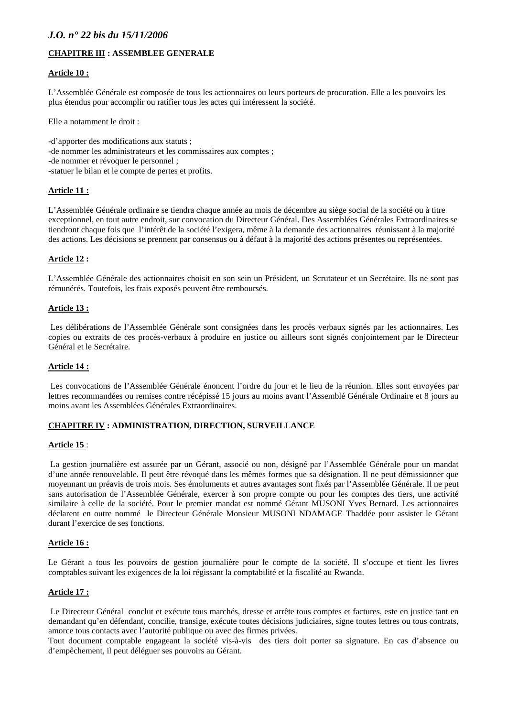# **CHAPITRE III : ASSEMBLEE GENERALE**

#### **Article 10 :**

L'Assemblée Générale est composée de tous les actionnaires ou leurs porteurs de procuration. Elle a les pouvoirs les plus étendus pour accomplir ou ratifier tous les actes qui intéressent la société.

Elle a notamment le droit :

-d'apporter des modifications aux statuts ; -de nommer les administrateurs et les commissaires aux comptes ; -de nommer et révoquer le personnel ; -statuer le bilan et le compte de pertes et profits.

#### **Article 11 :**

L'Assemblée Générale ordinaire se tiendra chaque année au mois de décembre au siège social de la société ou à titre exceptionnel, en tout autre endroit, sur convocation du Directeur Général. Des Assemblées Générales Extraordinaires se tiendront chaque fois que l'intérêt de la société l'exigera, même à la demande des actionnaires réunissant à la majorité des actions. Les décisions se prennent par consensus ou à défaut à la majorité des actions présentes ou représentées.

#### **Article 12 :**

L'Assemblée Générale des actionnaires choisit en son sein un Président, un Scrutateur et un Secrétaire. Ils ne sont pas rémunérés. Toutefois, les frais exposés peuvent être remboursés.

#### **Article 13 :**

 Les délibérations de l'Assemblée Générale sont consignées dans les procès verbaux signés par les actionnaires. Les copies ou extraits de ces procès-verbaux à produire en justice ou ailleurs sont signés conjointement par le Directeur Général et le Secrétaire.

#### **Article 14 :**

 Les convocations de l'Assemblée Générale énoncent l'ordre du jour et le lieu de la réunion. Elles sont envoyées par lettres recommandées ou remises contre récépissé 15 jours au moins avant l'Assemblé Générale Ordinaire et 8 jours au moins avant les Assemblées Générales Extraordinaires.

#### **CHAPITRE IV : ADMINISTRATION, DIRECTION, SURVEILLANCE**

#### **Article 15** :

 La gestion journalière est assurée par un Gérant, associé ou non, désigné par l'Assemblée Générale pour un mandat d'une année renouvelable. Il peut être révoqué dans les mêmes formes que sa désignation. Il ne peut démissionner que moyennant un préavis de trois mois. Ses émoluments et autres avantages sont fixés par l'Assemblée Générale. Il ne peut sans autorisation de l'Assemblée Générale, exercer à son propre compte ou pour les comptes des tiers, une activité similaire à celle de la société. Pour le premier mandat est nommé Gérant MUSONI Yves Bernard. Les actionnaires déclarent en outre nommé le Directeur Générale Monsieur MUSONI NDAMAGE Thaddée pour assister le Gérant durant l'exercice de ses fonctions.

#### **Article 16 :**

Le Gérant a tous les pouvoirs de gestion journalière pour le compte de la société. Il s'occupe et tient les livres comptables suivant les exigences de la loi régissant la comptabilité et la fiscalité au Rwanda.

#### **Article 17 :**

 Le Directeur Général conclut et exécute tous marchés, dresse et arrête tous comptes et factures, este en justice tant en demandant qu'en défendant, concilie, transige, exécute toutes décisions judiciaires, signe toutes lettres ou tous contrats, amorce tous contacts avec l'autorité publique ou avec des firmes privées.

Tout document comptable engageant la société vis-à-vis des tiers doit porter sa signature. En cas d'absence ou d'empêchement, il peut déléguer ses pouvoirs au Gérant.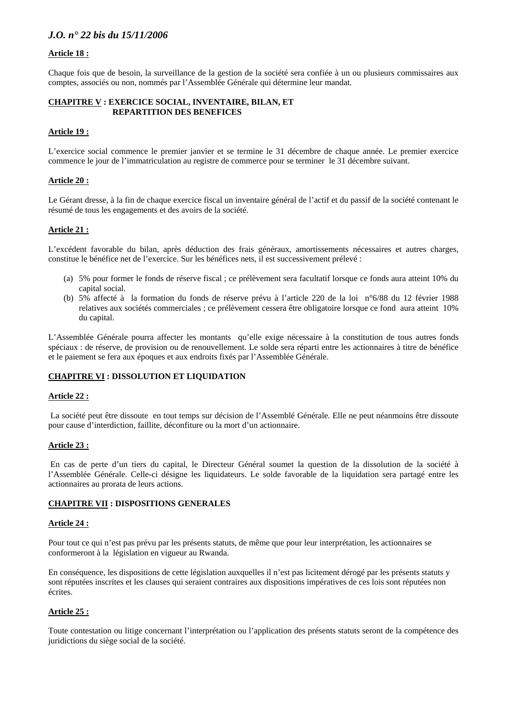## **Article 18 :**

Chaque fois que de besoin, la surveillance de la gestion de la société sera confiée à un ou plusieurs commissaires aux comptes, associés ou non, nommés par l'Assemblée Générale qui détermine leur mandat.

#### **CHAPITRE V : EXERCICE SOCIAL, INVENTAIRE, BILAN, ET REPARTITION DES BENEFICES**

#### **Article 19 :**

L'exercice social commence le premier janvier et se termine le 31 décembre de chaque année. Le premier exercice commence le jour de l'immatriculation au registre de commerce pour se terminer le 31 décembre suivant.

#### **Article 20 :**

Le Gérant dresse, à la fin de chaque exercice fiscal un inventaire général de l'actif et du passif de la société contenant le résumé de tous les engagements et des avoirs de la société.

### **Article 21 :**

L'excédent favorable du bilan, après déduction des frais généraux, amortissements nécessaires et autres charges, constitue le bénéfice net de l'exercice. Sur les bénéfices nets, il est successivement prélevé :

- (a) 5% pour former le fonds de réserve fiscal ; ce prélèvement sera facultatif lorsque ce fonds aura atteint 10% du capital social.
- (b) 5% affecté à la formation du fonds de réserve prévu à l'article 220 de la loi n°6/88 du 12 février 1988 relatives aux sociétés commerciales ; ce prélèvement cessera être obligatoire lorsque ce fond aura atteint 10% du capital.

L'Assemblée Générale pourra affecter les montants qu'elle exige nécessaire à la constitution de tous autres fonds spéciaux : de réserve, de provision ou de renouvellement. Le solde sera réparti entre les actionnaires à titre de bénéfice et le paiement se fera aux époques et aux endroits fixés par l'Assemblée Générale.

### **CHAPITRE VI : DISSOLUTION ET LIQUIDATION**

#### **Article 22 :**

 La société peut être dissoute en tout temps sur décision de l'Assemblé Générale. Elle ne peut néanmoins être dissoute pour cause d'interdiction, faillite, déconfiture ou la mort d'un actionnaire.

#### **Article 23 :**

 En cas de perte d'un tiers du capital, le Directeur Général soumet la question de la dissolution de la société à l'Assemblée Générale. Celle-ci désigne les liquidateurs. Le solde favorable de la liquidation sera partagé entre les actionnaires au prorata de leurs actions.

#### **CHAPITRE VII : DISPOSITIONS GENERALES**

#### **Article 24 :**

Pour tout ce qui n'est pas prévu par les présents statuts, de même que pour leur interprétation, les actionnaires se conformeront à la législation en vigueur au Rwanda.

En conséquence, les dispositions de cette législation auxquelles il n'est pas licitement dérogé par les présents statuts y sont réputées inscrites et les clauses qui seraient contraires aux dispositions impératives de ces lois sont réputées non écrites.

### **Article 25 :**

Toute contestation ou litige concernant l'interprétation ou l'application des présents statuts seront de la compétence des juridictions du siège social de la société.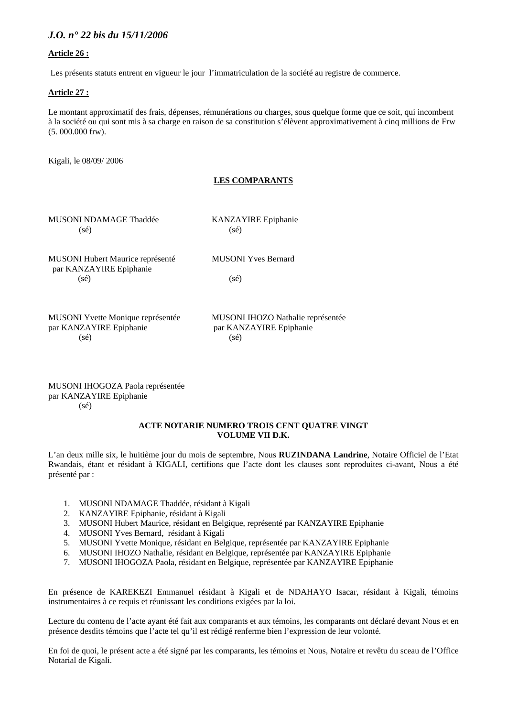### **Article 26 :**

Les présents statuts entrent en vigueur le jour l'immatriculation de la société au registre de commerce.

### **Article 27 :**

Le montant approximatif des frais, dépenses, rémunérations ou charges, sous quelque forme que ce soit, qui incombent à la société ou qui sont mis à sa charge en raison de sa constitution s'élèvent approximativement à cinq millions de Frw (5. 000.000 frw).

Kigali, le 08/09/ 2006

### **LES COMPARANTS**

MUSONI NDAMAGE Thaddée KANZAYIRE Epiphanie  $(s\acute{e})$  (sé)

MUSONI Hubert Maurice représenté MUSONI Yves Bernard par KANZAYIRE Epiphanie  $(s\acute{e})$  (sé)

par KANZAYIRE Epiphanie par KANZAYIRE Epiphanie  $(s\acute{e})$  (sé)

MUSONI Yvette Monique représentée MUSONI IHOZO Nathalie représentée

MUSONI IHOGOZA Paola représentée par KANZAYIRE Epiphanie (sé)

#### **ACTE NOTARIE NUMERO TROIS CENT QUATRE VINGT VOLUME VII D.K.**

L'an deux mille six, le huitième jour du mois de septembre, Nous **RUZINDANA Landrine**, Notaire Officiel de l'Etat Rwandais, étant et résidant à KIGALI, certifions que l'acte dont les clauses sont reproduites ci-avant, Nous a été présenté par :

- 1. MUSONI NDAMAGE Thaddée, résidant à Kigali
- 2. KANZAYIRE Epiphanie, résidant à Kigali
- 3. MUSONI Hubert Maurice, résidant en Belgique, représenté par KANZAYIRE Epiphanie
- 4. MUSONI Yves Bernard, résidant à Kigali
- 5. MUSONI Yvette Monique, résidant en Belgique, représentée par KANZAYIRE Epiphanie
- 6. MUSONI IHOZO Nathalie, résidant en Belgique, représentée par KANZAYIRE Epiphanie
- 7. MUSONI IHOGOZA Paola, résidant en Belgique, représentée par KANZAYIRE Epiphanie

En présence de KAREKEZI Emmanuel résidant à Kigali et de NDAHAYO Isacar, résidant à Kigali, témoins instrumentaires à ce requis et réunissant les conditions exigées par la loi.

Lecture du contenu de l'acte ayant été fait aux comparants et aux témoins, les comparants ont déclaré devant Nous et en présence desdits témoins que l'acte tel qu'il est rédigé renferme bien l'expression de leur volonté.

En foi de quoi, le présent acte a été signé par les comparants, les témoins et Nous, Notaire et revêtu du sceau de l'Office Notarial de Kigali.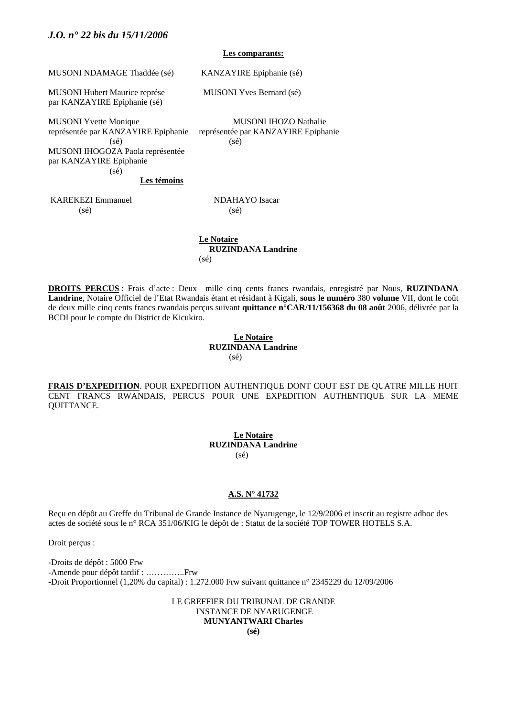#### **Les comparants:**

MUSONI NDAMAGE Thaddée (sé) KANZAYIRE Epiphanie (sé)

MUSONI Hubert Maurice représe MUSONI Yves Bernard (sé) par KANZAYIRE Epiphanie (sé)

MUSONI Yvette Monique MUSONI IHOZO Nathalie représentée par KANZAYIRE Epiphanie représentée par KANZAYIRE Epiphanie

 $(s\acute{e})$  (sé) MUSONI IHOGOZA Paola représentée par KANZAYIRE Epiphanie (sé)

**Les témoins**

KAREKEZI Emmanuel NDAHAYO Isacar  $(s\acute{e})$  (sé)

 **Le Notaire RUZINDANA Landrine** (sé)

**DROITS PERCUS** : Frais d'acte : Deux mille cinq cents francs rwandais, enregistré par Nous, **RUZINDANA Landrine**, Notaire Officiel de l'Etat Rwandais étant et résidant à Kigali, **sous le numéro** 380 **volume** VII, dont le coût de deux mille cinq cents francs rwandais perçus suivant **quittance n°CAR/11/156368 du 08 août** 2006, délivrée par la BCDI pour le compte du District de Kicukiro.

#### **Le Notaire RUZINDANA Landrine**  $(s<sub>6</sub>)$

**FRAIS D'EXPEDITION**. POUR EXPEDITION AUTHENTIQUE DONT COUT EST DE QUATRE MILLE HUIT CENT FRANCS RWANDAIS, PERCUS POUR UNE EXPEDITION AUTHENTIQUE SUR LA MEME QUITTANCE.

> **Le Notaire RUZINDANA Landrine** (sé)

#### **A.S. N° 41732**

Reçu en dépôt au Greffe du Tribunal de Grande Instance de Nyarugenge, le 12/9/2006 et inscrit au registre adhoc des actes de société sous le n° RCA 351/06/KIG le dépôt de : Statut de la société TOP TOWER HOTELS S.A.

Droit perçus :

-Droits de dépôt : 5000 Frw -Amende pour dépôt tardif : …………..Frw -Droit Proportionnel (1,20% du capital) : 1.272.000 Frw suivant quittance n° 2345229 du 12/09/2006

> LE GREFFIER DU TRIBUNAL DE GRANDE INSTANCE DE NYARUGENGE **MUNYANTWARI Charles (sé)**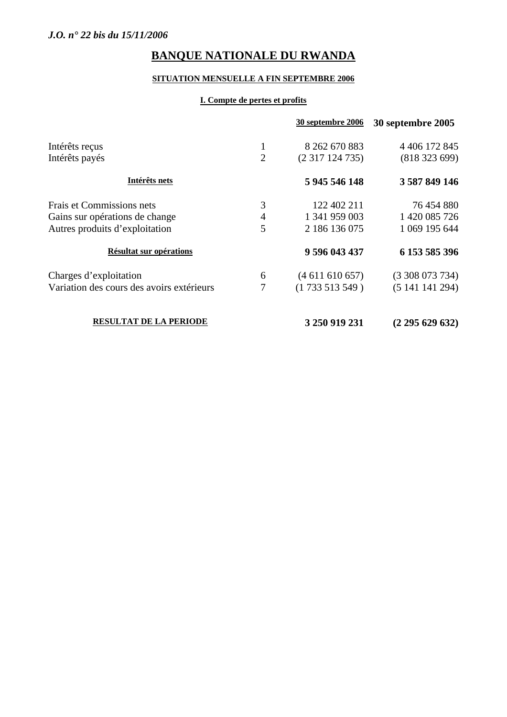## **SITUATION MENSUELLE A FIN SEPTEMBRE 2006**

## **I. Compte de pertes et profits**

|                                           |                | <b>30 septembre 2006</b> | 30 septembre 2005    |
|-------------------------------------------|----------------|--------------------------|----------------------|
| Intérêts reçus                            | 1              | 8 262 670 883            | 4 4 0 6 1 7 2 8 4 5  |
| Intérêts payés                            | $\overline{2}$ | (2317124735)             | (81832369)           |
| Intérêts nets                             |                | 5 945 546 148            | 3 587 849 146        |
| Frais et Commissions nets                 | 3              | 122 402 211              | 76 454 880           |
| Gains sur opérations de change            | $\overline{4}$ | 1 341 959 003            | 1 420 085 726        |
| Autres produits d'exploitation            | 5              | 2 186 136 075            | 1 069 195 644        |
| Résultat sur opérations                   |                | 9 596 043 437            | 6 153 585 396        |
| Charges d'exploitation                    | 6              | (4611610657)             | $(3\,308\,073\,734)$ |
| Variation des cours des avoirs extérieurs | 7              | (1733513549)             | (5141141294)         |
| <b>RESULTAT DE LA PERIODE</b>             |                | 3 250 919 231            | (2 295 629 632)      |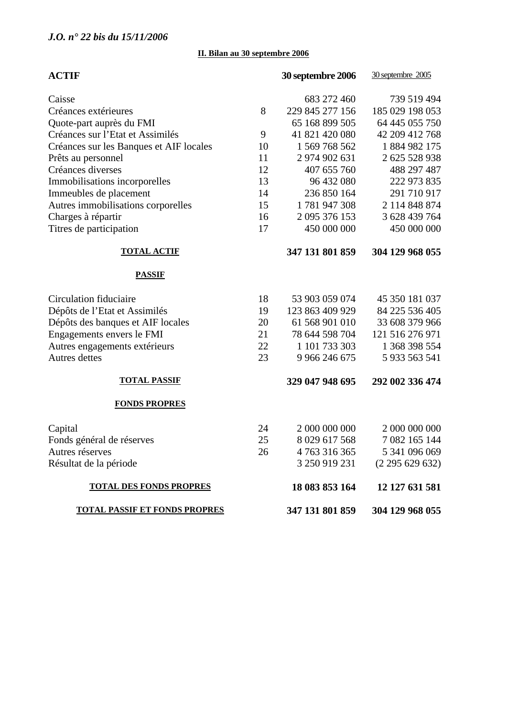## **II. Bilan au 30 septembre 2006**

| <b>ACTIF</b>                            |    | 30 septembre 2006 | 30 septembre 2005 |
|-----------------------------------------|----|-------------------|-------------------|
| Caisse                                  |    | 683 272 460       | 739 519 494       |
| Créances extérieures                    | 8  | 229 845 277 156   | 185 029 198 053   |
| Quote-part auprès du FMI                |    | 65 168 899 505    | 64 445 055 750    |
| Créances sur l'Etat et Assimilés        | 9  | 41 821 420 080    | 42 209 412 768    |
| Créances sur les Banques et AIF locales | 10 | 1 569 768 562     | 1884982175        |
| Prêts au personnel                      | 11 | 2 974 902 631     | 2 625 528 938     |
| Créances diverses                       | 12 | 407 655 760       | 488 297 487       |
| Immobilisations incorporelles           | 13 | 96 432 080        | 222 973 835       |
| Immeubles de placement                  | 14 | 236 850 164       | 291 710 917       |
| Autres immobilisations corporelles      | 15 | 1781947308        | 2 114 848 874     |
| Charges à répartir                      | 16 | 2 095 376 153     | 3 628 439 764     |
| Titres de participation                 | 17 | 450 000 000       | 450 000 000       |
| <b>TOTAL ACTIF</b>                      |    | 347 131 801 859   | 304 129 968 055   |
| <b>PASSIF</b>                           |    |                   |                   |
| Circulation fiduciaire                  | 18 | 53 903 059 074    | 45 350 181 037    |
| Dépôts de l'Etat et Assimilés           | 19 | 123 863 409 929   | 84 225 536 405    |
| Dépôts des banques et AIF locales       | 20 | 61 568 901 010    | 33 608 379 966    |
| Engagements envers le FMI               | 21 | 78 644 598 704    | 121 516 276 971   |
| Autres engagements extérieurs           | 22 | 1 101 733 303     | 1 368 398 554     |
| <b>Autres</b> dettes                    | 23 | 9 966 246 675     | 5 933 563 541     |
| <b>TOTAL PASSIF</b>                     |    | 329 047 948 695   | 292 002 336 474   |
| <b>FONDS PROPRES</b>                    |    |                   |                   |
| Capital                                 | 24 | 2 000 000 000     | 2 000 000 000     |
| Fonds général de réserves               | 25 | 8 029 617 568     | 7 082 165 144     |
| Autres réserves                         | 26 | 4763316365        | 5 341 096 069     |
| Résultat de la période                  |    | 3 250 919 231     | (2295629632)      |
| <b>TOTAL DES FONDS PROPRES</b>          |    | 18 083 853 164    | 12 127 631 581    |
| <b>TOTAL PASSIF ET FONDS PROPRES</b>    |    | 347 131 801 859   | 304 129 968 055   |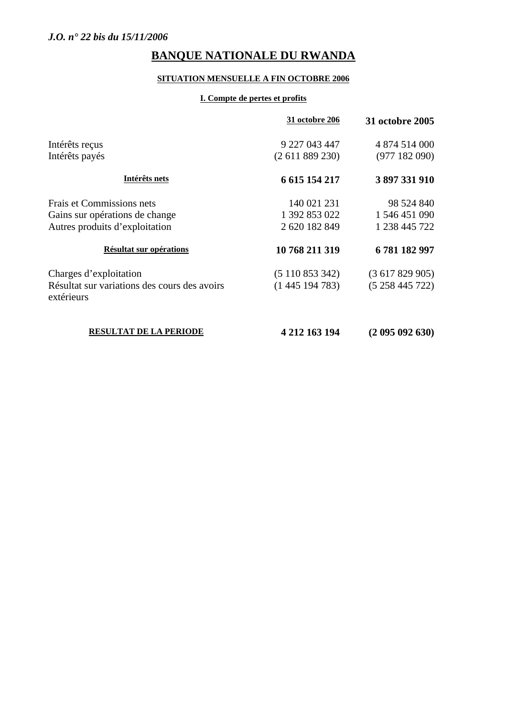## **SITUATION MENSUELLE A FIN OCTOBRE 2006**

## **I. Compte de pertes et profits**

|                                                            | 31 octobre 206  | <b>31 octobre 2005</b> |
|------------------------------------------------------------|-----------------|------------------------|
| Intérêts reçus                                             | 9 227 043 447   | 4 874 514 000          |
| Intérêts payés                                             | (2 611 889 230) | (977182090)            |
| Intérêts nets                                              | 6 615 154 217   | 3897331910             |
| Frais et Commissions nets                                  | 140 021 231     | 98 524 840             |
| Gains sur opérations de change                             | 1 392 853 022   | 1 546 451 090          |
| Autres produits d'exploitation                             | 2 620 182 849   | 1 238 445 722          |
| Résultat sur opérations                                    | 10 768 211 319  | 6781182997             |
| Charges d'exploitation                                     | (5110853342)    | (3617829905)           |
| Résultat sur variations des cours des avoirs<br>extérieurs | (1445194783)    | (5258445722)           |
| RESULTAT DE LA PERIODE                                     | 4 212 163 194   | (2 095 092 630)        |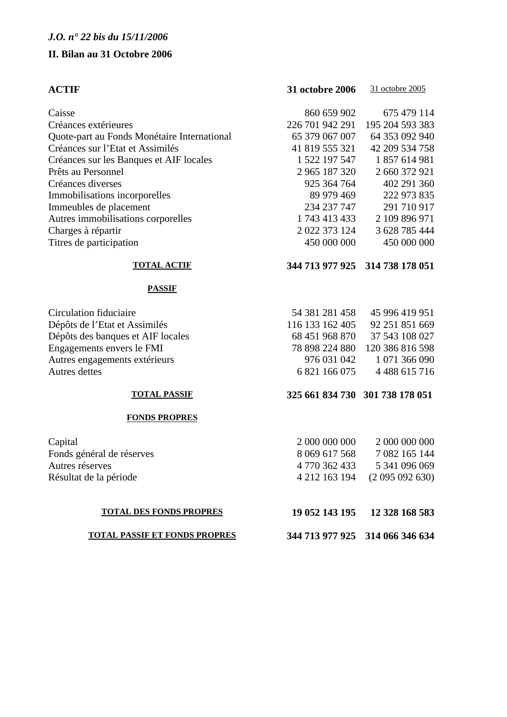## **II. Bilan au 31 Octobre 2006**

| <b>ACTIF</b>                                | <b>31 octobre 2006</b> | 31 octobre 2005                 |
|---------------------------------------------|------------------------|---------------------------------|
| Caisse                                      | 860 659 902            | 675 479 114                     |
| Créances extérieures                        | 226 701 942 291        | 195 204 593 383                 |
| Quote-part au Fonds Monétaire International | 65 379 067 007         | 64 353 092 940                  |
| Créances sur l'Etat et Assimilés            | 41 819 555 321         | 42 209 534 758                  |
| Créances sur les Banques et AIF locales     | 1 522 197 547          | 1857614981                      |
| Prêts au Personnel                          | 2 965 187 320          | 2 660 372 921                   |
| Créances diverses                           | 925 364 764            | 402 291 360                     |
| Immobilisations incorporelles               | 89 979 469             | 222 973 835                     |
| Immeubles de placement                      | 234 237 747            | 291 710 917                     |
| Autres immobilisations corporelles          | 1 743 413 433          | 2 109 896 971                   |
| Charges à répartir                          | 2 022 373 124          | 3 628 785 444                   |
| Titres de participation                     | 450 000 000            | 450 000 000                     |
| <b>TOTAL ACTIF</b>                          |                        | 344 713 977 925 314 738 178 051 |
| <b>PASSIF</b>                               |                        |                                 |
| Circulation fiduciaire                      | 54 381 281 458         | 45 996 419 951                  |
| Dépôts de l'Etat et Assimilés               | 116 133 162 405        | 92 251 851 669                  |
| Dépôts des banques et AIF locales           | 68 451 968 870         | 37 543 108 027                  |
| Engagements envers le FMI                   | 78 898 224 880         | 120 386 816 598                 |
| Autres engagements extérieurs               | 976 031 042            | 1 071 366 090                   |
| Autres dettes                               | 6 821 166 075          | 4 4 8 6 1 5 7 1 6               |
| <b>TOTAL PASSIF</b>                         |                        | 325 661 834 730 301 738 178 051 |
| <b>FONDS PROPRES</b>                        |                        |                                 |

| Capital                   | 2 000 000 000 | 2 000 000 000                 |
|---------------------------|---------------|-------------------------------|
| Fonds général de réserves | 8 069 617 568 | 7 082 165 144                 |
| Autres réserves           | 4 770 362 433 | 5 341 096 069                 |
| Résultat de la période    |               | 4 212 163 194 (2 095 092 630) |
|                           |               |                               |

| 8 0 69 617 568 | 7 082 165 144 |
|----------------|---------------|
| 4 770 362 433  | 5 341 096 069 |
| 4 212 163 194  | (2095092630)  |
|                |               |

## **TOTAL DES FONDS PROPRES 19 052 143 195 12 328 168 583**

## **TOTAL PASSIF ET FONDS PROPRES 344 713 977 925 314 066 346 634**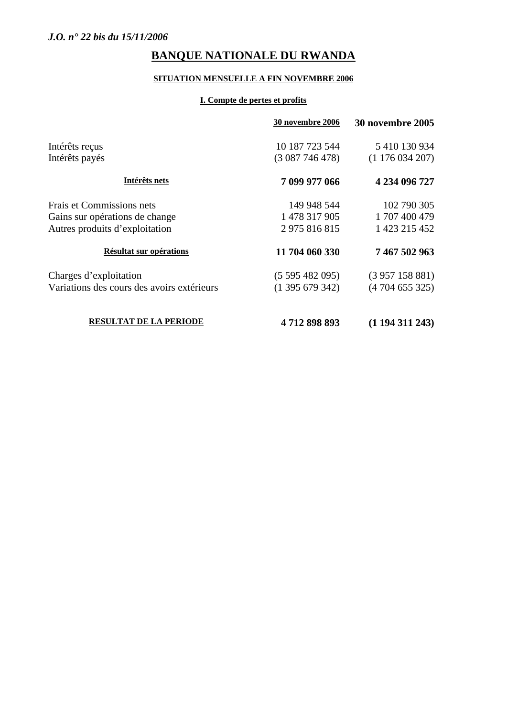# **SITUATION MENSUELLE A FIN NOVEMBRE 2006**

## **I. Compte de pertes et profits**

|                                            | <b>30 novembre 2006</b> | <b>30 novembre 2005</b> |
|--------------------------------------------|-------------------------|-------------------------|
| Intérêts reçus                             | 10 187 723 544          | 5 410 130 934           |
| Intérêts payés                             | (3087746478)            | (1176034207)            |
| Intérêts nets                              | 7 099 977 066           | 4 234 096 727           |
| Frais et Commissions nets                  | 149 948 544             | 102 790 305             |
| Gains sur opérations de change             | 1 478 317 905           | 1707400479              |
| Autres produits d'exploitation             | 2975816815              | 1 423 215 452           |
| Résultat sur opérations                    | 11 704 060 330          | 7 467 502 963           |
| Charges d'exploitation                     | (5595482095)            | (3957158881)            |
| Variations des cours des avoirs extérieurs | $(1\,395\,679\,342)$    | (4704655325)            |
| <b>RESULTAT DE LA PERIODE</b>              | 4712898893              | (1194311243)            |